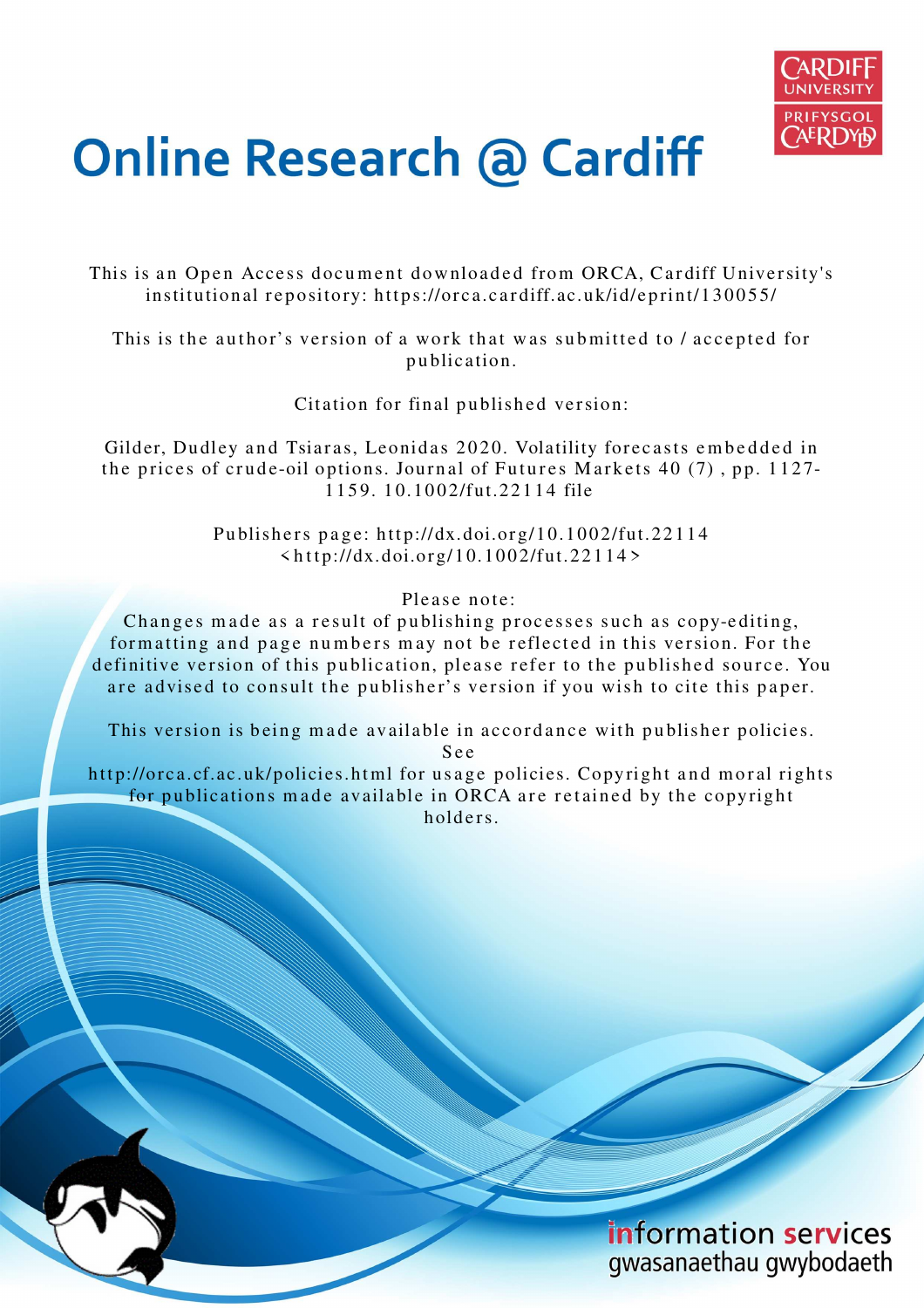

# **Online Research @ Cardiff**

This is an Open Access document downloaded from ORCA, Cardiff University's institutional repository: https://orca.cardiff.ac.uk/id/eprint/130055/

This is the author's version of a work that was submitted to / accepted for p u blication.

Citation for final published version:

Gilder, Dudley and Tsiaras, Leonidas 2020. Volatility forecasts embedded in the prices of crude-oil options. Journal of Futures Markets 40  $(7)$ , pp. 1127-1 1 5 9. 1 0.10 0 2/fut.22 1 1 4 file

> Publishers page: http://dx.doi.org/10.1002/fut.22114  $\frac{\text{th}}{\text{ttp}}$ ://dx.doi.org/10.1002/fut.22114>

> > Please note:

Changes made as a result of publishing processes such as copy-editing, formatting and page numbers may not be reflected in this version. For the definitive version of this publication, please refer to the published source. You are advised to consult the publisher's version if you wish to cite this paper.

This version is being made available in accordance with publisher policies.

S e e

http://orca.cf.ac.uk/policies.html for usage policies. Copyright and moral rights for publications made available in ORCA are retained by the copyright holders.

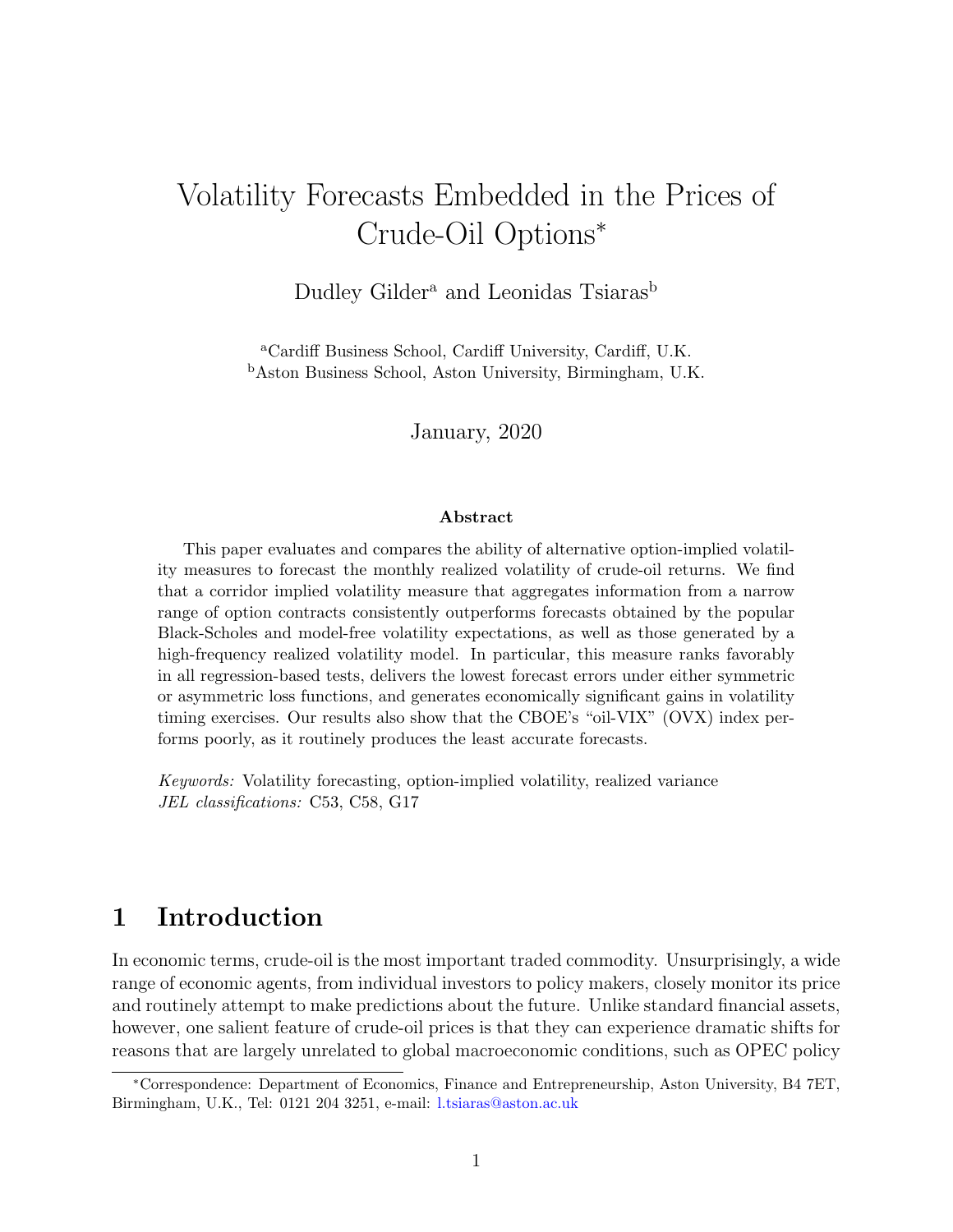# Volatility Forecasts Embedded in the Prices of Crude-Oil Options<sup>∗</sup>

Dudley Gilder<sup>a</sup> and Leonidas Tsiaras<sup>b</sup>

<sup>a</sup>Cardiff Business School, Cardiff University, Cardiff, U.K. <sup>b</sup>Aston Business School, Aston University, Birmingham, U.K.

January, 2020

#### Abstract

This paper evaluates and compares the ability of alternative option-implied volatility measures to forecast the monthly realized volatility of crude-oil returns. We find that a corridor implied volatility measure that aggregates information from a narrow range of option contracts consistently outperforms forecasts obtained by the popular Black-Scholes and model-free volatility expectations, as well as those generated by a high-frequency realized volatility model. In particular, this measure ranks favorably in all regression-based tests, delivers the lowest forecast errors under either symmetric or asymmetric loss functions, and generates economically significant gains in volatility timing exercises. Our results also show that the CBOE's "oil-VIX" (OVX) index performs poorly, as it routinely produces the least accurate forecasts.

Keywords: Volatility forecasting, option-implied volatility, realized variance JEL classifications: C53, C58, G17

# 1 Introduction

In economic terms, crude-oil is the most important traded commodity. Unsurprisingly, a wide range of economic agents, from individual investors to policy makers, closely monitor its price and routinely attempt to make predictions about the future. Unlike standard financial assets, however, one salient feature of crude-oil prices is that they can experience dramatic shifts for reasons that are largely unrelated to global macroeconomic conditions, such as OPEC policy

<sup>∗</sup>Correspondence: Department of Economics, Finance and Entrepreneurship, Aston University, B4 7ET, Birmingham, U.K., Tel: 0121 204 3251, e-mail: l.tsiaras@aston.ac.uk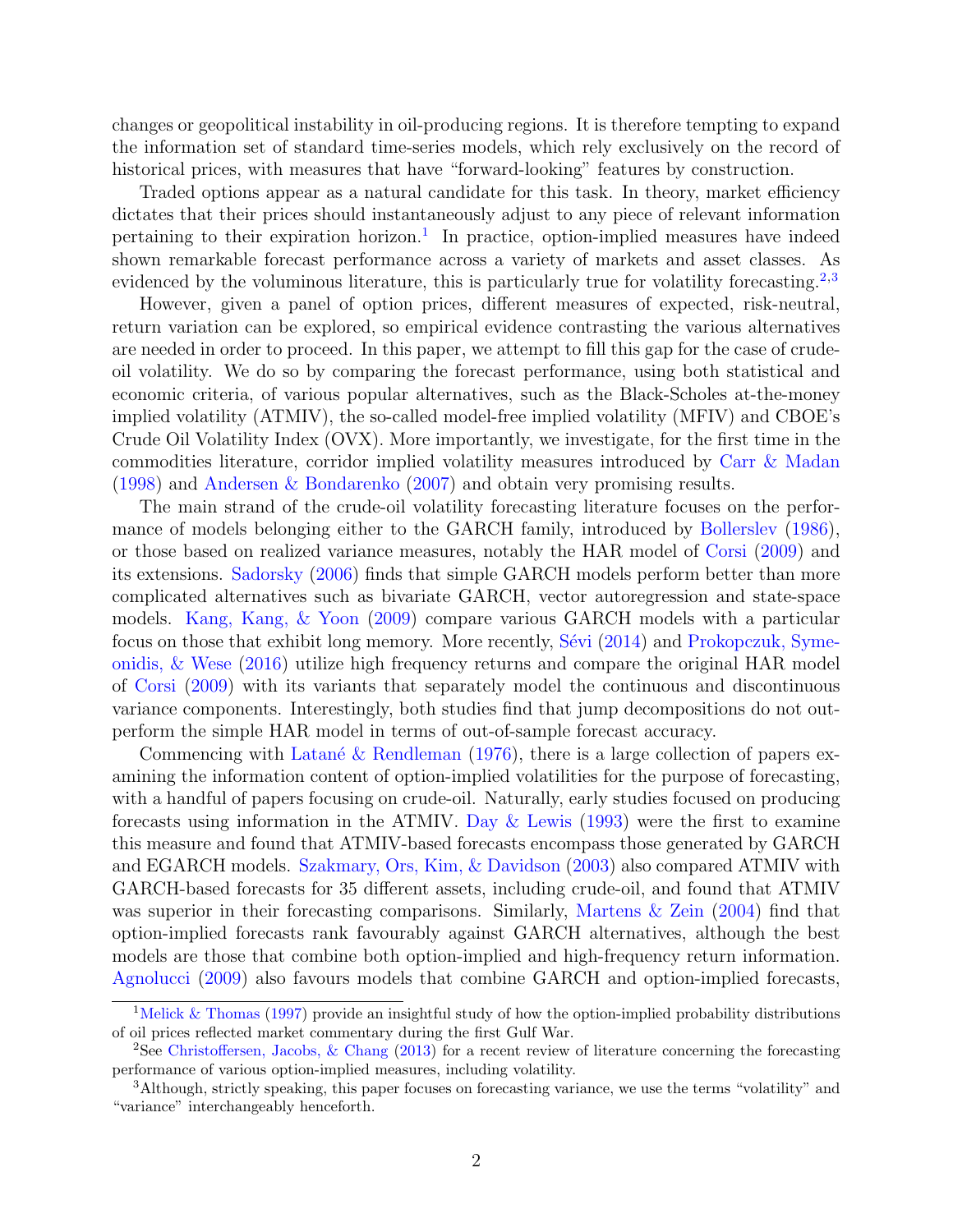changes or geopolitical instability in oil-producing regions. It is therefore tempting to expand the information set of standard time-series models, which rely exclusively on the record of historical prices, with measures that have "forward-looking" features by construction.

Traded options appear as a natural candidate for this task. In theory, market efficiency dictates that their prices should instantaneously adjust to any piece of relevant information pertaining to their expiration horizon.<sup>1</sup> In practice, option-implied measures have indeed shown remarkable forecast performance across a variety of markets and asset classes. As evidenced by the voluminous literature, this is particularly true for volatility forecasting.<sup>2,3</sup>

However, given a panel of option prices, different measures of expected, risk-neutral, return variation can be explored, so empirical evidence contrasting the various alternatives are needed in order to proceed. In this paper, we attempt to fill this gap for the case of crudeoil volatility. We do so by comparing the forecast performance, using both statistical and economic criteria, of various popular alternatives, such as the Black-Scholes at-the-money implied volatility (ATMIV), the so-called model-free implied volatility (MFIV) and CBOE's Crude Oil Volatility Index (OVX). More importantly, we investigate, for the first time in the commodities literature, corridor implied volatility measures introduced by Carr & Madan (1998) and Andersen & Bondarenko (2007) and obtain very promising results.

The main strand of the crude-oil volatility forecasting literature focuses on the performance of models belonging either to the GARCH family, introduced by Bollerslev (1986), or those based on realized variance measures, notably the HAR model of Corsi (2009) and its extensions. Sadorsky (2006) finds that simple GARCH models perform better than more complicated alternatives such as bivariate GARCH, vector autoregression and state-space models. Kang, Kang, & Yoon (2009) compare various GARCH models with a particular focus on those that exhibit long memory. More recently, Sévi (2014) and Prokopczuk, Symeonidis, & Wese (2016) utilize high frequency returns and compare the original HAR model of Corsi (2009) with its variants that separately model the continuous and discontinuous variance components. Interestingly, both studies find that jump decompositions do not outperform the simple HAR model in terms of out-of-sample forecast accuracy.

Commencing with Latané & Rendleman (1976), there is a large collection of papers examining the information content of option-implied volatilities for the purpose of forecasting, with a handful of papers focusing on crude-oil. Naturally, early studies focused on producing forecasts using information in the ATMIV. Day & Lewis (1993) were the first to examine this measure and found that ATMIV-based forecasts encompass those generated by GARCH and EGARCH models. Szakmary, Ors, Kim, & Davidson (2003) also compared ATMIV with GARCH-based forecasts for 35 different assets, including crude-oil, and found that ATMIV was superior in their forecasting comparisons. Similarly, Martens & Zein (2004) find that option-implied forecasts rank favourably against GARCH alternatives, although the best models are those that combine both option-implied and high-frequency return information. Agnolucci (2009) also favours models that combine GARCH and option-implied forecasts,

<sup>&</sup>lt;sup>1</sup>Melick & Thomas (1997) provide an insightful study of how the option-implied probability distributions of oil prices reflected market commentary during the first Gulf War.

<sup>2</sup>See Christoffersen, Jacobs, & Chang (2013) for a recent review of literature concerning the forecasting performance of various option-implied measures, including volatility.

<sup>3</sup>Although, strictly speaking, this paper focuses on forecasting variance, we use the terms "volatility" and "variance" interchangeably henceforth.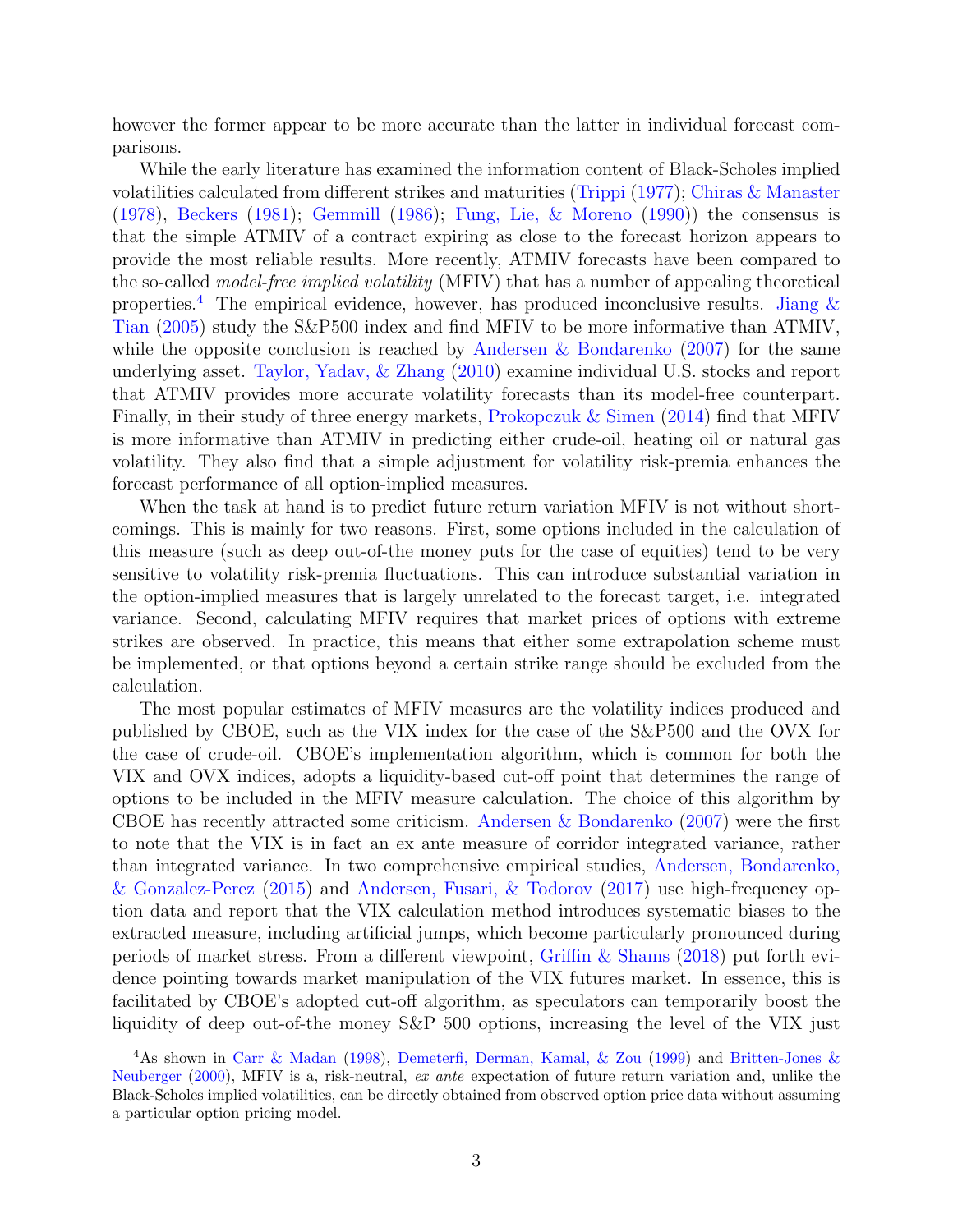however the former appear to be more accurate than the latter in individual forecast comparisons.

While the early literature has examined the information content of Black-Scholes implied volatilities calculated from different strikes and maturities (Trippi (1977); Chiras & Manaster (1978), Beckers (1981); Gemmill (1986); Fung, Lie, & Moreno (1990)) the consensus is that the simple ATMIV of a contract expiring as close to the forecast horizon appears to provide the most reliable results. More recently, ATMIV forecasts have been compared to the so-called model-free implied volatility (MFIV) that has a number of appealing theoretical properties.<sup>4</sup> The empirical evidence, however, has produced inconclusive results. Jiang  $\&$ Tian (2005) study the S&P500 index and find MFIV to be more informative than ATMIV, while the opposite conclusion is reached by Andersen & Bondarenko  $(2007)$  for the same underlying asset. Taylor, Yadav, & Zhang (2010) examine individual U.S. stocks and report that ATMIV provides more accurate volatility forecasts than its model-free counterpart. Finally, in their study of three energy markets, Prokopczuk & Simen (2014) find that MFIV is more informative than ATMIV in predicting either crude-oil, heating oil or natural gas volatility. They also find that a simple adjustment for volatility risk-premia enhances the forecast performance of all option-implied measures.

When the task at hand is to predict future return variation MFIV is not without shortcomings. This is mainly for two reasons. First, some options included in the calculation of this measure (such as deep out-of-the money puts for the case of equities) tend to be very sensitive to volatility risk-premia fluctuations. This can introduce substantial variation in the option-implied measures that is largely unrelated to the forecast target, i.e. integrated variance. Second, calculating MFIV requires that market prices of options with extreme strikes are observed. In practice, this means that either some extrapolation scheme must be implemented, or that options beyond a certain strike range should be excluded from the calculation.

The most popular estimates of MFIV measures are the volatility indices produced and published by CBOE, such as the VIX index for the case of the S&P500 and the OVX for the case of crude-oil. CBOE's implementation algorithm, which is common for both the VIX and OVX indices, adopts a liquidity-based cut-off point that determines the range of options to be included in the MFIV measure calculation. The choice of this algorithm by CBOE has recently attracted some criticism. Andersen & Bondarenko (2007) were the first to note that the VIX is in fact an ex ante measure of corridor integrated variance, rather than integrated variance. In two comprehensive empirical studies, Andersen, Bondarenko, & Gonzalez-Perez (2015) and Andersen, Fusari, & Todorov (2017) use high-frequency option data and report that the VIX calculation method introduces systematic biases to the extracted measure, including artificial jumps, which become particularly pronounced during periods of market stress. From a different viewpoint, Griffin & Shams (2018) put forth evidence pointing towards market manipulation of the VIX futures market. In essence, this is facilitated by CBOE's adopted cut-off algorithm, as speculators can temporarily boost the liquidity of deep out-of-the money S&P 500 options, increasing the level of the VIX just

<sup>4</sup>As shown in Carr & Madan (1998), Demeterfi, Derman, Kamal, & Zou (1999) and Britten-Jones & Neuberger (2000), MFIV is a, risk-neutral, ex ante expectation of future return variation and, unlike the Black-Scholes implied volatilities, can be directly obtained from observed option price data without assuming a particular option pricing model.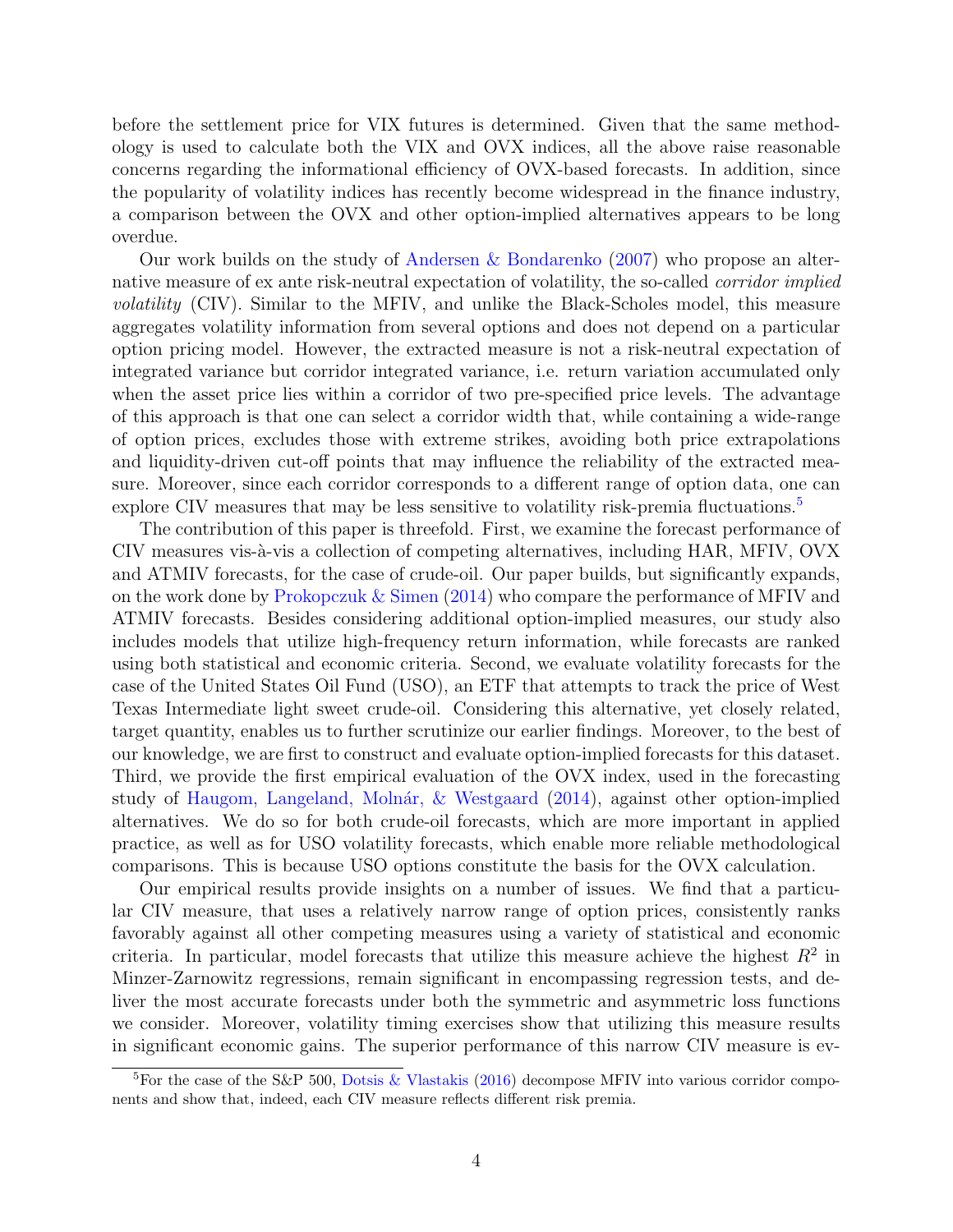before the settlement price for VIX futures is determined. Given that the same methodology is used to calculate both the VIX and OVX indices, all the above raise reasonable concerns regarding the informational efficiency of OVX-based forecasts. In addition, since the popularity of volatility indices has recently become widespread in the finance industry, a comparison between the OVX and other option-implied alternatives appears to be long overdue.

Our work builds on the study of Andersen & Bondarenko (2007) who propose an alternative measure of ex ante risk-neutral expectation of volatility, the so-called *corridor implied* volatility (CIV). Similar to the MFIV, and unlike the Black-Scholes model, this measure aggregates volatility information from several options and does not depend on a particular option pricing model. However, the extracted measure is not a risk-neutral expectation of integrated variance but corridor integrated variance, i.e. return variation accumulated only when the asset price lies within a corridor of two pre-specified price levels. The advantage of this approach is that one can select a corridor width that, while containing a wide-range of option prices, excludes those with extreme strikes, avoiding both price extrapolations and liquidity-driven cut-off points that may influence the reliability of the extracted measure. Moreover, since each corridor corresponds to a different range of option data, one can explore CIV measures that may be less sensitive to volatility risk-premia fluctuations. $5$ 

The contribution of this paper is threefold. First, we examine the forecast performance of CIV measures vis-à-vis a collection of competing alternatives, including HAR, MFIV, OVX and ATMIV forecasts, for the case of crude-oil. Our paper builds, but significantly expands, on the work done by Prokopczuk & Simen (2014) who compare the performance of MFIV and ATMIV forecasts. Besides considering additional option-implied measures, our study also includes models that utilize high-frequency return information, while forecasts are ranked using both statistical and economic criteria. Second, we evaluate volatility forecasts for the case of the United States Oil Fund (USO), an ETF that attempts to track the price of West Texas Intermediate light sweet crude-oil. Considering this alternative, yet closely related, target quantity, enables us to further scrutinize our earlier findings. Moreover, to the best of our knowledge, we are first to construct and evaluate option-implied forecasts for this dataset. Third, we provide the first empirical evaluation of the OVX index, used in the forecasting study of Haugom, Langeland, Molnár,  $\&$  Westgaard (2014), against other option-implied alternatives. We do so for both crude-oil forecasts, which are more important in applied practice, as well as for USO volatility forecasts, which enable more reliable methodological comparisons. This is because USO options constitute the basis for the OVX calculation.

Our empirical results provide insights on a number of issues. We find that a particular CIV measure, that uses a relatively narrow range of option prices, consistently ranks favorably against all other competing measures using a variety of statistical and economic criteria. In particular, model forecasts that utilize this measure achieve the highest  $R^2$  in Minzer-Zarnowitz regressions, remain significant in encompassing regression tests, and deliver the most accurate forecasts under both the symmetric and asymmetric loss functions we consider. Moreover, volatility timing exercises show that utilizing this measure results in significant economic gains. The superior performance of this narrow CIV measure is ev-

<sup>&</sup>lt;sup>5</sup>For the case of the S&P 500, Dotsis & Vlastakis (2016) decompose MFIV into various corridor components and show that, indeed, each CIV measure reflects different risk premia.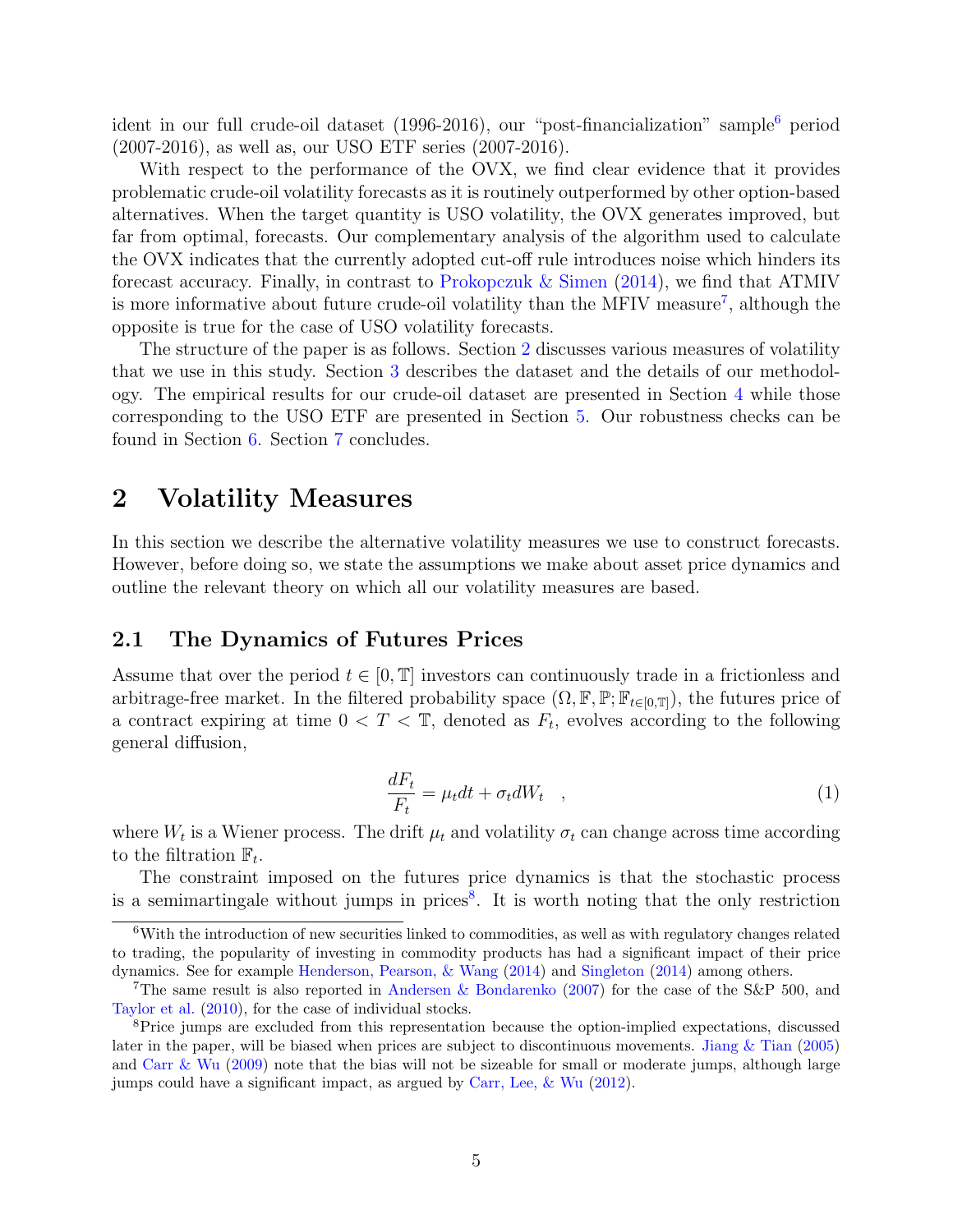ident in our full crude-oil dataset  $(1996-2016)$ , our "post-financialization" sample<sup>6</sup> period (2007-2016), as well as, our USO ETF series (2007-2016).

With respect to the performance of the OVX, we find clear evidence that it provides problematic crude-oil volatility forecasts as it is routinely outperformed by other option-based alternatives. When the target quantity is USO volatility, the OVX generates improved, but far from optimal, forecasts. Our complementary analysis of the algorithm used to calculate the OVX indicates that the currently adopted cut-off rule introduces noise which hinders its forecast accuracy. Finally, in contrast to Prokopczuk & Simen (2014), we find that ATMIV is more informative about future crude-oil volatility than the MFIV measure<sup>7</sup>, although the opposite is true for the case of USO volatility forecasts.

The structure of the paper is as follows. Section 2 discusses various measures of volatility that we use in this study. Section 3 describes the dataset and the details of our methodology. The empirical results for our crude-oil dataset are presented in Section 4 while those corresponding to the USO ETF are presented in Section 5. Our robustness checks can be found in Section 6. Section 7 concludes.

# 2 Volatility Measures

In this section we describe the alternative volatility measures we use to construct forecasts. However, before doing so, we state the assumptions we make about asset price dynamics and outline the relevant theory on which all our volatility measures are based.

## 2.1 The Dynamics of Futures Prices

Assume that over the period  $t \in [0, T]$  investors can continuously trade in a frictionless and arbitrage-free market. In the filtered probability space  $(\Omega, \mathbb{F}, \mathbb{P}; \mathbb{F}_{t \in [0,\mathbb{T}]}),$  the futures price of a contract expiring at time  $0 < T < \mathbb{T}$ , denoted as  $F_t$ , evolves according to the following general diffusion,

$$
\frac{dF_t}{F_t} = \mu_t dt + \sigma_t dW_t \quad , \tag{1}
$$

where  $W_t$  is a Wiener process. The drift  $\mu_t$  and volatility  $\sigma_t$  can change across time according to the filtration  $\mathbb{F}_t$ .

The constraint imposed on the futures price dynamics is that the stochastic process is a semimartingale without jumps in prices<sup>8</sup>. It is worth noting that the only restriction

<sup>6</sup>With the introduction of new securities linked to commodities, as well as with regulatory changes related to trading, the popularity of investing in commodity products has had a significant impact of their price dynamics. See for example Henderson, Pearson, & Wang (2014) and Singleton (2014) among others.

<sup>7</sup>The same result is also reported in Andersen & Bondarenko (2007) for the case of the S&P 500, and Taylor et al. (2010), for the case of individual stocks.

<sup>&</sup>lt;sup>8</sup>Price jumps are excluded from this representation because the option-implied expectations, discussed later in the paper, will be biased when prices are subject to discontinuous movements. Jiang & Tian (2005) and Carr & Wu (2009) note that the bias will not be sizeable for small or moderate jumps, although large jumps could have a significant impact, as argued by Carr, Lee, & Wu (2012).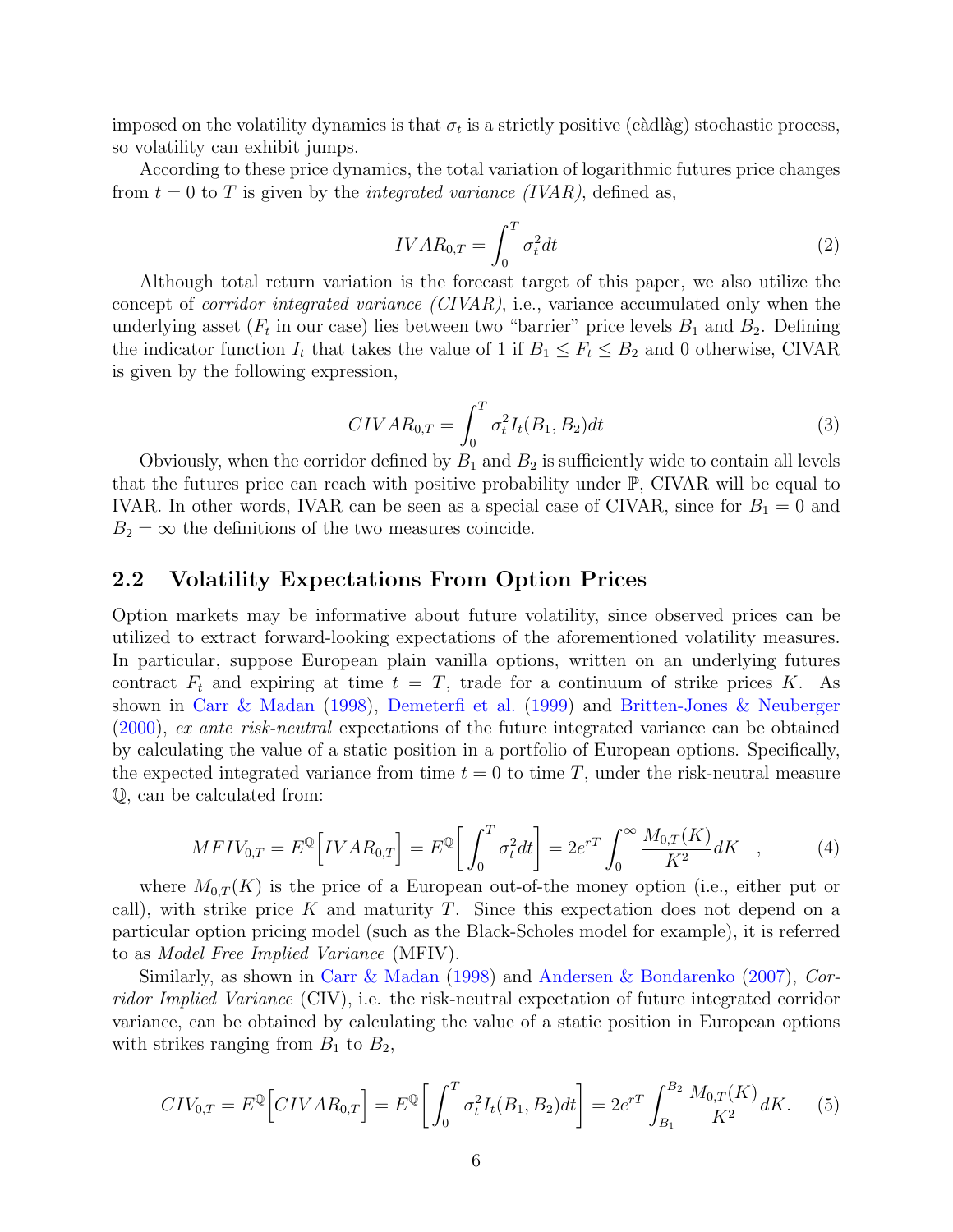imposed on the volatility dynamics is that  $\sigma_t$  is a strictly positive (càdlàg) stochastic process, so volatility can exhibit jumps.

According to these price dynamics, the total variation of logarithmic futures price changes from  $t = 0$  to T is given by the *integrated variance (IVAR)*, defined as,

$$
IVAR_{0,T} = \int_0^T \sigma_t^2 dt \tag{2}
$$

Although total return variation is the forecast target of this paper, we also utilize the concept of *corridor integrated variance*  $(CIVAR)$ , i.e., variance accumulated only when the underlying asset ( $F_t$  in our case) lies between two "barrier" price levels  $B_1$  and  $B_2$ . Defining the indicator function  $I_t$  that takes the value of 1 if  $B_1 \leq F_t \leq B_2$  and 0 otherwise, CIVAR is given by the following expression,

$$
CIVAR_{0,T} = \int_0^T \sigma_t^2 I_t(B_1, B_2) dt
$$
\n(3)

Obviously, when the corridor defined by  $B_1$  and  $B_2$  is sufficiently wide to contain all levels that the futures price can reach with positive probability under  $\mathbb{P}$ , CIVAR will be equal to IVAR. In other words, IVAR can be seen as a special case of CIVAR, since for  $B_1 = 0$  and  $B_2 = \infty$  the definitions of the two measures coincide.

## 2.2 Volatility Expectations From Option Prices

Option markets may be informative about future volatility, since observed prices can be utilized to extract forward-looking expectations of the aforementioned volatility measures. In particular, suppose European plain vanilla options, written on an underlying futures contract  $F_t$  and expiring at time  $t = T$ , trade for a continuum of strike prices K. As shown in Carr & Madan (1998), Demeterfi et al. (1999) and Britten-Jones & Neuberger (2000), ex ante risk-neutral expectations of the future integrated variance can be obtained by calculating the value of a static position in a portfolio of European options. Specifically, the expected integrated variance from time  $t = 0$  to time T, under the risk-neutral measure Q, can be calculated from:

$$
MFIV_{0,T} = E^{\mathbb{Q}} \Big[ IVAR_{0,T} \Big] = E^{\mathbb{Q}} \Big[ \int_0^T \sigma_t^2 dt \Big] = 2e^{rT} \int_0^{\infty} \frac{M_{0,T}(K)}{K^2} dK \quad , \tag{4}
$$

where  $M_{0,T}(K)$  is the price of a European out-of-the money option (i.e., either put or call), with strike price K and maturity T. Since this expectation does not depend on a particular option pricing model (such as the Black-Scholes model for example), it is referred to as Model Free Implied Variance (MFIV).

Similarly, as shown in Carr & Madan (1998) and Andersen & Bondarenko (2007), Corridor Implied Variance (CIV), i.e. the risk-neutral expectation of future integrated corridor variance, can be obtained by calculating the value of a static position in European options with strikes ranging from  $B_1$  to  $B_2$ ,

$$
CIV_{0,T} = E^{\mathbb{Q}} \Big[ CIVAR_{0,T} \Big] = E^{\mathbb{Q}} \Big[ \int_0^T \sigma_t^2 I_t(B_1, B_2) dt \Big] = 2e^{rT} \int_{B_1}^{B_2} \frac{M_{0,T}(K)}{K^2} dK. \tag{5}
$$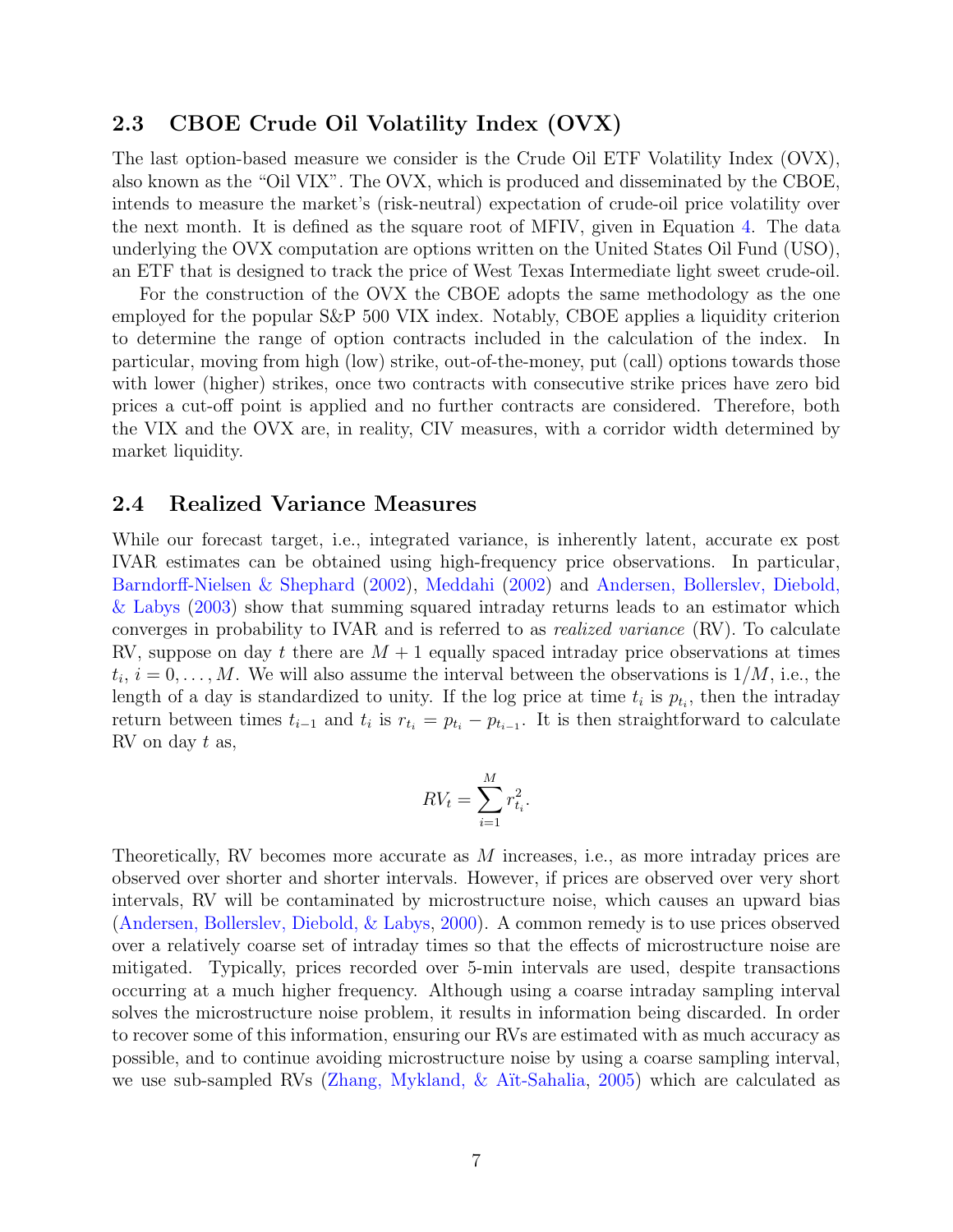## 2.3 CBOE Crude Oil Volatility Index (OVX)

The last option-based measure we consider is the Crude Oil ETF Volatility Index (OVX), also known as the "Oil VIX". The OVX, which is produced and disseminated by the CBOE, intends to measure the market's (risk-neutral) expectation of crude-oil price volatility over the next month. It is defined as the square root of MFIV, given in Equation 4. The data underlying the OVX computation are options written on the United States Oil Fund (USO), an ETF that is designed to track the price of West Texas Intermediate light sweet crude-oil.

For the construction of the OVX the CBOE adopts the same methodology as the one employed for the popular S&P 500 VIX index. Notably, CBOE applies a liquidity criterion to determine the range of option contracts included in the calculation of the index. In particular, moving from high (low) strike, out-of-the-money, put (call) options towards those with lower (higher) strikes, once two contracts with consecutive strike prices have zero bid prices a cut-off point is applied and no further contracts are considered. Therefore, both the VIX and the OVX are, in reality, CIV measures, with a corridor width determined by market liquidity.

## 2.4 Realized Variance Measures

While our forecast target, i.e., integrated variance, is inherently latent, accurate ex post IVAR estimates can be obtained using high-frequency price observations. In particular, Barndorff-Nielsen & Shephard (2002), Meddahi (2002) and Andersen, Bollerslev, Diebold, & Labys (2003) show that summing squared intraday returns leads to an estimator which converges in probability to IVAR and is referred to as realized variance (RV). To calculate RV, suppose on day t there are  $M + 1$  equally spaced intraday price observations at times  $t_i$ ,  $i = 0, \ldots, M$ . We will also assume the interval between the observations is  $1/M$ , i.e., the length of a day is standardized to unity. If the log price at time  $t_i$  is  $p_{t_i}$ , then the intraday return between times  $t_{i-1}$  and  $t_i$  is  $r_{t_i} = p_{t_i} - p_{t_{i-1}}$ . It is then straightforward to calculate RV on day t as,

$$
RV_t = \sum_{i=1}^{M} r_{t_i}^2.
$$

Theoretically, RV becomes more accurate as M increases, i.e., as more intraday prices are observed over shorter and shorter intervals. However, if prices are observed over very short intervals, RV will be contaminated by microstructure noise, which causes an upward bias (Andersen, Bollerslev, Diebold, & Labys, 2000). A common remedy is to use prices observed over a relatively coarse set of intraday times so that the effects of microstructure noise are mitigated. Typically, prices recorded over 5-min intervals are used, despite transactions occurring at a much higher frequency. Although using a coarse intraday sampling interval solves the microstructure noise problem, it results in information being discarded. In order to recover some of this information, ensuring our RVs are estimated with as much accuracy as possible, and to continue avoiding microstructure noise by using a coarse sampling interval, we use sub-sampled RVs (Zhang, Mykland, & A¨ıt-Sahalia, 2005) which are calculated as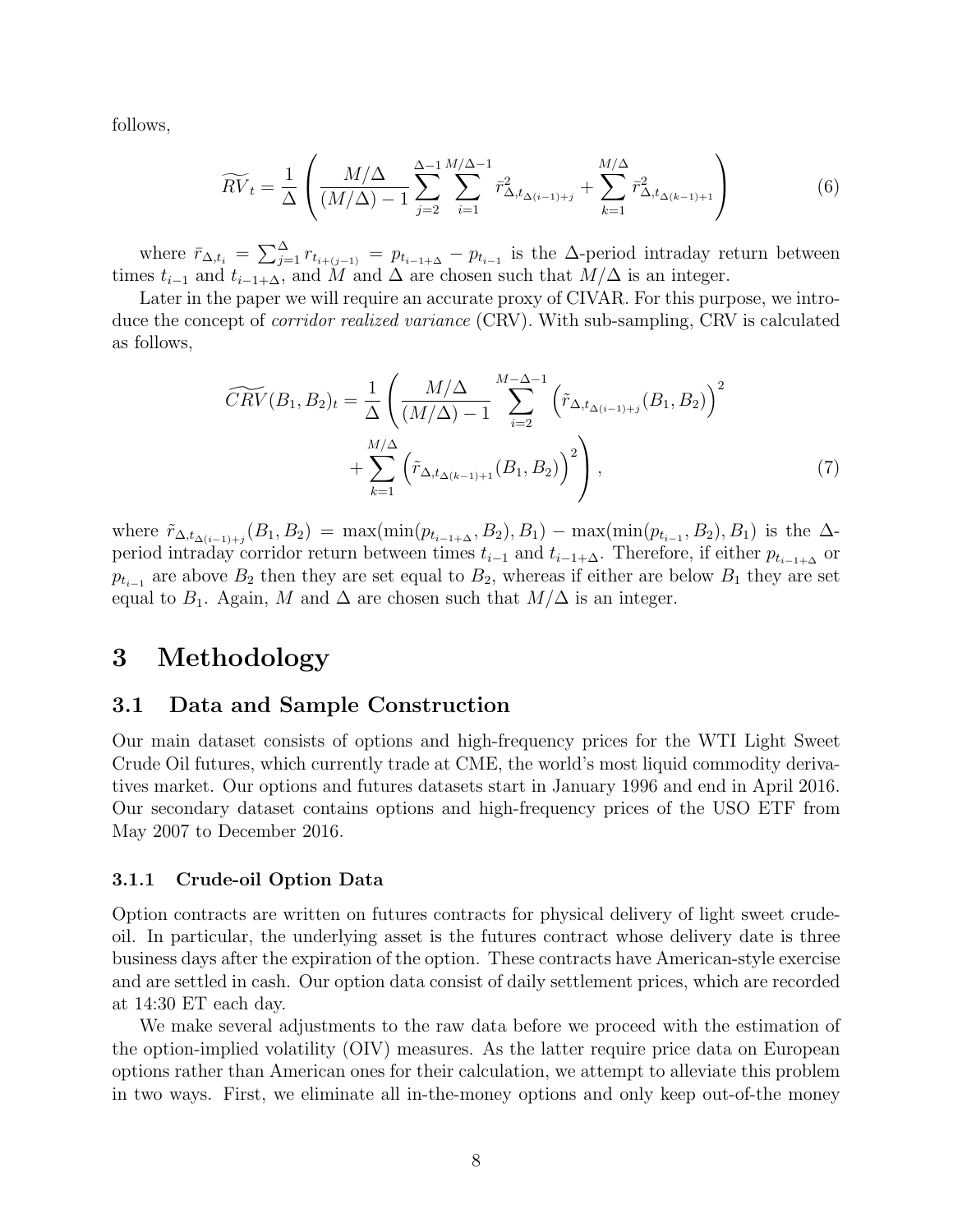follows,

$$
\widetilde{RV}_t = \frac{1}{\Delta} \left( \frac{M/\Delta}{(M/\Delta) - 1} \sum_{j=2}^{\Delta - 1} \sum_{i=1}^{M/\Delta - 1} \bar{r}_{\Delta, t_{\Delta(i-1)+j}}^2 + \sum_{k=1}^{M/\Delta} \bar{r}_{\Delta, t_{\Delta(k-1)+1}}^2 \right)
$$
(6)

where  $\bar{r}_{\Delta,t_i} = \sum_{j=1}^{\Delta} r_{t_{i+(j-1)}} = p_{t_{i-1}+\Delta} - p_{t_{i-1}}$  is the  $\Delta$ -period intraday return between times  $t_{i-1}$  and  $t_{i-1+\Delta}$ , and M and  $\Delta$  are chosen such that  $M/\Delta$  is an integer.

Later in the paper we will require an accurate proxy of CIVAR. For this purpose, we introduce the concept of corridor realized variance (CRV). With sub-sampling, CRV is calculated as follows,

$$
\widetilde{CRV}(B_1, B_2)_t = \frac{1}{\Delta} \left( \frac{M/\Delta}{(M/\Delta) - 1} \sum_{i=2}^{M-\Delta-1} \left( \tilde{r}_{\Delta, t_{\Delta(i-1)+j}}(B_1, B_2) \right)^2 + \sum_{k=1}^{M/\Delta} \left( \tilde{r}_{\Delta, t_{\Delta(k-1)+1}}(B_1, B_2) \right)^2 \right), \tag{7}
$$

where  $\tilde{r}_{\Delta,t_{\Delta(i-1)+j}}(B_1, B_2) = \max(\min(p_{t_{i-1}+\Delta}, B_2), B_1) - \max(\min(p_{t_{i-1}}, B_2), B_1)$  is the  $\Delta$ period intraday corridor return between times  $t_{i-1}$  and  $t_{i-1+\Delta}$ . Therefore, if either  $p_{t_{i-1+\Delta}}$  or  $p_{t_{i-1}}$  are above  $B_2$  then they are set equal to  $B_2$ , whereas if either are below  $B_1$  they are set equal to  $B_1$ . Again, M and  $\Delta$  are chosen such that  $M/\Delta$  is an integer.

# 3 Methodology

## 3.1 Data and Sample Construction

Our main dataset consists of options and high-frequency prices for the WTI Light Sweet Crude Oil futures, which currently trade at CME, the world's most liquid commodity derivatives market. Our options and futures datasets start in January 1996 and end in April 2016. Our secondary dataset contains options and high-frequency prices of the USO ETF from May 2007 to December 2016.

#### 3.1.1 Crude-oil Option Data

Option contracts are written on futures contracts for physical delivery of light sweet crudeoil. In particular, the underlying asset is the futures contract whose delivery date is three business days after the expiration of the option. These contracts have American-style exercise and are settled in cash. Our option data consist of daily settlement prices, which are recorded at 14:30 ET each day.

We make several adjustments to the raw data before we proceed with the estimation of the option-implied volatility (OIV) measures. As the latter require price data on European options rather than American ones for their calculation, we attempt to alleviate this problem in two ways. First, we eliminate all in-the-money options and only keep out-of-the money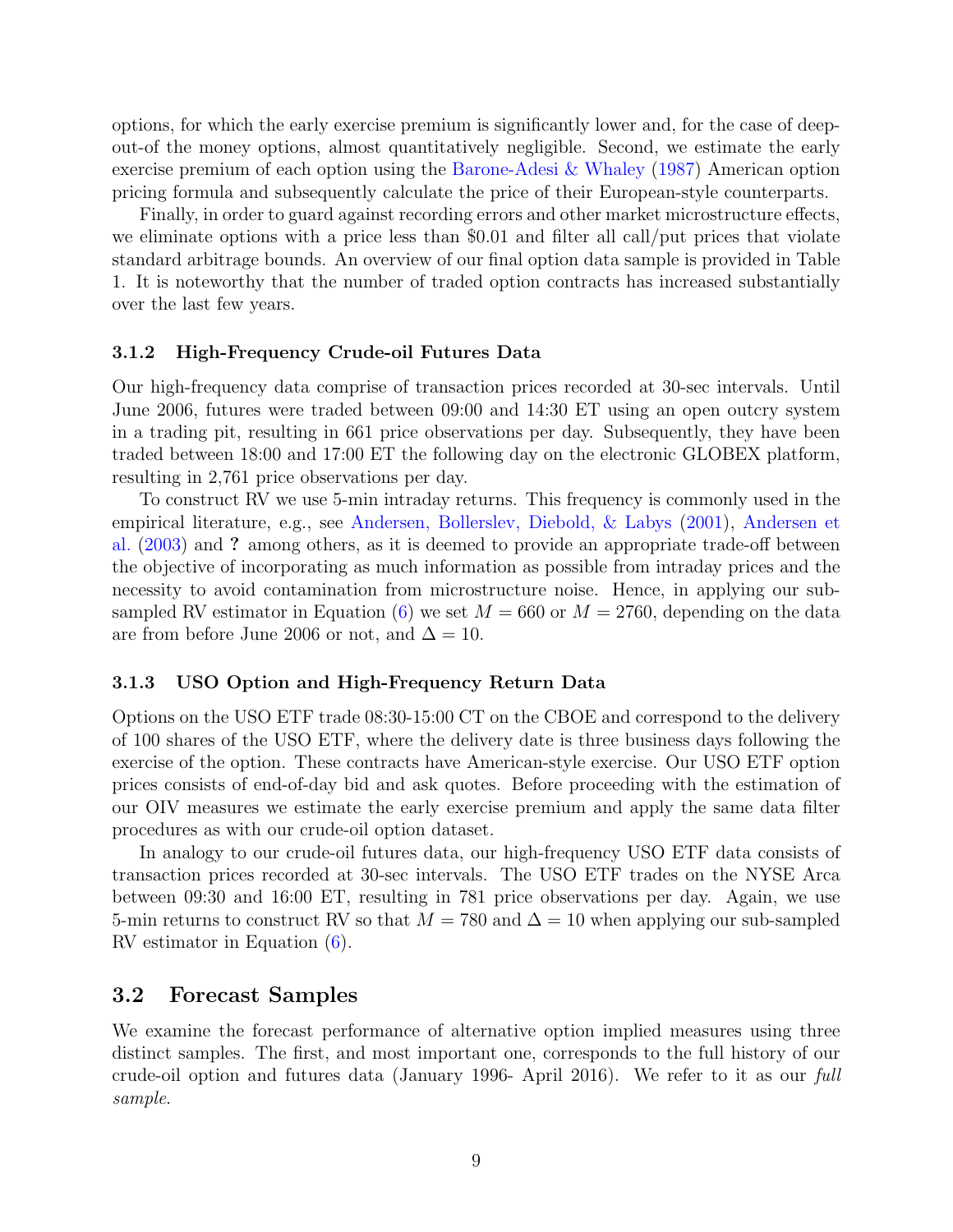options, for which the early exercise premium is significantly lower and, for the case of deepout-of the money options, almost quantitatively negligible. Second, we estimate the early exercise premium of each option using the Barone-Adesi & Whaley (1987) American option pricing formula and subsequently calculate the price of their European-style counterparts.

Finally, in order to guard against recording errors and other market microstructure effects, we eliminate options with a price less than \$0.01 and filter all call/put prices that violate standard arbitrage bounds. An overview of our final option data sample is provided in Table 1. It is noteworthy that the number of traded option contracts has increased substantially over the last few years.

#### 3.1.2 High-Frequency Crude-oil Futures Data

Our high-frequency data comprise of transaction prices recorded at 30-sec intervals. Until June 2006, futures were traded between 09:00 and 14:30 ET using an open outcry system in a trading pit, resulting in 661 price observations per day. Subsequently, they have been traded between 18:00 and 17:00 ET the following day on the electronic GLOBEX platform, resulting in 2,761 price observations per day.

To construct RV we use 5-min intraday returns. This frequency is commonly used in the empirical literature, e.g., see Andersen, Bollerslev, Diebold, & Labys (2001), Andersen et al. (2003) and ? among others, as it is deemed to provide an appropriate trade-off between the objective of incorporating as much information as possible from intraday prices and the necessity to avoid contamination from microstructure noise. Hence, in applying our subsampled RV estimator in Equation (6) we set  $M = 660$  or  $M = 2760$ , depending on the data are from before June 2006 or not, and  $\Delta = 10$ .

#### 3.1.3 USO Option and High-Frequency Return Data

Options on the USO ETF trade 08:30-15:00 CT on the CBOE and correspond to the delivery of 100 shares of the USO ETF, where the delivery date is three business days following the exercise of the option. These contracts have American-style exercise. Our USO ETF option prices consists of end-of-day bid and ask quotes. Before proceeding with the estimation of our OIV measures we estimate the early exercise premium and apply the same data filter procedures as with our crude-oil option dataset.

In analogy to our crude-oil futures data, our high-frequency USO ETF data consists of transaction prices recorded at 30-sec intervals. The USO ETF trades on the NYSE Arca between 09:30 and 16:00 ET, resulting in 781 price observations per day. Again, we use 5-min returns to construct RV so that  $M = 780$  and  $\Delta = 10$  when applying our sub-sampled RV estimator in Equation (6).

## 3.2 Forecast Samples

We examine the forecast performance of alternative option implied measures using three distinct samples. The first, and most important one, corresponds to the full history of our crude-oil option and futures data (January 1996- April 2016). We refer to it as our full sample.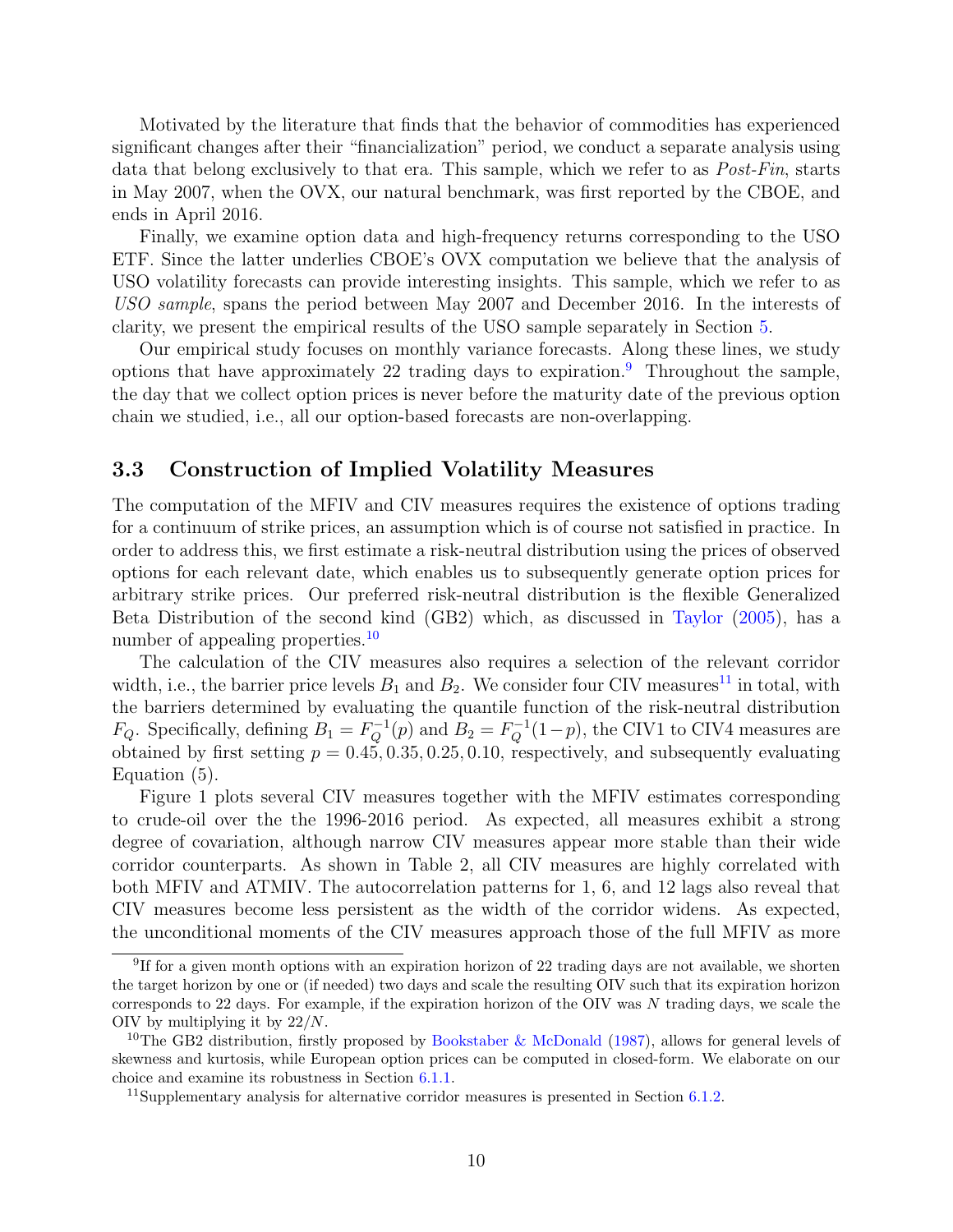Motivated by the literature that finds that the behavior of commodities has experienced significant changes after their "financialization" period, we conduct a separate analysis using data that belong exclusively to that era. This sample, which we refer to as Post-Fin, starts in May 2007, when the OVX, our natural benchmark, was first reported by the CBOE, and ends in April 2016.

Finally, we examine option data and high-frequency returns corresponding to the USO ETF. Since the latter underlies CBOE's OVX computation we believe that the analysis of USO volatility forecasts can provide interesting insights. This sample, which we refer to as USO sample, spans the period between May 2007 and December 2016. In the interests of clarity, we present the empirical results of the USO sample separately in Section 5.

Our empirical study focuses on monthly variance forecasts. Along these lines, we study options that have approximately 22 trading days to expiration.<sup>9</sup> Throughout the sample, the day that we collect option prices is never before the maturity date of the previous option chain we studied, i.e., all our option-based forecasts are non-overlapping.

## 3.3 Construction of Implied Volatility Measures

The computation of the MFIV and CIV measures requires the existence of options trading for a continuum of strike prices, an assumption which is of course not satisfied in practice. In order to address this, we first estimate a risk-neutral distribution using the prices of observed options for each relevant date, which enables us to subsequently generate option prices for arbitrary strike prices. Our preferred risk-neutral distribution is the flexible Generalized Beta Distribution of the second kind (GB2) which, as discussed in Taylor (2005), has a number of appealing properties.<sup>10</sup>

The calculation of the CIV measures also requires a selection of the relevant corridor width, i.e., the barrier price levels  $B_1$  and  $B_2$ . We consider four CIV measures<sup>11</sup> in total, with the barriers determined by evaluating the quantile function of the risk-neutral distribution  $F_Q$ . Specifically, defining  $B_1 = F_Q^{-1}(p)$  and  $B_2 = F_Q^{-1}(1-p)$ , the CIV1 to CIV4 measures are obtained by first setting  $p = 0.45, 0.35, 0.25, 0.10$ , respectively, and subsequently evaluating Equation (5).

Figure 1 plots several CIV measures together with the MFIV estimates corresponding to crude-oil over the the 1996-2016 period. As expected, all measures exhibit a strong degree of covariation, although narrow CIV measures appear more stable than their wide corridor counterparts. As shown in Table 2, all CIV measures are highly correlated with both MFIV and ATMIV. The autocorrelation patterns for 1, 6, and 12 lags also reveal that CIV measures become less persistent as the width of the corridor widens. As expected, the unconditional moments of the CIV measures approach those of the full MFIV as more

<sup>&</sup>lt;sup>9</sup>If for a given month options with an expiration horizon of 22 trading days are not available, we shorten the target horizon by one or (if needed) two days and scale the resulting OIV such that its expiration horizon corresponds to 22 days. For example, if the expiration horizon of the OIV was  $N$  trading days, we scale the OIV by multiplying it by 22/N.

<sup>&</sup>lt;sup>10</sup>The GB2 distribution, firstly proposed by Bookstaber & McDonald (1987), allows for general levels of skewness and kurtosis, while European option prices can be computed in closed-form. We elaborate on our choice and examine its robustness in Section 6.1.1.

<sup>&</sup>lt;sup>11</sup>Supplementary analysis for alternative corridor measures is presented in Section  $6.1.2$ .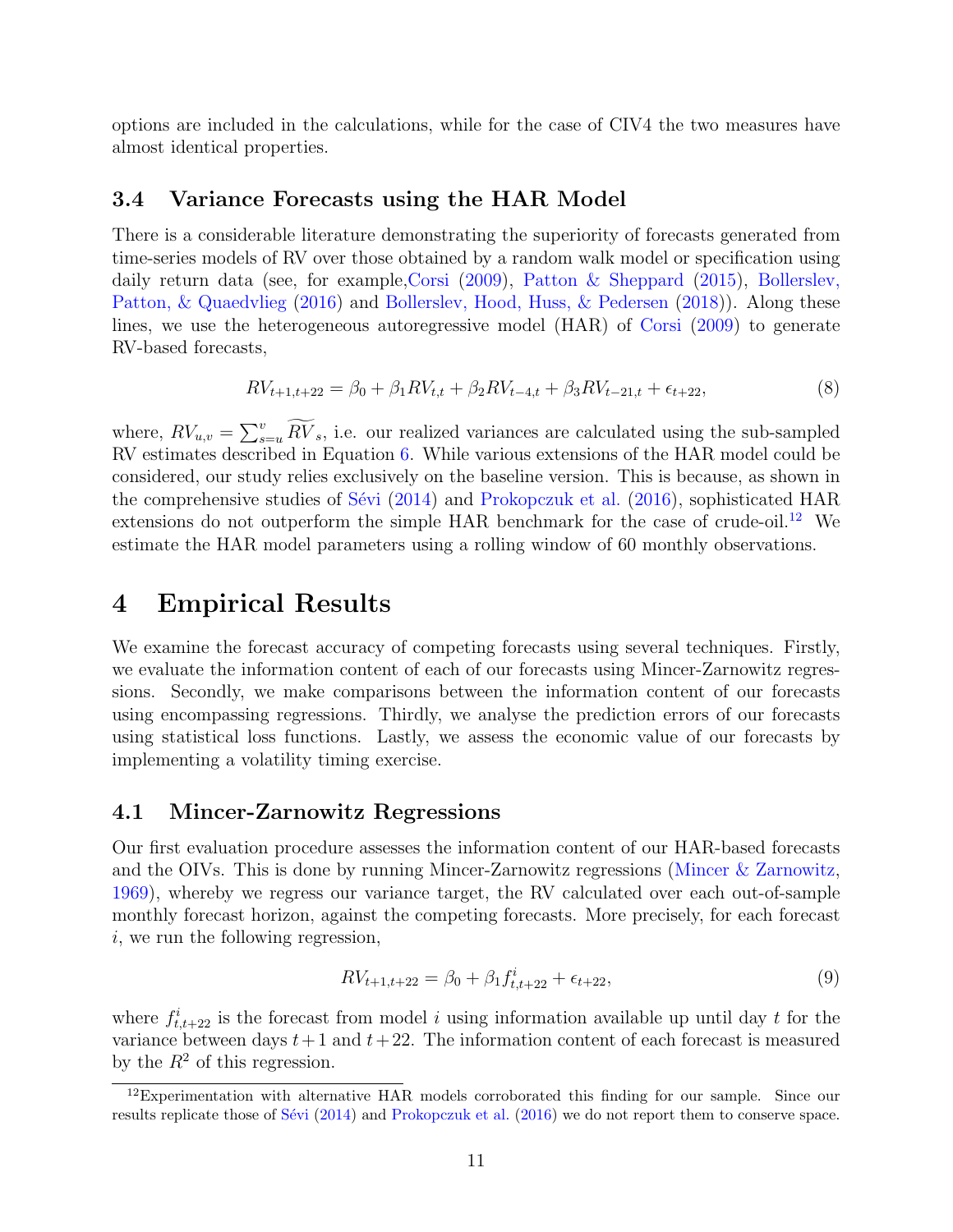options are included in the calculations, while for the case of CIV4 the two measures have almost identical properties.

## 3.4 Variance Forecasts using the HAR Model

There is a considerable literature demonstrating the superiority of forecasts generated from time-series models of RV over those obtained by a random walk model or specification using daily return data (see, for example,Corsi (2009), Patton & Sheppard (2015), Bollerslev, Patton, & Quaedvlieg (2016) and Bollerslev, Hood, Huss, & Pedersen (2018)). Along these lines, we use the heterogeneous autoregressive model (HAR) of Corsi (2009) to generate RV-based forecasts,

$$
RV_{t+1,t+22} = \beta_0 + \beta_1 RV_{t,t} + \beta_2 RV_{t-4,t} + \beta_3 RV_{t-21,t} + \epsilon_{t+22},
$$
\n(8)

where,  $RV_{u,v} = \sum_{s=u}^{v} \widetilde{RV}_s$ , i.e. our realized variances are calculated using the sub-sampled RV estimates described in Equation 6. While various extensions of the HAR model could be considered, our study relies exclusively on the baseline version. This is because, as shown in the comprehensive studies of Sévi  $(2014)$  and Prokopczuk et al.  $(2016)$ , sophisticated HAR extensions do not outperform the simple HAR benchmark for the case of crude-oil.<sup>12</sup> We estimate the HAR model parameters using a rolling window of 60 monthly observations.

# 4 Empirical Results

We examine the forecast accuracy of competing forecasts using several techniques. Firstly, we evaluate the information content of each of our forecasts using Mincer-Zarnowitz regressions. Secondly, we make comparisons between the information content of our forecasts using encompassing regressions. Thirdly, we analyse the prediction errors of our forecasts using statistical loss functions. Lastly, we assess the economic value of our forecasts by implementing a volatility timing exercise.

## 4.1 Mincer-Zarnowitz Regressions

Our first evaluation procedure assesses the information content of our HAR-based forecasts and the OIVs. This is done by running Mincer-Zarnowitz regressions (Mincer & Zarnowitz, 1969), whereby we regress our variance target, the RV calculated over each out-of-sample monthly forecast horizon, against the competing forecasts. More precisely, for each forecast i, we run the following regression,

$$
RV_{t+1,t+22} = \beta_0 + \beta_1 f_{t,t+22}^i + \epsilon_{t+22},
$$
\n(9)

where  $f_{t,t+22}^i$  is the forecast from model i using information available up until day t for the variance between days  $t + 1$  and  $t + 22$ . The information content of each forecast is measured by the  $R^2$  of this regression.

<sup>&</sup>lt;sup>12</sup>Experimentation with alternative HAR models corroborated this finding for our sample. Since our results replicate those of Sévi (2014) and Prokopczuk et al. (2016) we do not report them to conserve space.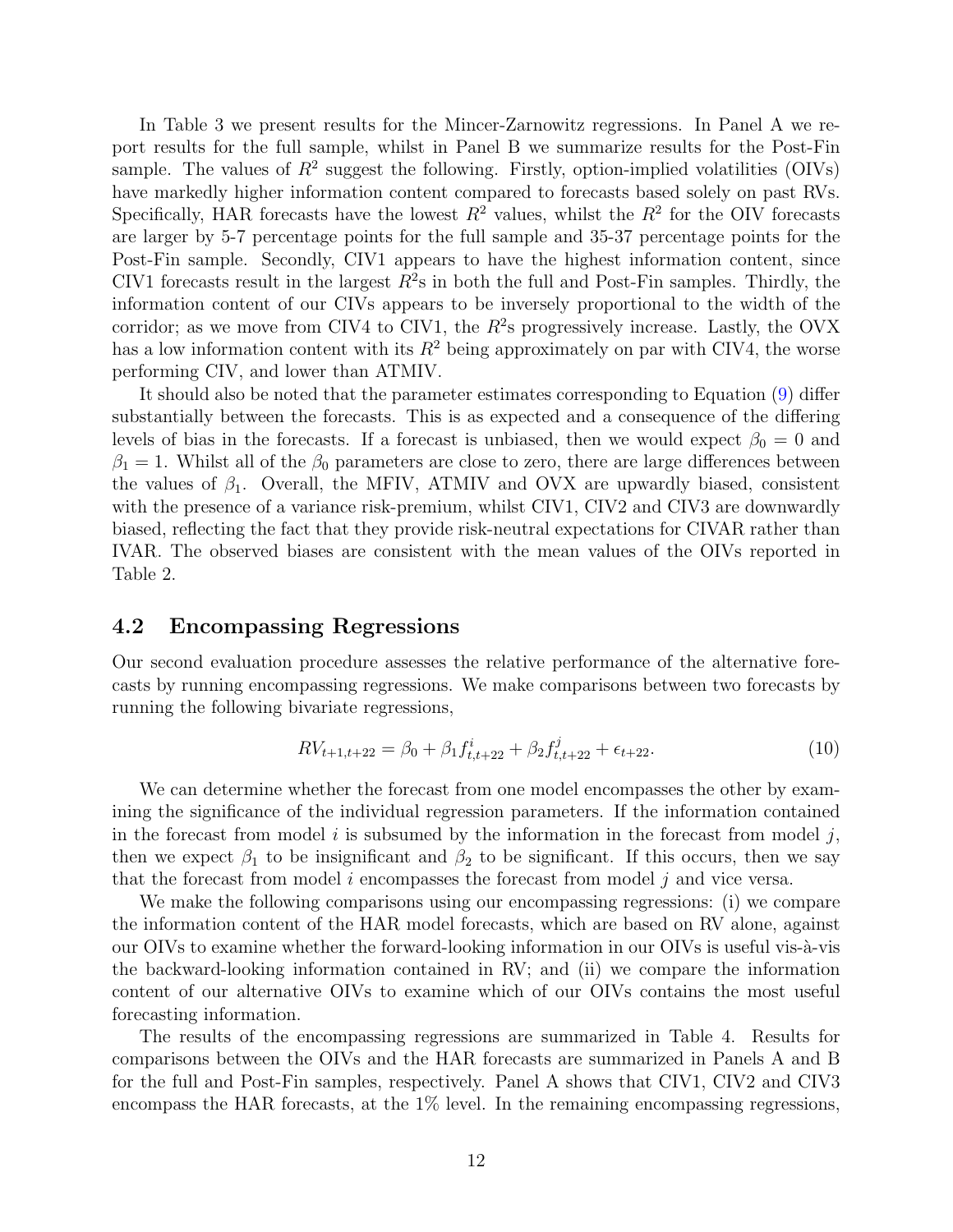In Table 3 we present results for the Mincer-Zarnowitz regressions. In Panel A we report results for the full sample, whilst in Panel B we summarize results for the Post-Fin sample. The values of  $R^2$  suggest the following. Firstly, option-implied volatilities (OIVs) have markedly higher information content compared to forecasts based solely on past RVs. Specifically, HAR forecasts have the lowest  $R^2$  values, whilst the  $R^2$  for the OIV forecasts are larger by 5-7 percentage points for the full sample and 35-37 percentage points for the Post-Fin sample. Secondly, CIV1 appears to have the highest information content, since CIV1 forecasts result in the largest  $R^2$ s in both the full and Post-Fin samples. Thirdly, the information content of our CIVs appears to be inversely proportional to the width of the corridor; as we move from CIV4 to CIV1, the  $R^2$ s progressively increase. Lastly, the OVX has a low information content with its  $R^2$  being approximately on par with CIV4, the worse performing CIV, and lower than ATMIV.

It should also be noted that the parameter estimates corresponding to Equation (9) differ substantially between the forecasts. This is as expected and a consequence of the differing levels of bias in the forecasts. If a forecast is unbiased, then we would expect  $\beta_0 = 0$  and  $\beta_1 = 1$ . Whilst all of the  $\beta_0$  parameters are close to zero, there are large differences between the values of  $\beta_1$ . Overall, the MFIV, ATMIV and OVX are upwardly biased, consistent with the presence of a variance risk-premium, whilst CIV1, CIV2 and CIV3 are downwardly biased, reflecting the fact that they provide risk-neutral expectations for CIVAR rather than IVAR. The observed biases are consistent with the mean values of the OIVs reported in Table 2.

## 4.2 Encompassing Regressions

Our second evaluation procedure assesses the relative performance of the alternative forecasts by running encompassing regressions. We make comparisons between two forecasts by running the following bivariate regressions,

$$
RV_{t+1,t+22} = \beta_0 + \beta_1 f_{t,t+22}^i + \beta_2 f_{t,t+22}^j + \epsilon_{t+22}.
$$
 (10)

We can determine whether the forecast from one model encompasses the other by examining the significance of the individual regression parameters. If the information contained in the forecast from model i is subsumed by the information in the forecast from model j, then we expect  $\beta_1$  to be insignificant and  $\beta_2$  to be significant. If this occurs, then we say that the forecast from model i encompasses the forecast from model j and vice versa.

We make the following comparisons using our encompassing regressions: (i) we compare the information content of the HAR model forecasts, which are based on RV alone, against our OIVs to examine whether the forward-looking information in our OIVs is useful vis- $\lambda$ -vis the backward-looking information contained in RV; and (ii) we compare the information content of our alternative OIVs to examine which of our OIVs contains the most useful forecasting information.

The results of the encompassing regressions are summarized in Table 4. Results for comparisons between the OIVs and the HAR forecasts are summarized in Panels A and B for the full and Post-Fin samples, respectively. Panel A shows that CIV1, CIV2 and CIV3 encompass the HAR forecasts, at the 1% level. In the remaining encompassing regressions,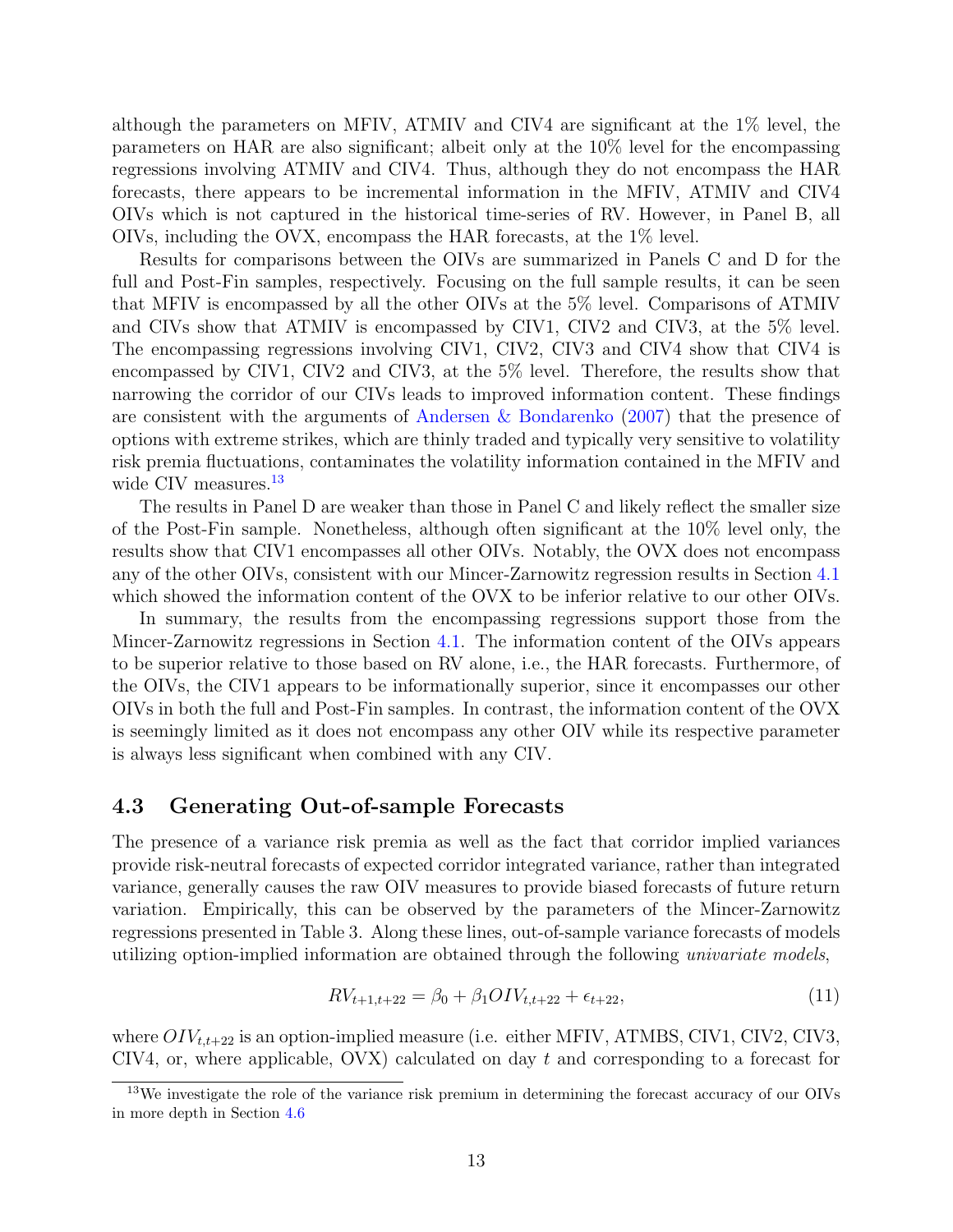although the parameters on MFIV, ATMIV and CIV4 are significant at the 1% level, the parameters on HAR are also significant; albeit only at the 10% level for the encompassing regressions involving ATMIV and CIV4. Thus, although they do not encompass the HAR forecasts, there appears to be incremental information in the MFIV, ATMIV and CIV4 OIVs which is not captured in the historical time-series of RV. However, in Panel B, all OIVs, including the OVX, encompass the HAR forecasts, at the 1% level.

Results for comparisons between the OIVs are summarized in Panels C and D for the full and Post-Fin samples, respectively. Focusing on the full sample results, it can be seen that MFIV is encompassed by all the other OIVs at the 5% level. Comparisons of ATMIV and CIVs show that ATMIV is encompassed by CIV1, CIV2 and CIV3, at the 5% level. The encompassing regressions involving CIV1, CIV2, CIV3 and CIV4 show that CIV4 is encompassed by CIV1, CIV2 and CIV3, at the 5% level. Therefore, the results show that narrowing the corridor of our CIVs leads to improved information content. These findings are consistent with the arguments of Andersen & Bondarenko (2007) that the presence of options with extreme strikes, which are thinly traded and typically very sensitive to volatility risk premia fluctuations, contaminates the volatility information contained in the MFIV and wide CIV measures.<sup>13</sup>

The results in Panel D are weaker than those in Panel C and likely reflect the smaller size of the Post-Fin sample. Nonetheless, although often significant at the 10% level only, the results show that CIV1 encompasses all other OIVs. Notably, the OVX does not encompass any of the other OIVs, consistent with our Mincer-Zarnowitz regression results in Section 4.1 which showed the information content of the OVX to be inferior relative to our other OIVs.

In summary, the results from the encompassing regressions support those from the Mincer-Zarnowitz regressions in Section 4.1. The information content of the OIVs appears to be superior relative to those based on RV alone, i.e., the HAR forecasts. Furthermore, of the OIVs, the CIV1 appears to be informationally superior, since it encompasses our other OIVs in both the full and Post-Fin samples. In contrast, the information content of the OVX is seemingly limited as it does not encompass any other OIV while its respective parameter is always less significant when combined with any CIV.

## 4.3 Generating Out-of-sample Forecasts

The presence of a variance risk premia as well as the fact that corridor implied variances provide risk-neutral forecasts of expected corridor integrated variance, rather than integrated variance, generally causes the raw OIV measures to provide biased forecasts of future return variation. Empirically, this can be observed by the parameters of the Mincer-Zarnowitz regressions presented in Table 3. Along these lines, out-of-sample variance forecasts of models utilizing option-implied information are obtained through the following univariate models,

$$
RV_{t+1,t+22} = \beta_0 + \beta_1 OIV_{t,t+22} + \epsilon_{t+22},
$$
\n(11)

where  $OIV_{t,t+22}$  is an option-implied measure (i.e. either MFIV, ATMBS, CIV1, CIV2, CIV3, CIV4, or, where applicable, OVX) calculated on day t and corresponding to a forecast for

<sup>&</sup>lt;sup>13</sup>We investigate the role of the variance risk premium in determining the forecast accuracy of our OIVs in more depth in Section 4.6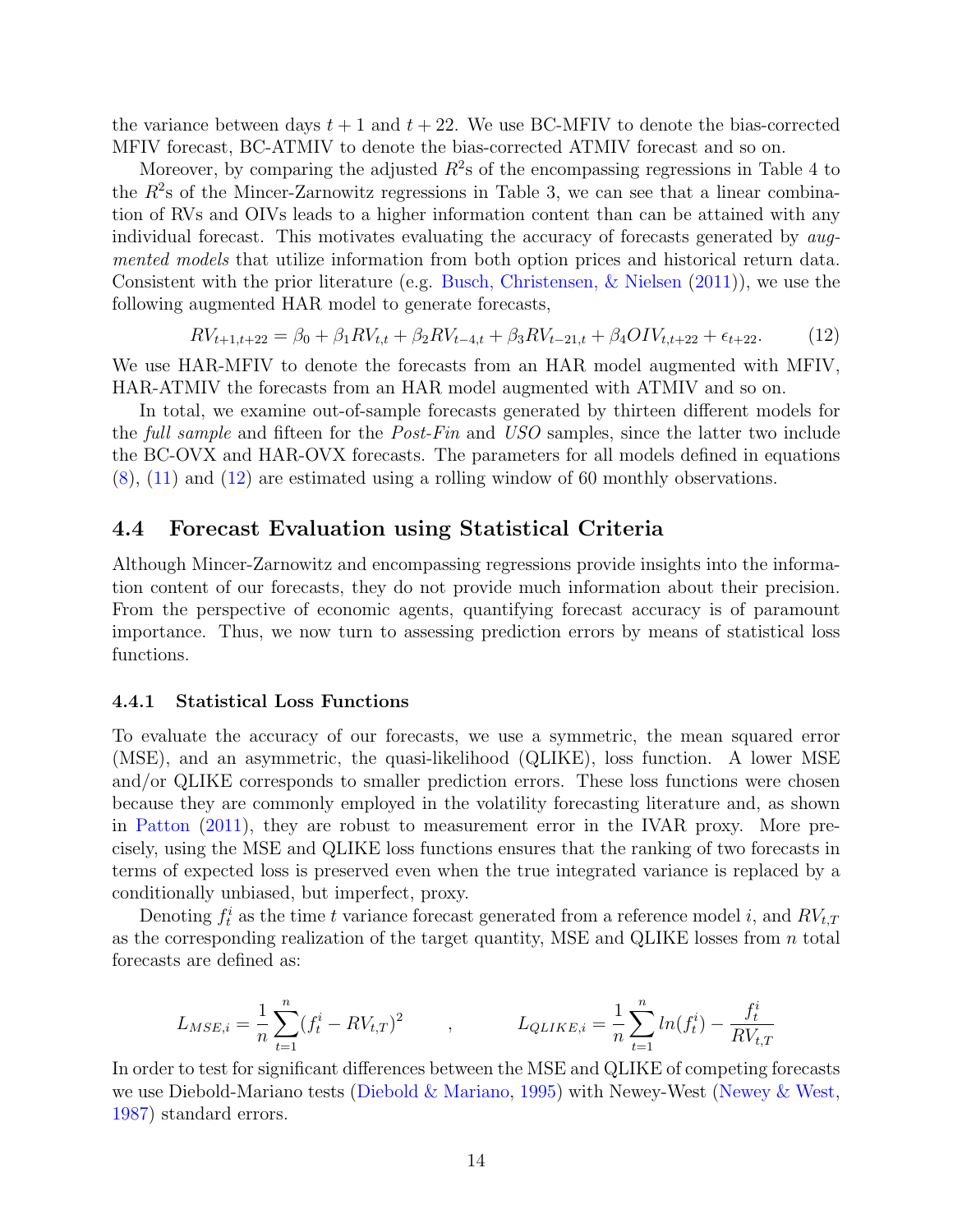the variance between days  $t + 1$  and  $t + 22$ . We use BC-MFIV to denote the bias-corrected MFIV forecast, BC-ATMIV to denote the bias-corrected ATMIV forecast and so on.

Moreover, by comparing the adjusted  $R^2$ s of the encompassing regressions in Table 4 to the  $R<sup>2</sup>$ s of the Mincer-Zarnowitz regressions in Table 3, we can see that a linear combination of RVs and OIVs leads to a higher information content than can be attained with any individual forecast. This motivates evaluating the accuracy of forecasts generated by augmented models that utilize information from both option prices and historical return data. Consistent with the prior literature (e.g. Busch, Christensen, & Nielsen (2011)), we use the following augmented HAR model to generate forecasts,

$$
RV_{t+1,t+22} = \beta_0 + \beta_1 RV_{t,t} + \beta_2 RV_{t-4,t} + \beta_3 RV_{t-21,t} + \beta_4 OIV_{t,t+22} + \epsilon_{t+22}.
$$
 (12)

We use HAR-MFIV to denote the forecasts from an HAR model augmented with MFIV, HAR-ATMIV the forecasts from an HAR model augmented with ATMIV and so on.

In total, we examine out-of-sample forecasts generated by thirteen different models for the full sample and fifteen for the Post-Fin and USO samples, since the latter two include the BC-OVX and HAR-OVX forecasts. The parameters for all models defined in equations (8), (11) and (12) are estimated using a rolling window of 60 monthly observations.

## 4.4 Forecast Evaluation using Statistical Criteria

Although Mincer-Zarnowitz and encompassing regressions provide insights into the information content of our forecasts, they do not provide much information about their precision. From the perspective of economic agents, quantifying forecast accuracy is of paramount importance. Thus, we now turn to assessing prediction errors by means of statistical loss functions.

#### 4.4.1 Statistical Loss Functions

To evaluate the accuracy of our forecasts, we use a symmetric, the mean squared error (MSE), and an asymmetric, the quasi-likelihood (QLIKE), loss function. A lower MSE and/or QLIKE corresponds to smaller prediction errors. These loss functions were chosen because they are commonly employed in the volatility forecasting literature and, as shown in Patton (2011), they are robust to measurement error in the IVAR proxy. More precisely, using the MSE and QLIKE loss functions ensures that the ranking of two forecasts in terms of expected loss is preserved even when the true integrated variance is replaced by a conditionally unbiased, but imperfect, proxy.

Denoting  $f_t^i$  as the time t variance forecast generated from a reference model i, and  $RV_{t,T}$ as the corresponding realization of the target quantity, MSE and QLIKE losses from  $n$  total forecasts are defined as:

$$
L_{MSE,i} = \frac{1}{n} \sum_{t=1}^{n} (f_t^i - RV_{t,T})^2 \qquad , \qquad L_{QLIKE,i} = \frac{1}{n} \sum_{t=1}^{n} ln(f_t^i) - \frac{f_t^i}{RV_{t,T}}
$$

In order to test for significant differences between the MSE and QLIKE of competing forecasts we use Diebold-Mariano tests (Diebold & Mariano, 1995) with Newey-West (Newey & West, 1987) standard errors.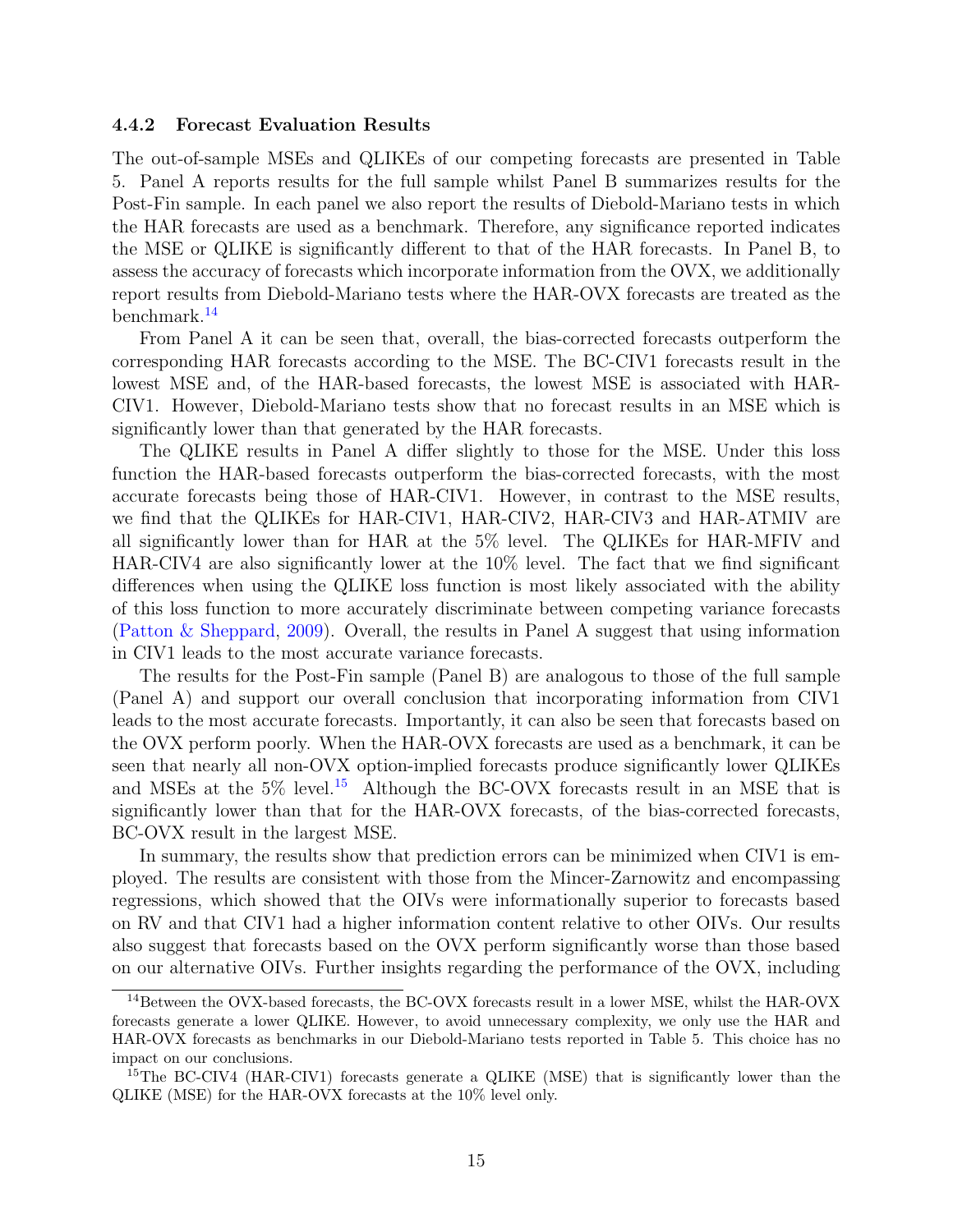#### 4.4.2 Forecast Evaluation Results

The out-of-sample MSEs and QLIKEs of our competing forecasts are presented in Table 5. Panel A reports results for the full sample whilst Panel B summarizes results for the Post-Fin sample. In each panel we also report the results of Diebold-Mariano tests in which the HAR forecasts are used as a benchmark. Therefore, any significance reported indicates the MSE or QLIKE is significantly different to that of the HAR forecasts. In Panel B, to assess the accuracy of forecasts which incorporate information from the OVX, we additionally report results from Diebold-Mariano tests where the HAR-OVX forecasts are treated as the benchmark.<sup>14</sup>

From Panel A it can be seen that, overall, the bias-corrected forecasts outperform the corresponding HAR forecasts according to the MSE. The BC-CIV1 forecasts result in the lowest MSE and, of the HAR-based forecasts, the lowest MSE is associated with HAR-CIV1. However, Diebold-Mariano tests show that no forecast results in an MSE which is significantly lower than that generated by the HAR forecasts.

The QLIKE results in Panel A differ slightly to those for the MSE. Under this loss function the HAR-based forecasts outperform the bias-corrected forecasts, with the most accurate forecasts being those of HAR-CIV1. However, in contrast to the MSE results, we find that the QLIKEs for HAR-CIV1, HAR-CIV2, HAR-CIV3 and HAR-ATMIV are all significantly lower than for HAR at the 5% level. The QLIKEs for HAR-MFIV and HAR-CIV4 are also significantly lower at the 10% level. The fact that we find significant differences when using the QLIKE loss function is most likely associated with the ability of this loss function to more accurately discriminate between competing variance forecasts (Patton & Sheppard, 2009). Overall, the results in Panel A suggest that using information in CIV1 leads to the most accurate variance forecasts.

The results for the Post-Fin sample (Panel B) are analogous to those of the full sample (Panel A) and support our overall conclusion that incorporating information from CIV1 leads to the most accurate forecasts. Importantly, it can also be seen that forecasts based on the OVX perform poorly. When the HAR-OVX forecasts are used as a benchmark, it can be seen that nearly all non-OVX option-implied forecasts produce significantly lower QLIKEs and MSEs at the  $5\%$  level.<sup>15</sup> Although the BC-OVX forecasts result in an MSE that is significantly lower than that for the HAR-OVX forecasts, of the bias-corrected forecasts, BC-OVX result in the largest MSE.

In summary, the results show that prediction errors can be minimized when CIV1 is employed. The results are consistent with those from the Mincer-Zarnowitz and encompassing regressions, which showed that the OIVs were informationally superior to forecasts based on RV and that CIV1 had a higher information content relative to other OIVs. Our results also suggest that forecasts based on the OVX perform significantly worse than those based on our alternative OIVs. Further insights regarding the performance of the OVX, including

 $^{14}\rm{Between}$  the OVX-based forecasts, the BC-OVX forecasts result in a lower MSE, whilst the HAR-OVX forecasts generate a lower QLIKE. However, to avoid unnecessary complexity, we only use the HAR and HAR-OVX forecasts as benchmarks in our Diebold-Mariano tests reported in Table 5. This choice has no impact on our conclusions.

<sup>&</sup>lt;sup>15</sup>The BC-CIV4 (HAR-CIV1) forecasts generate a QLIKE (MSE) that is significantly lower than the QLIKE (MSE) for the HAR-OVX forecasts at the 10% level only.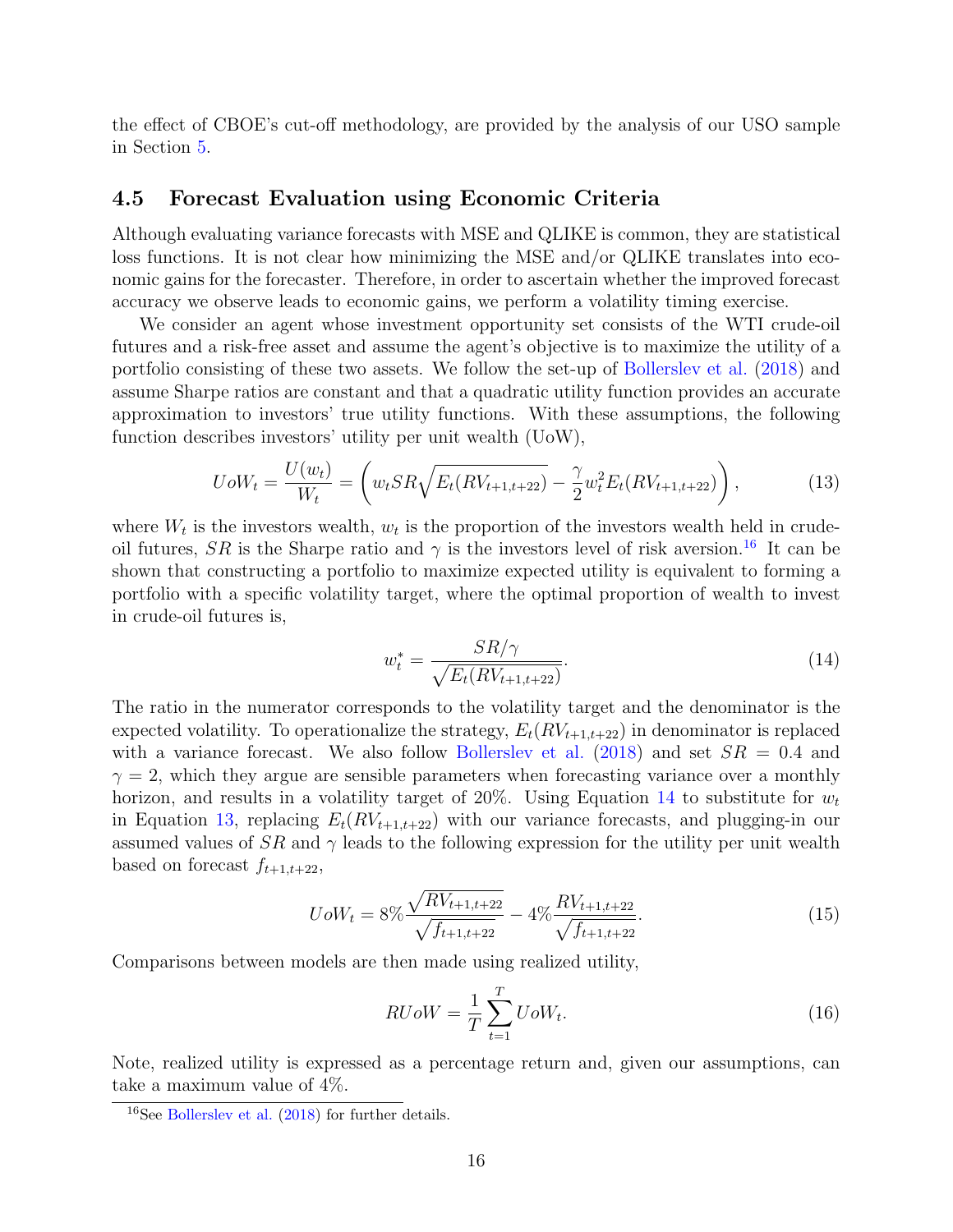the effect of CBOE's cut-off methodology, are provided by the analysis of our USO sample in Section 5.

## 4.5 Forecast Evaluation using Economic Criteria

Although evaluating variance forecasts with MSE and QLIKE is common, they are statistical loss functions. It is not clear how minimizing the MSE and/or QLIKE translates into economic gains for the forecaster. Therefore, in order to ascertain whether the improved forecast accuracy we observe leads to economic gains, we perform a volatility timing exercise.

We consider an agent whose investment opportunity set consists of the WTI crude-oil futures and a risk-free asset and assume the agent's objective is to maximize the utility of a portfolio consisting of these two assets. We follow the set-up of Bollerslev et al. (2018) and assume Sharpe ratios are constant and that a quadratic utility function provides an accurate approximation to investors' true utility functions. With these assumptions, the following function describes investors' utility per unit wealth (UoW),

$$
UoW_t = \frac{U(w_t)}{W_t} = \left(w_t SR \sqrt{E_t(RV_{t+1,t+22})} - \frac{\gamma}{2} w_t^2 E_t(RV_{t+1,t+22})\right),\tag{13}
$$

where  $W_t$  is the investors wealth,  $w_t$  is the proportion of the investors wealth held in crudeoil futures, SR is the Sharpe ratio and  $\gamma$  is the investors level of risk aversion.<sup>16</sup> It can be shown that constructing a portfolio to maximize expected utility is equivalent to forming a portfolio with a specific volatility target, where the optimal proportion of wealth to invest in crude-oil futures is,

$$
w_t^* = \frac{SR/\gamma}{\sqrt{E_t(RV_{t+1,t+22})}}.\t(14)
$$

The ratio in the numerator corresponds to the volatility target and the denominator is the expected volatility. To operationalize the strategy,  $E_t(RV_{t+1,t+22})$  in denominator is replaced with a variance forecast. We also follow Bollerslev et al.  $(2018)$  and set  $SR = 0.4$  and  $\gamma = 2$ , which they argue are sensible parameters when forecasting variance over a monthly horizon, and results in a volatility target of 20%. Using Equation 14 to substitute for  $w_t$ in Equation 13, replacing  $E_t(RV_{t+1,t+22})$  with our variance forecasts, and plugging-in our assumed values of  $SR$  and  $\gamma$  leads to the following expression for the utility per unit wealth based on forecast  $f_{t+1,t+22}$ ,

$$
UoW_t = 8\% \frac{\sqrt{RV_{t+1,t+22}}}{\sqrt{f_{t+1,t+22}}} - 4\% \frac{RV_{t+1,t+22}}{\sqrt{f_{t+1,t+22}}}.
$$
\n(15)

Comparisons between models are then made using realized utility,

$$
RUoW = \frac{1}{T} \sum_{t=1}^{T} UoW_t.
$$
\n
$$
(16)
$$

Note, realized utility is expressed as a percentage return and, given our assumptions, can take a maximum value of 4%.

<sup>16</sup>See Bollerslev et al. (2018) for further details.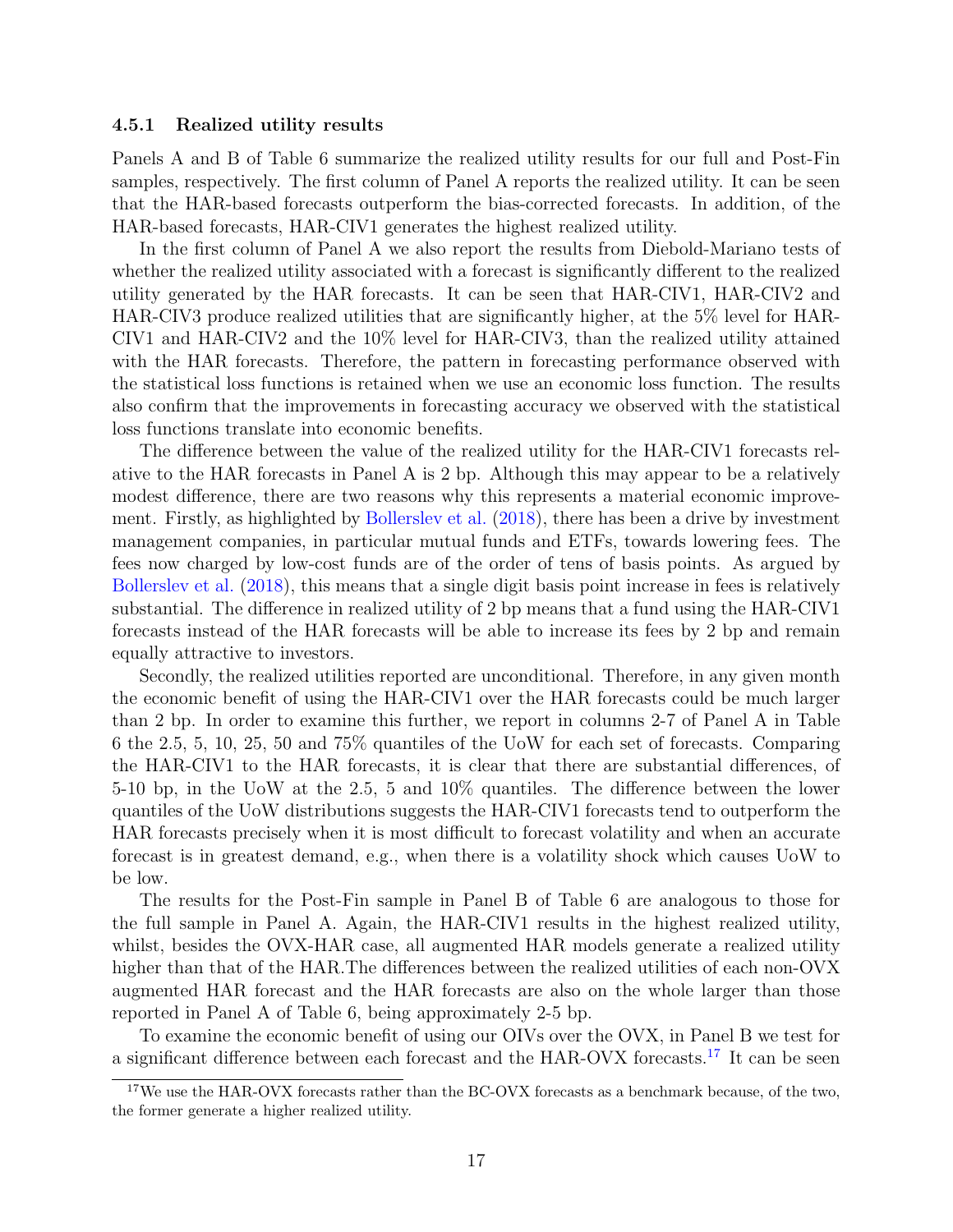#### 4.5.1 Realized utility results

Panels A and B of Table 6 summarize the realized utility results for our full and Post-Fin samples, respectively. The first column of Panel A reports the realized utility. It can be seen that the HAR-based forecasts outperform the bias-corrected forecasts. In addition, of the HAR-based forecasts, HAR-CIV1 generates the highest realized utility.

In the first column of Panel A we also report the results from Diebold-Mariano tests of whether the realized utility associated with a forecast is significantly different to the realized utility generated by the HAR forecasts. It can be seen that HAR-CIV1, HAR-CIV2 and HAR-CIV3 produce realized utilities that are significantly higher, at the 5% level for HAR-CIV1 and HAR-CIV2 and the 10% level for HAR-CIV3, than the realized utility attained with the HAR forecasts. Therefore, the pattern in forecasting performance observed with the statistical loss functions is retained when we use an economic loss function. The results also confirm that the improvements in forecasting accuracy we observed with the statistical loss functions translate into economic benefits.

The difference between the value of the realized utility for the HAR-CIV1 forecasts relative to the HAR forecasts in Panel A is 2 bp. Although this may appear to be a relatively modest difference, there are two reasons why this represents a material economic improvement. Firstly, as highlighted by Bollerslev et al. (2018), there has been a drive by investment management companies, in particular mutual funds and ETFs, towards lowering fees. The fees now charged by low-cost funds are of the order of tens of basis points. As argued by Bollerslev et al. (2018), this means that a single digit basis point increase in fees is relatively substantial. The difference in realized utility of 2 bp means that a fund using the HAR-CIV1 forecasts instead of the HAR forecasts will be able to increase its fees by 2 bp and remain equally attractive to investors.

Secondly, the realized utilities reported are unconditional. Therefore, in any given month the economic benefit of using the HAR-CIV1 over the HAR forecasts could be much larger than 2 bp. In order to examine this further, we report in columns 2-7 of Panel A in Table 6 the 2.5, 5, 10, 25, 50 and 75% quantiles of the UoW for each set of forecasts. Comparing the HAR-CIV1 to the HAR forecasts, it is clear that there are substantial differences, of 5-10 bp, in the UoW at the 2.5, 5 and 10% quantiles. The difference between the lower quantiles of the UoW distributions suggests the HAR-CIV1 forecasts tend to outperform the HAR forecasts precisely when it is most difficult to forecast volatility and when an accurate forecast is in greatest demand, e.g., when there is a volatility shock which causes UoW to be low.

The results for the Post-Fin sample in Panel B of Table 6 are analogous to those for the full sample in Panel A. Again, the HAR-CIV1 results in the highest realized utility, whilst, besides the OVX-HAR case, all augmented HAR models generate a realized utility higher than that of the HAR.The differences between the realized utilities of each non-OVX augmented HAR forecast and the HAR forecasts are also on the whole larger than those reported in Panel A of Table 6, being approximately 2-5 bp.

To examine the economic benefit of using our OIVs over the OVX, in Panel B we test for a significant difference between each forecast and the HAR-OVX forecasts.<sup>17</sup> It can be seen

 $17$ We use the HAR-OVX forecasts rather than the BC-OVX forecasts as a benchmark because, of the two, the former generate a higher realized utility.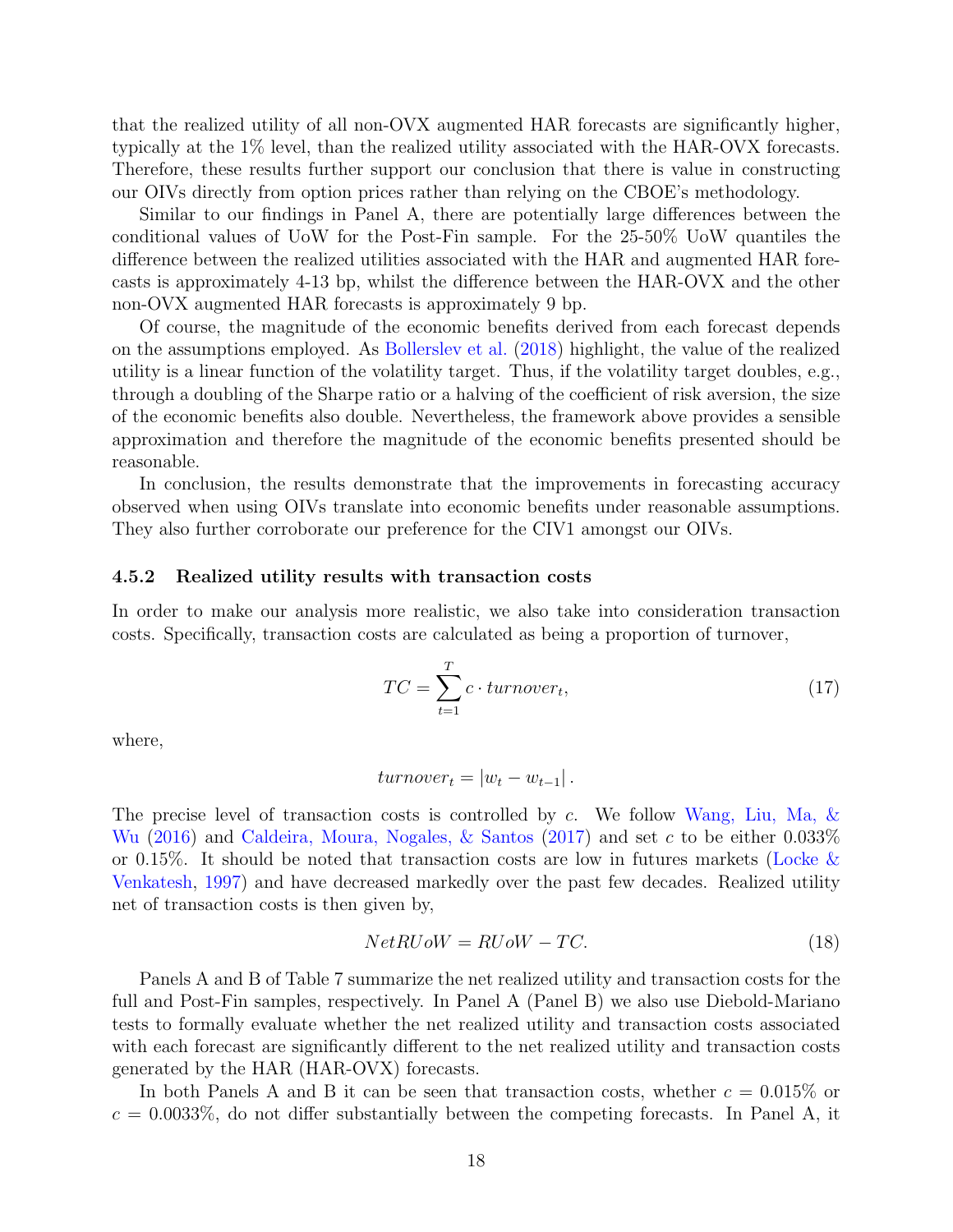that the realized utility of all non-OVX augmented HAR forecasts are significantly higher, typically at the 1% level, than the realized utility associated with the HAR-OVX forecasts. Therefore, these results further support our conclusion that there is value in constructing our OIVs directly from option prices rather than relying on the CBOE's methodology.

Similar to our findings in Panel A, there are potentially large differences between the conditional values of UoW for the Post-Fin sample. For the 25-50% UoW quantiles the difference between the realized utilities associated with the HAR and augmented HAR forecasts is approximately 4-13 bp, whilst the difference between the HAR-OVX and the other non-OVX augmented HAR forecasts is approximately 9 bp.

Of course, the magnitude of the economic benefits derived from each forecast depends on the assumptions employed. As Bollerslev et al. (2018) highlight, the value of the realized utility is a linear function of the volatility target. Thus, if the volatility target doubles, e.g., through a doubling of the Sharpe ratio or a halving of the coefficient of risk aversion, the size of the economic benefits also double. Nevertheless, the framework above provides a sensible approximation and therefore the magnitude of the economic benefits presented should be reasonable.

In conclusion, the results demonstrate that the improvements in forecasting accuracy observed when using OIVs translate into economic benefits under reasonable assumptions. They also further corroborate our preference for the CIV1 amongst our OIVs.

#### 4.5.2 Realized utility results with transaction costs

In order to make our analysis more realistic, we also take into consideration transaction costs. Specifically, transaction costs are calculated as being a proportion of turnover,

$$
TC = \sum_{t=1}^{T} c \cdot turnover_t,
$$
\n(17)

where,

$$
turnover_t = |w_t - w_{t-1}|.
$$

The precise level of transaction costs is controlled by c. We follow Wang, Liu, Ma, & Wu (2016) and Caldeira, Moura, Nogales,  $\&$  Santos (2017) and set c to be either 0.033% or 0.15%. It should be noted that transaction costs are low in futures markets (Locke  $\&$ Venkatesh, 1997) and have decreased markedly over the past few decades. Realized utility net of transaction costs is then given by,

$$
NetRUoW = RUoW - TC.
$$
\n
$$
(18)
$$

Panels A and B of Table 7 summarize the net realized utility and transaction costs for the full and Post-Fin samples, respectively. In Panel A (Panel B) we also use Diebold-Mariano tests to formally evaluate whether the net realized utility and transaction costs associated with each forecast are significantly different to the net realized utility and transaction costs generated by the HAR (HAR-OVX) forecasts.

In both Panels A and B it can be seen that transaction costs, whether  $c = 0.015\%$  or  $c = 0.0033\%$ , do not differ substantially between the competing forecasts. In Panel A, it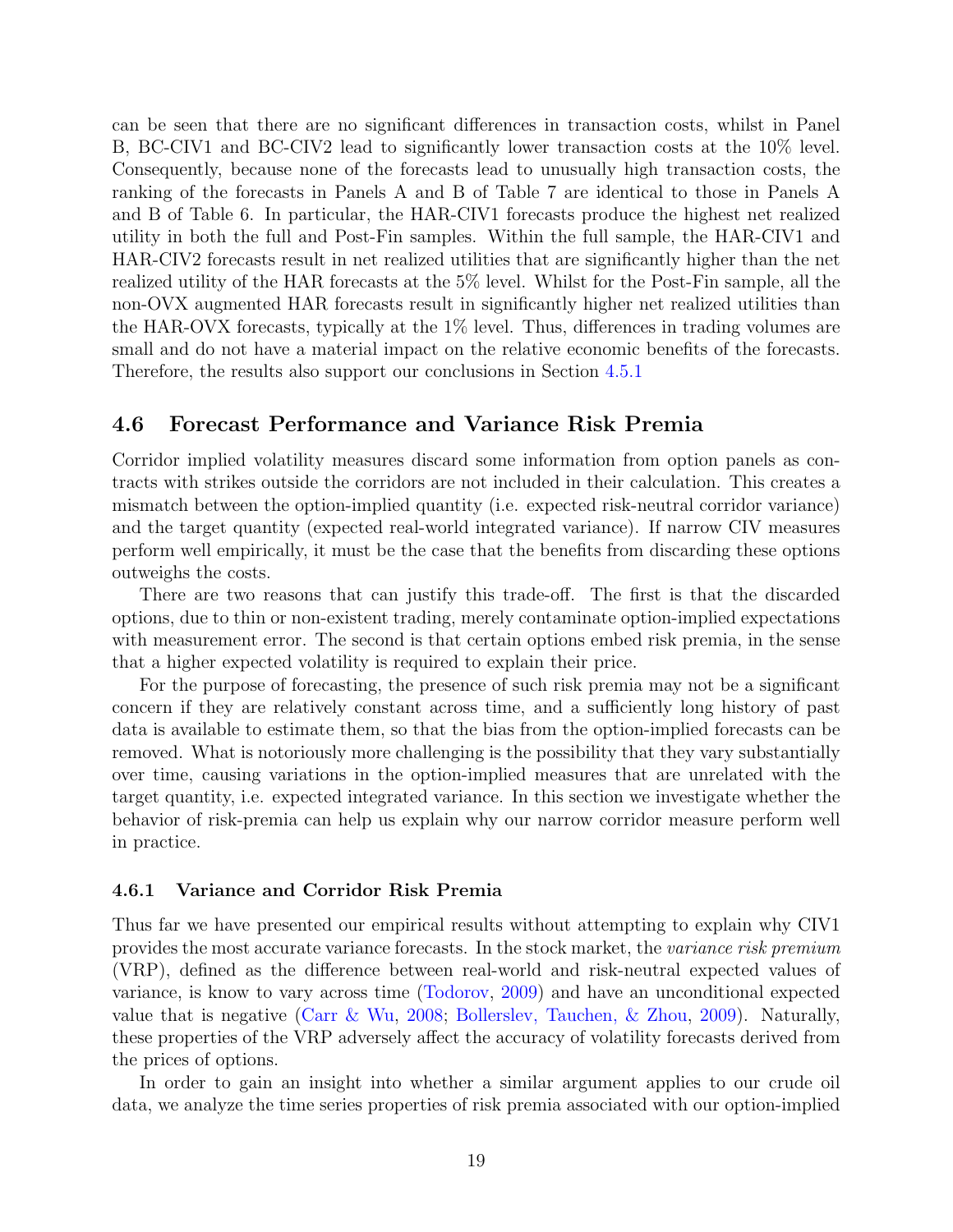can be seen that there are no significant differences in transaction costs, whilst in Panel B, BC-CIV1 and BC-CIV2 lead to significantly lower transaction costs at the 10% level. Consequently, because none of the forecasts lead to unusually high transaction costs, the ranking of the forecasts in Panels A and B of Table 7 are identical to those in Panels A and B of Table 6. In particular, the HAR-CIV1 forecasts produce the highest net realized utility in both the full and Post-Fin samples. Within the full sample, the HAR-CIV1 and HAR-CIV2 forecasts result in net realized utilities that are significantly higher than the net realized utility of the HAR forecasts at the 5% level. Whilst for the Post-Fin sample, all the non-OVX augmented HAR forecasts result in significantly higher net realized utilities than the HAR-OVX forecasts, typically at the 1% level. Thus, differences in trading volumes are small and do not have a material impact on the relative economic benefits of the forecasts. Therefore, the results also support our conclusions in Section 4.5.1

## 4.6 Forecast Performance and Variance Risk Premia

Corridor implied volatility measures discard some information from option panels as contracts with strikes outside the corridors are not included in their calculation. This creates a mismatch between the option-implied quantity (i.e. expected risk-neutral corridor variance) and the target quantity (expected real-world integrated variance). If narrow CIV measures perform well empirically, it must be the case that the benefits from discarding these options outweighs the costs.

There are two reasons that can justify this trade-off. The first is that the discarded options, due to thin or non-existent trading, merely contaminate option-implied expectations with measurement error. The second is that certain options embed risk premia, in the sense that a higher expected volatility is required to explain their price.

For the purpose of forecasting, the presence of such risk premia may not be a significant concern if they are relatively constant across time, and a sufficiently long history of past data is available to estimate them, so that the bias from the option-implied forecasts can be removed. What is notoriously more challenging is the possibility that they vary substantially over time, causing variations in the option-implied measures that are unrelated with the target quantity, i.e. expected integrated variance. In this section we investigate whether the behavior of risk-premia can help us explain why our narrow corridor measure perform well in practice.

#### 4.6.1 Variance and Corridor Risk Premia

Thus far we have presented our empirical results without attempting to explain why CIV1 provides the most accurate variance forecasts. In the stock market, the variance risk premium (VRP), defined as the difference between real-world and risk-neutral expected values of variance, is know to vary across time (Todorov, 2009) and have an unconditional expected value that is negative (Carr & Wu, 2008; Bollerslev, Tauchen, & Zhou, 2009). Naturally, these properties of the VRP adversely affect the accuracy of volatility forecasts derived from the prices of options.

In order to gain an insight into whether a similar argument applies to our crude oil data, we analyze the time series properties of risk premia associated with our option-implied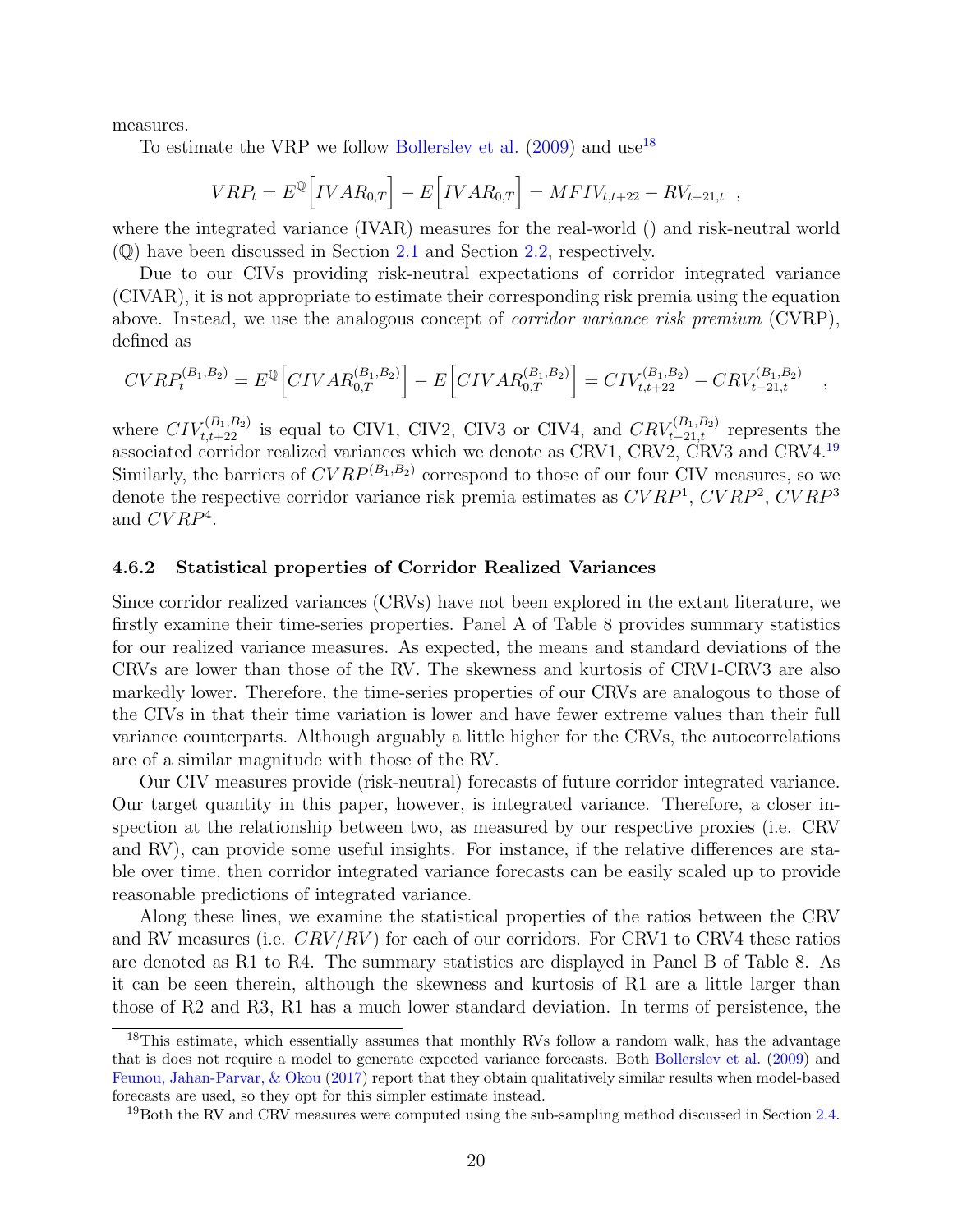measures.

To estimate the VRP we follow Bollerslev et al.  $(2009)$  and use<sup>18</sup>

$$
VRP_t = E^{\mathbb{Q}} \Big[ IVAR_{0,T} \Big] - E \Big[ IVAR_{0,T} \Big] = MFIV_{t,t+22} - RV_{t-21,t} ,
$$

where the integrated variance (IVAR) measures for the real-world () and risk-neutral world (Q) have been discussed in Section 2.1 and Section 2.2, respectively.

Due to our CIVs providing risk-neutral expectations of corridor integrated variance (CIVAR), it is not appropriate to estimate their corresponding risk premia using the equation above. Instead, we use the analogous concept of corridor variance risk premium (CVRP), defined as

$$
CVRP_t^{(B_1,B_2)} = E^{\mathbb{Q}} \Big[ CIVAR_{0,T}^{(B_1,B_2)} \Big] - E \Big[ CIVAR_{0,T}^{(B_1,B_2)} \Big] = CIV_{t,t+22}^{(B_1,B_2)} - CRV_{t-21,t}^{(B_1,B_2)} \quad ,
$$

where  $CIV_{t,t+22}^{(B_1,B_2)}$  is equal to CIV1, CIV2, CIV3 or CIV4, and  $CRV_{t-21,t}^{(B_1,B_2)}$  represents the associated corridor realized variances which we denote as CRV1, CRV2, CRV3 and CRV4.<sup>19</sup> Similarly, the barriers of  $CVRP^{(B_1,B_2)}$  correspond to those of our four CIV measures, so we denote the respective corridor variance risk premia estimates as  $CVRP<sup>1</sup>$ ,  $CVRP<sup>2</sup>$ ,  $CVRP<sup>3</sup>$ and  $CVRP<sup>4</sup>$ .

#### 4.6.2 Statistical properties of Corridor Realized Variances

Since corridor realized variances (CRVs) have not been explored in the extant literature, we firstly examine their time-series properties. Panel A of Table 8 provides summary statistics for our realized variance measures. As expected, the means and standard deviations of the CRVs are lower than those of the RV. The skewness and kurtosis of CRV1-CRV3 are also markedly lower. Therefore, the time-series properties of our CRVs are analogous to those of the CIVs in that their time variation is lower and have fewer extreme values than their full variance counterparts. Although arguably a little higher for the CRVs, the autocorrelations are of a similar magnitude with those of the RV.

Our CIV measures provide (risk-neutral) forecasts of future corridor integrated variance. Our target quantity in this paper, however, is integrated variance. Therefore, a closer inspection at the relationship between two, as measured by our respective proxies (i.e. CRV and RV), can provide some useful insights. For instance, if the relative differences are stable over time, then corridor integrated variance forecasts can be easily scaled up to provide reasonable predictions of integrated variance.

Along these lines, we examine the statistical properties of the ratios between the CRV and RV measures (i.e.  $CRV/RV$ ) for each of our corridors. For CRV1 to CRV4 these ratios are denoted as R1 to R4. The summary statistics are displayed in Panel B of Table 8. As it can be seen therein, although the skewness and kurtosis of R1 are a little larger than those of R2 and R3, R1 has a much lower standard deviation. In terms of persistence, the

<sup>&</sup>lt;sup>18</sup>This estimate, which essentially assumes that monthly RVs follow a random walk, has the advantage that is does not require a model to generate expected variance forecasts. Both Bollerslev et al. (2009) and Feunou, Jahan-Parvar, & Okou (2017) report that they obtain qualitatively similar results when model-based forecasts are used, so they opt for this simpler estimate instead.

 $19$ Both the RV and CRV measures were computed using the sub-sampling method discussed in Section 2.4.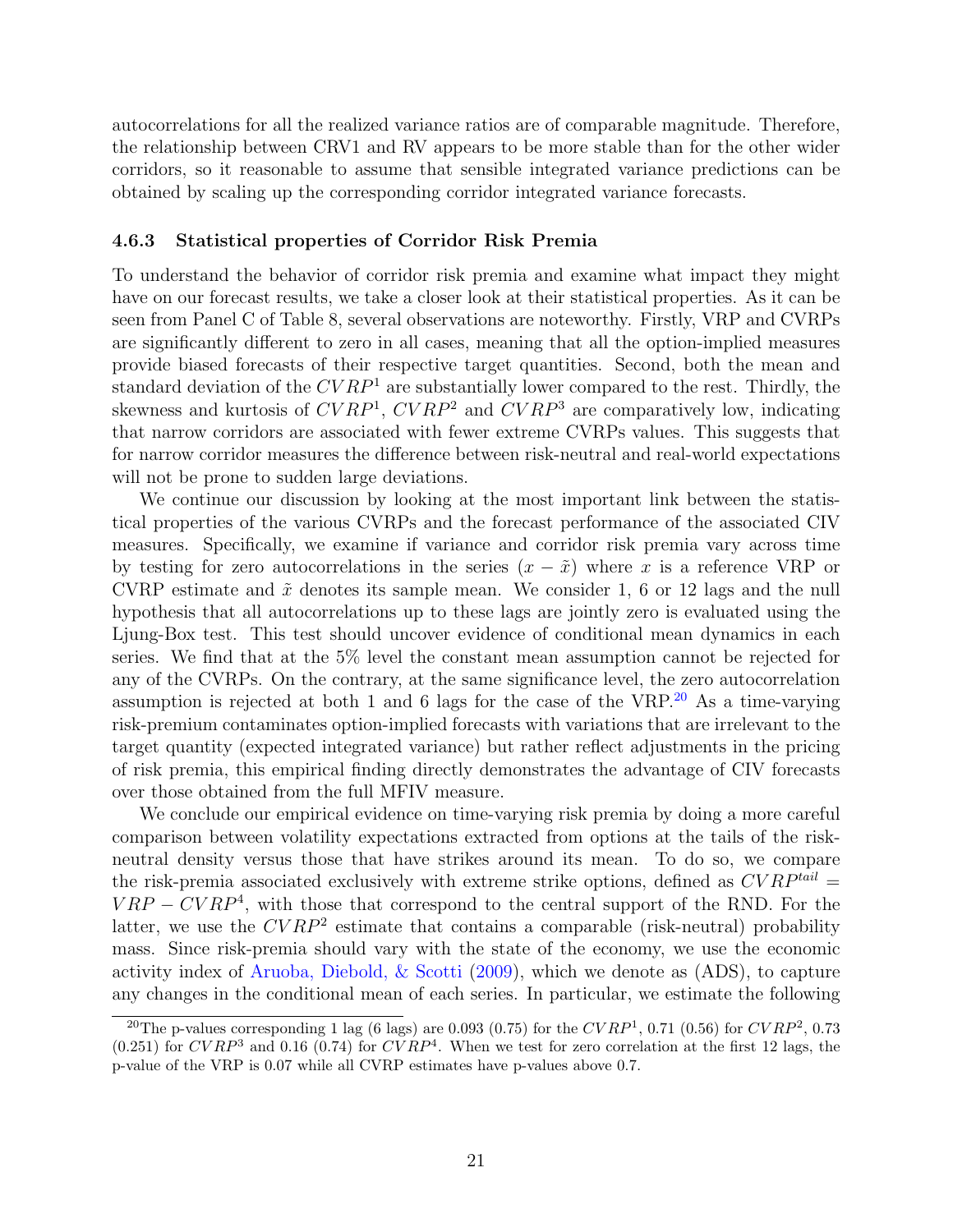autocorrelations for all the realized variance ratios are of comparable magnitude. Therefore, the relationship between CRV1 and RV appears to be more stable than for the other wider corridors, so it reasonable to assume that sensible integrated variance predictions can be obtained by scaling up the corresponding corridor integrated variance forecasts.

#### 4.6.3 Statistical properties of Corridor Risk Premia

To understand the behavior of corridor risk premia and examine what impact they might have on our forecast results, we take a closer look at their statistical properties. As it can be seen from Panel C of Table 8, several observations are noteworthy. Firstly, VRP and CVRPs are significantly different to zero in all cases, meaning that all the option-implied measures provide biased forecasts of their respective target quantities. Second, both the mean and standard deviation of the  $CVRP<sup>1</sup>$  are substantially lower compared to the rest. Thirdly, the skewness and kurtosis of  $CVRP<sup>1</sup>$ ,  $CVRP<sup>2</sup>$  and  $CVRP<sup>3</sup>$  are comparatively low, indicating that narrow corridors are associated with fewer extreme CVRPs values. This suggests that for narrow corridor measures the difference between risk-neutral and real-world expectations will not be prone to sudden large deviations.

We continue our discussion by looking at the most important link between the statistical properties of the various CVRPs and the forecast performance of the associated CIV measures. Specifically, we examine if variance and corridor risk premia vary across time by testing for zero autocorrelations in the series  $(x - \tilde{x})$  where x is a reference VRP or CVRP estimate and  $\tilde{x}$  denotes its sample mean. We consider 1, 6 or 12 lags and the null hypothesis that all autocorrelations up to these lags are jointly zero is evaluated using the Ljung-Box test. This test should uncover evidence of conditional mean dynamics in each series. We find that at the 5% level the constant mean assumption cannot be rejected for any of the CVRPs. On the contrary, at the same significance level, the zero autocorrelation assumption is rejected at both 1 and 6 lags for the case of the  $VRP<sup>20</sup>$  As a time-varying risk-premium contaminates option-implied forecasts with variations that are irrelevant to the target quantity (expected integrated variance) but rather reflect adjustments in the pricing of risk premia, this empirical finding directly demonstrates the advantage of CIV forecasts over those obtained from the full MFIV measure.

We conclude our empirical evidence on time-varying risk premia by doing a more careful comparison between volatility expectations extracted from options at the tails of the riskneutral density versus those that have strikes around its mean. To do so, we compare the risk-premia associated exclusively with extreme strike options, defined as  $CVRP^{tail} =$  $VRP - CVRP<sup>4</sup>$ , with those that correspond to the central support of the RND. For the latter, we use the  $CVRP^2$  estimate that contains a comparable (risk-neutral) probability mass. Since risk-premia should vary with the state of the economy, we use the economic activity index of Aruoba, Diebold, & Scotti (2009), which we denote as (ADS), to capture any changes in the conditional mean of each series. In particular, we estimate the following

<sup>&</sup>lt;sup>20</sup>The p-values corresponding 1 lag (6 lags) are 0.093 (0.75) for the  $CVRP<sup>1</sup>$ , 0.71 (0.56) for  $CVRP<sup>2</sup>$ , 0.73  $(0.251)$  for  $CVRP^3$  and 0.16  $(0.74)$  for  $CVRP^4$ . When we test for zero correlation at the first 12 lags, the p-value of the VRP is 0.07 while all CVRP estimates have p-values above 0.7.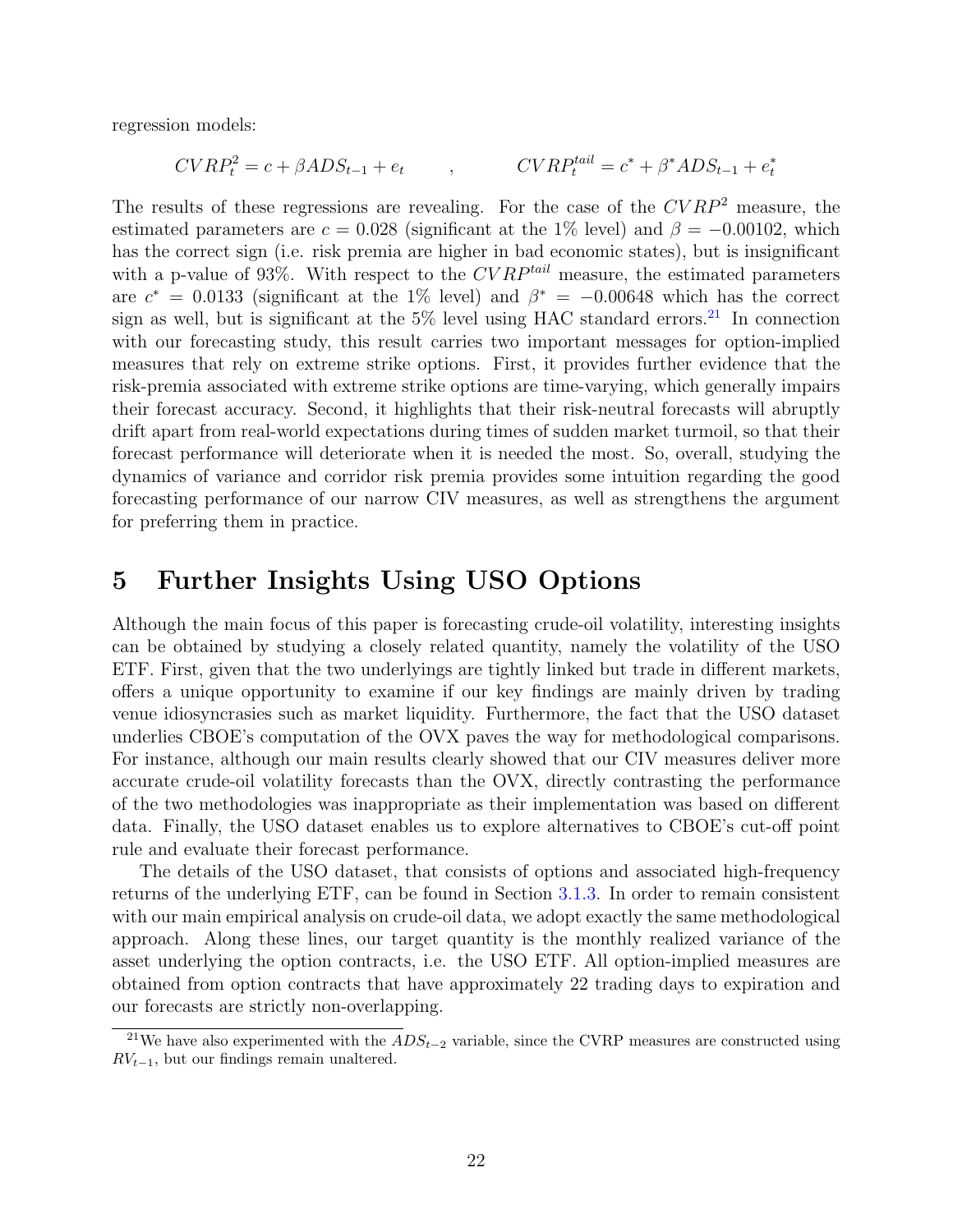regression models:

$$
CVRP_t^2 = c + \beta ADS_{t-1} + e_t , \qquad \qquad CVRP_t^{tail} = c^* + \beta^* ADS_{t-1} + e_t^*
$$

The results of these regressions are revealing. For the case of the  $CVRP^2$  measure, the estimated parameters are  $c = 0.028$  (significant at the 1% level) and  $\beta = -0.00102$ , which has the correct sign (i.e. risk premia are higher in bad economic states), but is insignificant with a p-value of 93\%. With respect to the  $CVRP^{tail}$  measure, the estimated parameters are  $c^* = 0.0133$  (significant at the 1% level) and  $\beta^* = -0.00648$  which has the correct sign as well, but is significant at the  $5\%$  level using HAC standard errors.<sup>21</sup> In connection with our forecasting study, this result carries two important messages for option-implied measures that rely on extreme strike options. First, it provides further evidence that the risk-premia associated with extreme strike options are time-varying, which generally impairs their forecast accuracy. Second, it highlights that their risk-neutral forecasts will abruptly drift apart from real-world expectations during times of sudden market turmoil, so that their forecast performance will deteriorate when it is needed the most. So, overall, studying the dynamics of variance and corridor risk premia provides some intuition regarding the good forecasting performance of our narrow CIV measures, as well as strengthens the argument for preferring them in practice.

# 5 Further Insights Using USO Options

Although the main focus of this paper is forecasting crude-oil volatility, interesting insights can be obtained by studying a closely related quantity, namely the volatility of the USO ETF. First, given that the two underlyings are tightly linked but trade in different markets, offers a unique opportunity to examine if our key findings are mainly driven by trading venue idiosyncrasies such as market liquidity. Furthermore, the fact that the USO dataset underlies CBOE's computation of the OVX paves the way for methodological comparisons. For instance, although our main results clearly showed that our CIV measures deliver more accurate crude-oil volatility forecasts than the OVX, directly contrasting the performance of the two methodologies was inappropriate as their implementation was based on different data. Finally, the USO dataset enables us to explore alternatives to CBOE's cut-off point rule and evaluate their forecast performance.

The details of the USO dataset, that consists of options and associated high-frequency returns of the underlying ETF, can be found in Section 3.1.3. In order to remain consistent with our main empirical analysis on crude-oil data, we adopt exactly the same methodological approach. Along these lines, our target quantity is the monthly realized variance of the asset underlying the option contracts, i.e. the USO ETF. All option-implied measures are obtained from option contracts that have approximately 22 trading days to expiration and our forecasts are strictly non-overlapping.

<sup>&</sup>lt;sup>21</sup>We have also experimented with the  $ADS_{t-2}$  variable, since the CVRP measures are constructed using  $RV_{t-1}$ , but our findings remain unaltered.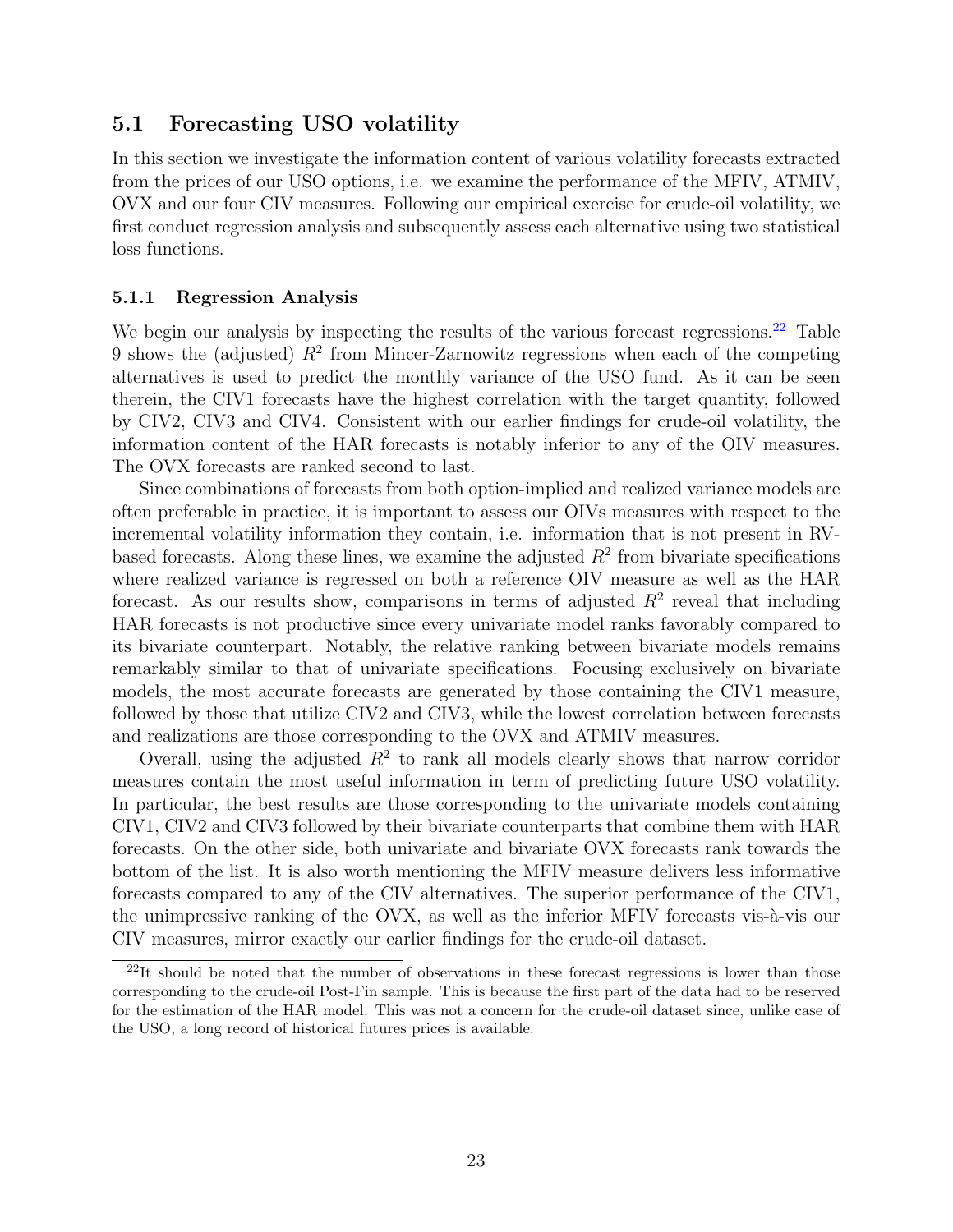## 5.1 Forecasting USO volatility

In this section we investigate the information content of various volatility forecasts extracted from the prices of our USO options, i.e. we examine the performance of the MFIV, ATMIV, OVX and our four CIV measures. Following our empirical exercise for crude-oil volatility, we first conduct regression analysis and subsequently assess each alternative using two statistical loss functions.

## 5.1.1 Regression Analysis

We begin our analysis by inspecting the results of the various forecast regressions.<sup>22</sup> Table 9 shows the (adjusted)  $R^2$  from Mincer-Zarnowitz regressions when each of the competing alternatives is used to predict the monthly variance of the USO fund. As it can be seen therein, the CIV1 forecasts have the highest correlation with the target quantity, followed by CIV2, CIV3 and CIV4. Consistent with our earlier findings for crude-oil volatility, the information content of the HAR forecasts is notably inferior to any of the OIV measures. The OVX forecasts are ranked second to last.

Since combinations of forecasts from both option-implied and realized variance models are often preferable in practice, it is important to assess our OIVs measures with respect to the incremental volatility information they contain, i.e. information that is not present in RVbased forecasts. Along these lines, we examine the adjusted  $R^2$  from bivariate specifications where realized variance is regressed on both a reference OIV measure as well as the HAR forecast. As our results show, comparisons in terms of adjusted  $R^2$  reveal that including HAR forecasts is not productive since every univariate model ranks favorably compared to its bivariate counterpart. Notably, the relative ranking between bivariate models remains remarkably similar to that of univariate specifications. Focusing exclusively on bivariate models, the most accurate forecasts are generated by those containing the CIV1 measure, followed by those that utilize CIV2 and CIV3, while the lowest correlation between forecasts and realizations are those corresponding to the OVX and ATMIV measures.

Overall, using the adjusted  $R^2$  to rank all models clearly shows that narrow corridor measures contain the most useful information in term of predicting future USO volatility. In particular, the best results are those corresponding to the univariate models containing CIV1, CIV2 and CIV3 followed by their bivariate counterparts that combine them with HAR forecasts. On the other side, both univariate and bivariate OVX forecasts rank towards the bottom of the list. It is also worth mentioning the MFIV measure delivers less informative forecasts compared to any of the CIV alternatives. The superior performance of the CIV1, the unimpressive ranking of the OVX, as well as the inferior MFIV forecasts vis- $\grave{a}$ -vis our CIV measures, mirror exactly our earlier findings for the crude-oil dataset.

 $^{22}$ It should be noted that the number of observations in these forecast regressions is lower than those corresponding to the crude-oil Post-Fin sample. This is because the first part of the data had to be reserved for the estimation of the HAR model. This was not a concern for the crude-oil dataset since, unlike case of the USO, a long record of historical futures prices is available.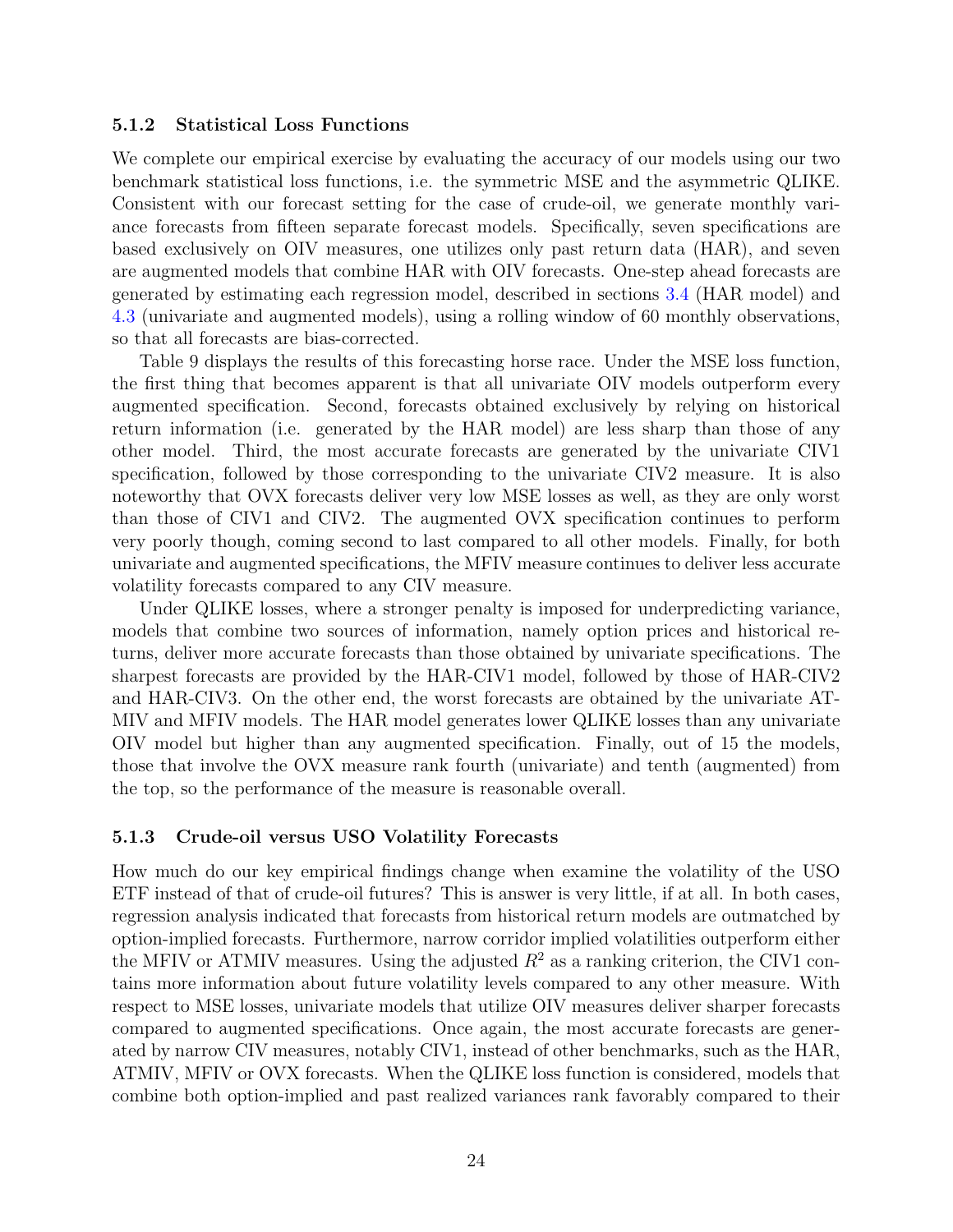#### 5.1.2 Statistical Loss Functions

We complete our empirical exercise by evaluating the accuracy of our models using our two benchmark statistical loss functions, i.e. the symmetric MSE and the asymmetric QLIKE. Consistent with our forecast setting for the case of crude-oil, we generate monthly variance forecasts from fifteen separate forecast models. Specifically, seven specifications are based exclusively on OIV measures, one utilizes only past return data (HAR), and seven are augmented models that combine HAR with OIV forecasts. One-step ahead forecasts are generated by estimating each regression model, described in sections 3.4 (HAR model) and 4.3 (univariate and augmented models), using a rolling window of 60 monthly observations, so that all forecasts are bias-corrected.

Table 9 displays the results of this forecasting horse race. Under the MSE loss function, the first thing that becomes apparent is that all univariate OIV models outperform every augmented specification. Second, forecasts obtained exclusively by relying on historical return information (i.e. generated by the HAR model) are less sharp than those of any other model. Third, the most accurate forecasts are generated by the univariate CIV1 specification, followed by those corresponding to the univariate CIV2 measure. It is also noteworthy that OVX forecasts deliver very low MSE losses as well, as they are only worst than those of CIV1 and CIV2. The augmented OVX specification continues to perform very poorly though, coming second to last compared to all other models. Finally, for both univariate and augmented specifications, the MFIV measure continues to deliver less accurate volatility forecasts compared to any CIV measure.

Under QLIKE losses, where a stronger penalty is imposed for underpredicting variance, models that combine two sources of information, namely option prices and historical returns, deliver more accurate forecasts than those obtained by univariate specifications. The sharpest forecasts are provided by the HAR-CIV1 model, followed by those of HAR-CIV2 and HAR-CIV3. On the other end, the worst forecasts are obtained by the univariate AT-MIV and MFIV models. The HAR model generates lower QLIKE losses than any univariate OIV model but higher than any augmented specification. Finally, out of 15 the models, those that involve the OVX measure rank fourth (univariate) and tenth (augmented) from the top, so the performance of the measure is reasonable overall.

#### 5.1.3 Crude-oil versus USO Volatility Forecasts

How much do our key empirical findings change when examine the volatility of the USO ETF instead of that of crude-oil futures? This is answer is very little, if at all. In both cases, regression analysis indicated that forecasts from historical return models are outmatched by option-implied forecasts. Furthermore, narrow corridor implied volatilities outperform either the MFIV or ATMIV measures. Using the adjusted  $R^2$  as a ranking criterion, the CIV1 contains more information about future volatility levels compared to any other measure. With respect to MSE losses, univariate models that utilize OIV measures deliver sharper forecasts compared to augmented specifications. Once again, the most accurate forecasts are generated by narrow CIV measures, notably CIV1, instead of other benchmarks, such as the HAR, ATMIV, MFIV or OVX forecasts. When the QLIKE loss function is considered, models that combine both option-implied and past realized variances rank favorably compared to their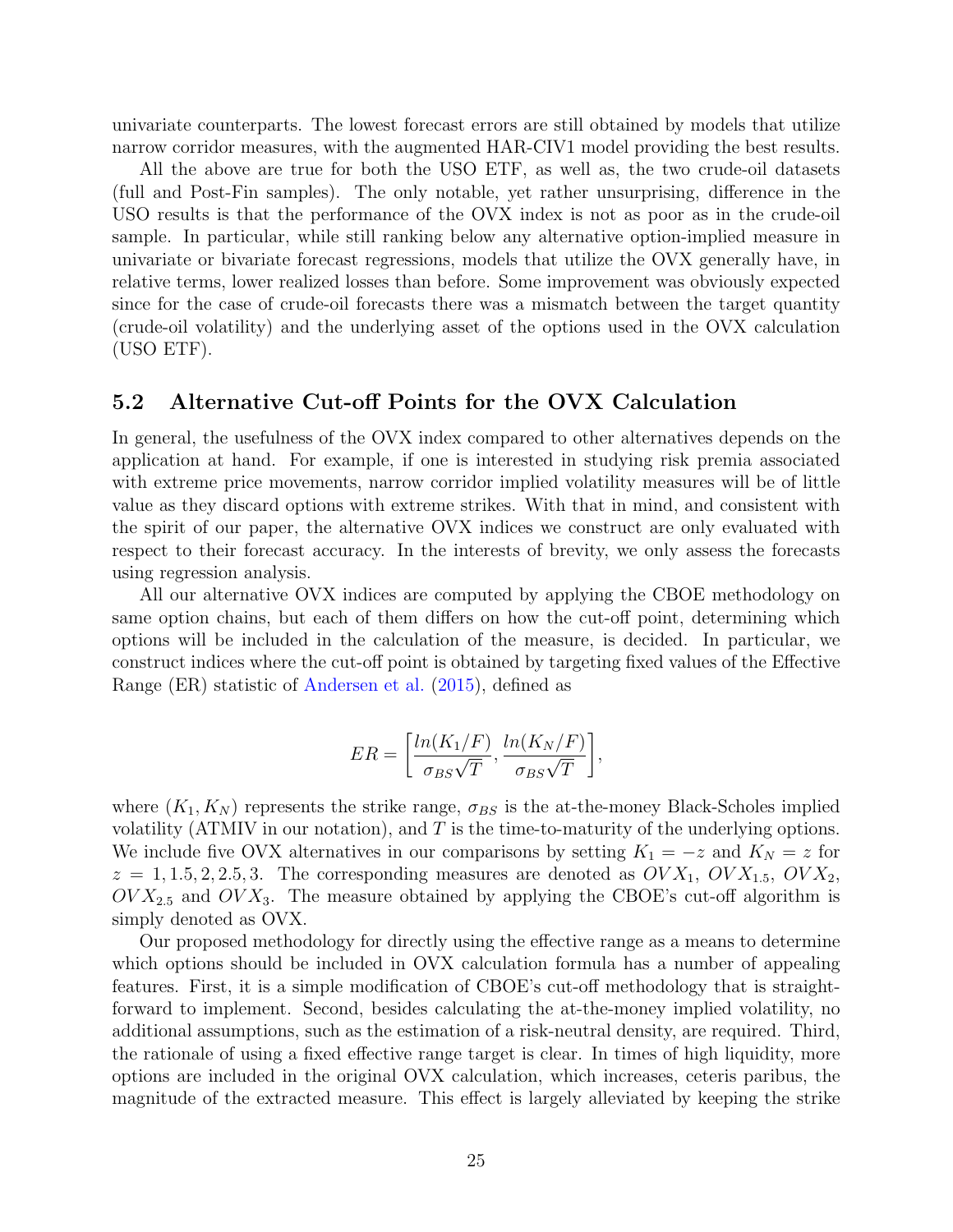univariate counterparts. The lowest forecast errors are still obtained by models that utilize narrow corridor measures, with the augmented HAR-CIV1 model providing the best results.

All the above are true for both the USO ETF, as well as, the two crude-oil datasets (full and Post-Fin samples). The only notable, yet rather unsurprising, difference in the USO results is that the performance of the OVX index is not as poor as in the crude-oil sample. In particular, while still ranking below any alternative option-implied measure in univariate or bivariate forecast regressions, models that utilize the OVX generally have, in relative terms, lower realized losses than before. Some improvement was obviously expected since for the case of crude-oil forecasts there was a mismatch between the target quantity (crude-oil volatility) and the underlying asset of the options used in the OVX calculation (USO ETF).

## 5.2 Alternative Cut-off Points for the OVX Calculation

In general, the usefulness of the OVX index compared to other alternatives depends on the application at hand. For example, if one is interested in studying risk premia associated with extreme price movements, narrow corridor implied volatility measures will be of little value as they discard options with extreme strikes. With that in mind, and consistent with the spirit of our paper, the alternative OVX indices we construct are only evaluated with respect to their forecast accuracy. In the interests of brevity, we only assess the forecasts using regression analysis.

All our alternative OVX indices are computed by applying the CBOE methodology on same option chains, but each of them differs on how the cut-off point, determining which options will be included in the calculation of the measure, is decided. In particular, we construct indices where the cut-off point is obtained by targeting fixed values of the Effective Range (ER) statistic of Andersen et al. (2015), defined as

$$
ER = \left[\frac{\ln(K_1/F)}{\sigma_{BS}\sqrt{T}}, \frac{\ln(K_N/F)}{\sigma_{BS}\sqrt{T}}\right],
$$

where  $(K_1, K_N)$  represents the strike range,  $\sigma_{BS}$  is the at-the-money Black-Scholes implied volatility (ATMIV in our notation), and  $T$  is the time-to-maturity of the underlying options. We include five OVX alternatives in our comparisons by setting  $K_1 = -z$  and  $K_N = z$  for  $z = 1, 1.5, 2, 2.5, 3$ . The corresponding measures are denoted as  $OVX_1$ ,  $OVX_{1.5}$ ,  $OVX_2$ ,  $OVX_{2.5}$  and  $OVX_3$ . The measure obtained by applying the CBOE's cut-off algorithm is simply denoted as OVX.

Our proposed methodology for directly using the effective range as a means to determine which options should be included in OVX calculation formula has a number of appealing features. First, it is a simple modification of CBOE's cut-off methodology that is straightforward to implement. Second, besides calculating the at-the-money implied volatility, no additional assumptions, such as the estimation of a risk-neutral density, are required. Third, the rationale of using a fixed effective range target is clear. In times of high liquidity, more options are included in the original OVX calculation, which increases, ceteris paribus, the magnitude of the extracted measure. This effect is largely alleviated by keeping the strike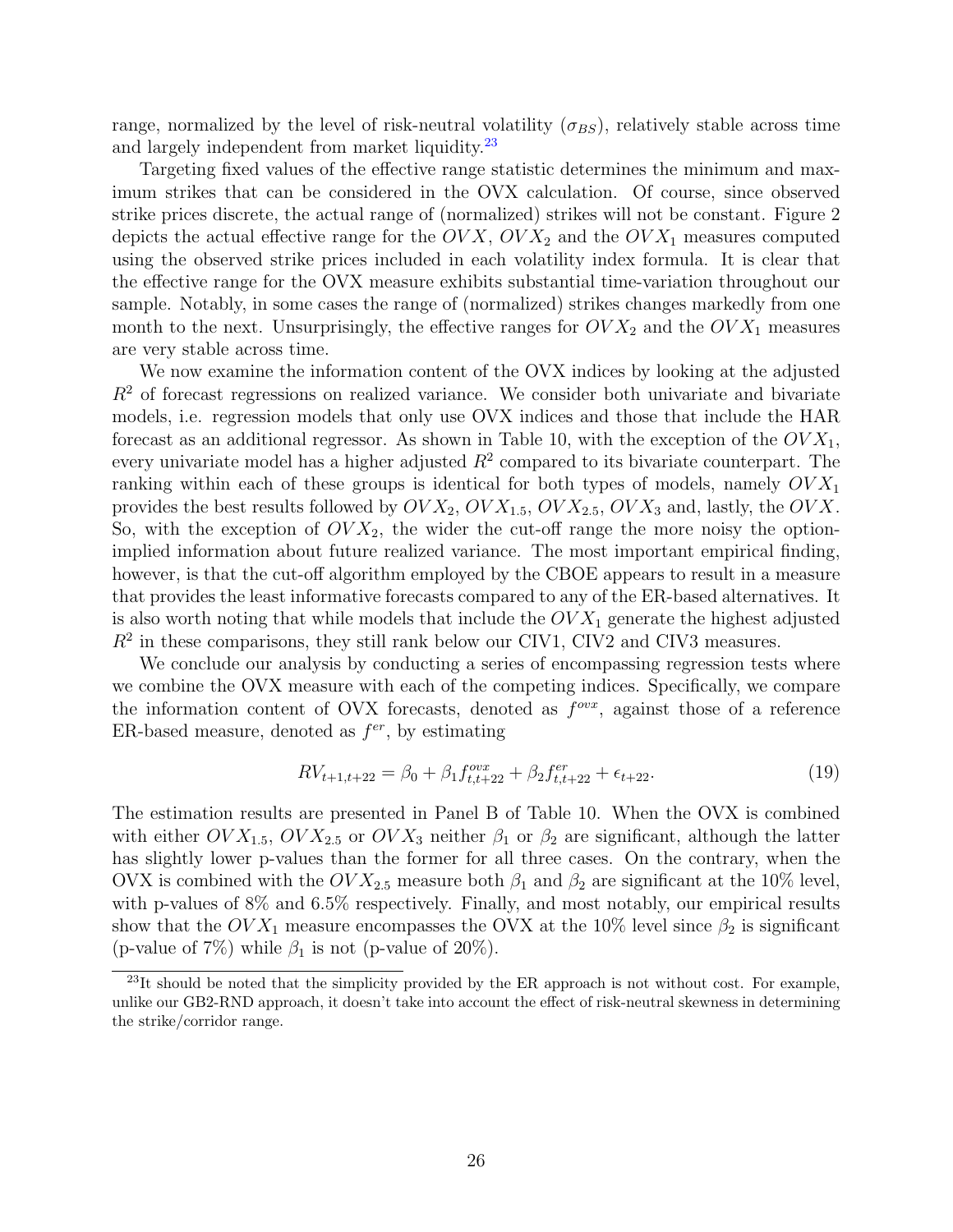range, normalized by the level of risk-neutral volatility  $(\sigma_{BS})$ , relatively stable across time and largely independent from market liquidity.<sup>23</sup>

Targeting fixed values of the effective range statistic determines the minimum and maximum strikes that can be considered in the OVX calculation. Of course, since observed strike prices discrete, the actual range of (normalized) strikes will not be constant. Figure 2 depicts the actual effective range for the  $OVK$ ,  $OV X_2$  and the  $OV X_1$  measures computed using the observed strike prices included in each volatility index formula. It is clear that the effective range for the OVX measure exhibits substantial time-variation throughout our sample. Notably, in some cases the range of (normalized) strikes changes markedly from one month to the next. Unsurprisingly, the effective ranges for  $O(VX_2)$  and the  $OVX_1$  measures are very stable across time.

We now examine the information content of the OVX indices by looking at the adjusted  $R<sup>2</sup>$  of forecast regressions on realized variance. We consider both univariate and bivariate models, i.e. regression models that only use OVX indices and those that include the HAR forecast as an additional regressor. As shown in Table 10, with the exception of the  $O(VX_1)$ , every univariate model has a higher adjusted  $R^2$  compared to its bivariate counterpart. The ranking within each of these groups is identical for both types of models, namely  $OV X_1$ provides the best results followed by  $OV X_2$ ,  $O V X_{1.5}$ ,  $O V X_{2.5}$ ,  $O V X_3$  and, lastly, the  $O V X$ . So, with the exception of  $OVX_2$ , the wider the cut-off range the more noisy the optionimplied information about future realized variance. The most important empirical finding, however, is that the cut-off algorithm employed by the CBOE appears to result in a measure that provides the least informative forecasts compared to any of the ER-based alternatives. It is also worth noting that while models that include the  $O(VX_1)$  generate the highest adjusted  $R<sup>2</sup>$  in these comparisons, they still rank below our CIV1, CIV2 and CIV3 measures.

We conclude our analysis by conducting a series of encompassing regression tests where we combine the OVX measure with each of the competing indices. Specifically, we compare the information content of OVX forecasts, denoted as  $f^{ovx}$ , against those of a reference ER-based measure, denoted as  $f^{er}$ , by estimating

$$
RV_{t+1,t+22} = \beta_0 + \beta_1 f_{t,t+22}^{ovx} + \beta_2 f_{t,t+22}^{er} + \epsilon_{t+22}.
$$
\n(19)

The estimation results are presented in Panel B of Table 10. When the OVX is combined with either  $OVX_{1.5}$ ,  $OVX_{2.5}$  or  $OVX_3$  neither  $\beta_1$  or  $\beta_2$  are significant, although the latter has slightly lower p-values than the former for all three cases. On the contrary, when the OVX is combined with the  $O(V_{2.5}$  measure both  $\beta_1$  and  $\beta_2$  are significant at the 10% level, with p-values of 8% and 6.5% respectively. Finally, and most notably, our empirical results show that the  $O(VX_1)$  measure encompasses the OVX at the 10% level since  $\beta_2$  is significant (p-value of 7%) while  $\beta_1$  is not (p-value of 20%).

<sup>&</sup>lt;sup>23</sup>It should be noted that the simplicity provided by the ER approach is not without cost. For example, unlike our GB2-RND approach, it doesn't take into account the effect of risk-neutral skewness in determining the strike/corridor range.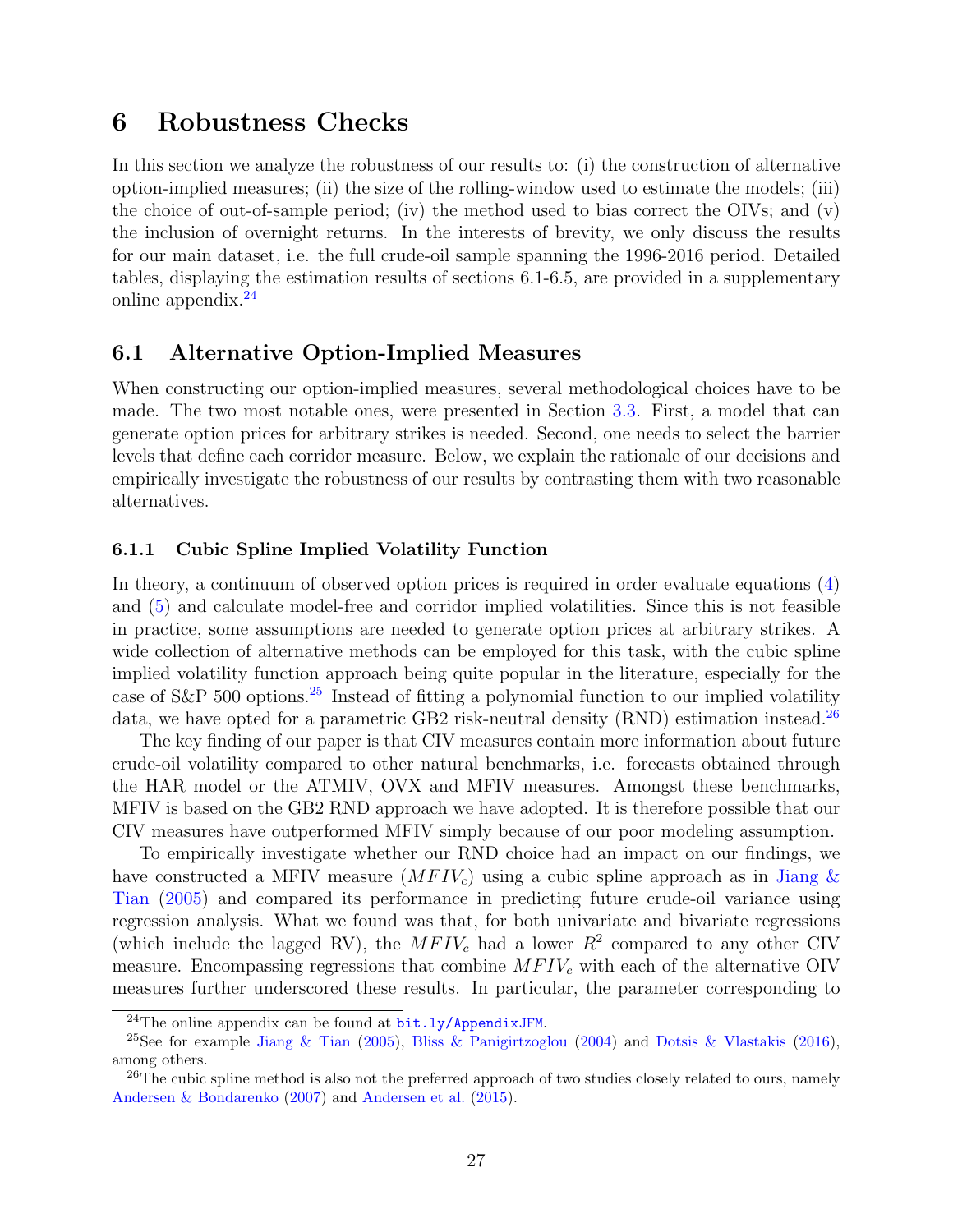# 6 Robustness Checks

In this section we analyze the robustness of our results to: (i) the construction of alternative option-implied measures; (ii) the size of the rolling-window used to estimate the models; (iii) the choice of out-of-sample period; (iv) the method used to bias correct the OIVs; and  $(v)$ the inclusion of overnight returns. In the interests of brevity, we only discuss the results for our main dataset, i.e. the full crude-oil sample spanning the 1996-2016 period. Detailed tables, displaying the estimation results of sections 6.1-6.5, are provided in a supplementary online appendix.<sup>24</sup>

## 6.1 Alternative Option-Implied Measures

When constructing our option-implied measures, several methodological choices have to be made. The two most notable ones, were presented in Section 3.3. First, a model that can generate option prices for arbitrary strikes is needed. Second, one needs to select the barrier levels that define each corridor measure. Below, we explain the rationale of our decisions and empirically investigate the robustness of our results by contrasting them with two reasonable alternatives.

## 6.1.1 Cubic Spline Implied Volatility Function

In theory, a continuum of observed option prices is required in order evaluate equations (4) and (5) and calculate model-free and corridor implied volatilities. Since this is not feasible in practice, some assumptions are needed to generate option prices at arbitrary strikes. A wide collection of alternative methods can be employed for this task, with the cubic spline implied volatility function approach being quite popular in the literature, especially for the case of S&P 500 options.<sup>25</sup> Instead of fitting a polynomial function to our implied volatility data, we have opted for a parametric GB2 risk-neutral density (RND) estimation instead.<sup>26</sup>

The key finding of our paper is that CIV measures contain more information about future crude-oil volatility compared to other natural benchmarks, i.e. forecasts obtained through the HAR model or the ATMIV, OVX and MFIV measures. Amongst these benchmarks, MFIV is based on the GB2 RND approach we have adopted. It is therefore possible that our CIV measures have outperformed MFIV simply because of our poor modeling assumption.

To empirically investigate whether our RND choice had an impact on our findings, we have constructed a MFIV measure  $(MFIV<sub>c</sub>)$  using a cubic spline approach as in Jiang & Tian (2005) and compared its performance in predicting future crude-oil variance using regression analysis. What we found was that, for both univariate and bivariate regressions (which include the lagged RV), the  $MFIV_c$  had a lower  $R^2$  compared to any other CIV measure. Encompassing regressions that combine  $MFIV_c$  with each of the alternative OIV measures further underscored these results. In particular, the parameter corresponding to

 $^{24}$ The online appendix can be found at bit.ly/AppendixJFM.

<sup>&</sup>lt;sup>25</sup>See for example Jiang & Tian (2005), Bliss & Panigirtzoglou (2004) and Dotsis & Vlastakis (2016), among others.

<sup>&</sup>lt;sup>26</sup>The cubic spline method is also not the preferred approach of two studies closely related to ours, namely Andersen & Bondarenko (2007) and Andersen et al. (2015).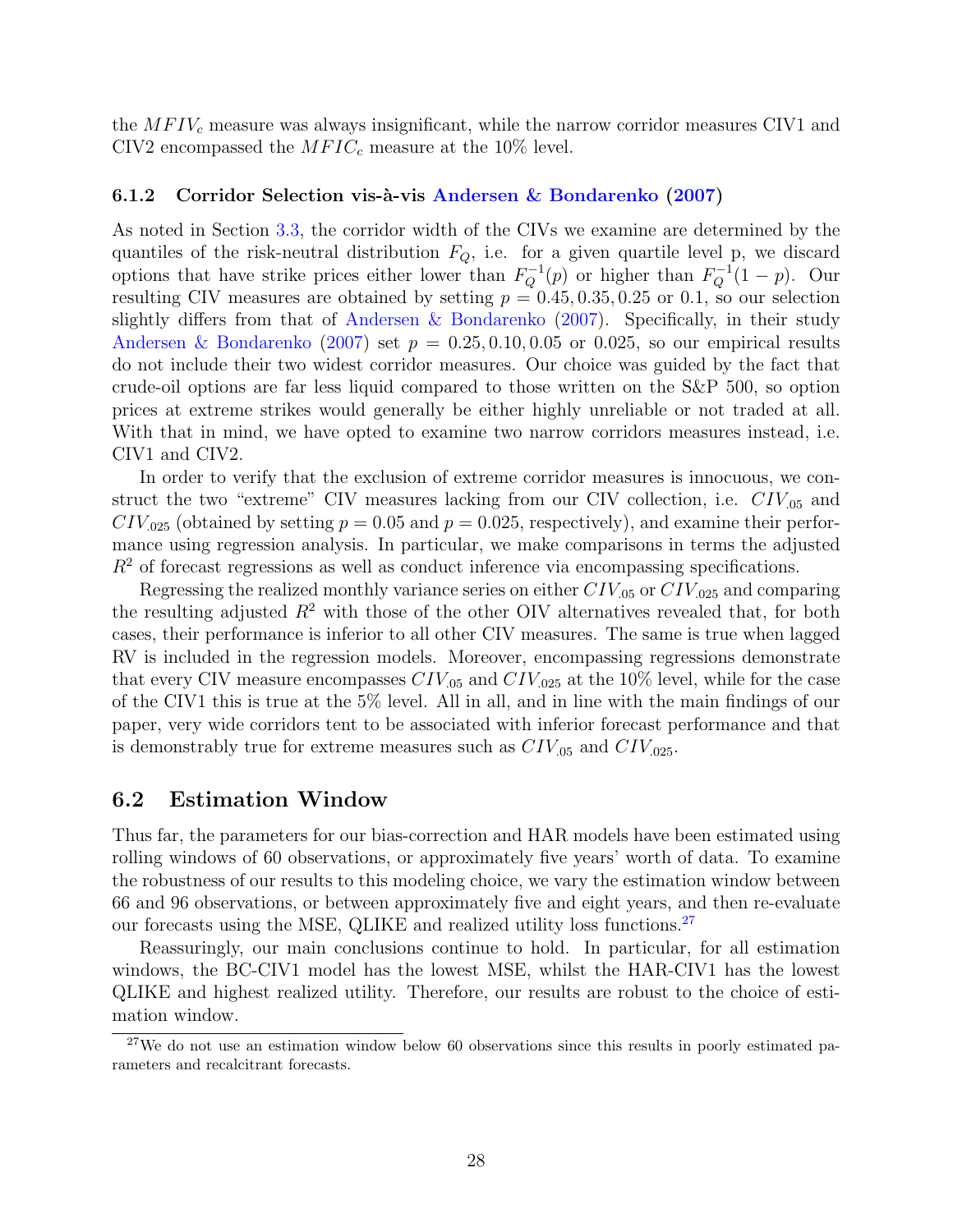the  $MFIV_c$  measure was always insignificant, while the narrow corridor measures CIV1 and CIV2 encompassed the  $MFIC_c$  measure at the 10% level.

#### 6.1.2 Corridor Selection vis-à-vis Andersen & Bondarenko (2007)

As noted in Section 3.3, the corridor width of the CIVs we examine are determined by the quantiles of the risk-neutral distribution  $F_Q$ , i.e. for a given quartile level p, we discard options that have strike prices either lower than  $F_Q^{-1}(p)$  or higher than  $F_Q^{-1}(1-p)$ . Our resulting CIV measures are obtained by setting  $p = 0.45, 0.35, 0.25$  or 0.1, so our selection slightly differs from that of Andersen & Bondarenko (2007). Specifically, in their study Andersen & Bondarenko (2007) set  $p = 0.25, 0.10, 0.05$  or 0.025, so our empirical results do not include their two widest corridor measures. Our choice was guided by the fact that crude-oil options are far less liquid compared to those written on the S&P 500, so option prices at extreme strikes would generally be either highly unreliable or not traded at all. With that in mind, we have opted to examine two narrow corridors measures instead, i.e. CIV1 and CIV2.

In order to verify that the exclusion of extreme corridor measures is innocuous, we construct the two "extreme" CIV measures lacking from our CIV collection, i.e.  $CIV_{.05}$  and  $CIV_{.025}$  (obtained by setting  $p = 0.05$  and  $p = 0.025$ , respectively), and examine their performance using regression analysis. In particular, we make comparisons in terms the adjusted  $R<sup>2</sup>$  of forecast regressions as well as conduct inference via encompassing specifications.

Regressing the realized monthly variance series on either  $CIV_{.05}$  or  $CIV_{.025}$  and comparing the resulting adjusted  $R^2$  with those of the other OIV alternatives revealed that, for both cases, their performance is inferior to all other CIV measures. The same is true when lagged RV is included in the regression models. Moreover, encompassing regressions demonstrate that every CIV measure encompasses  $CIV_{.05}$  and  $CIV_{.025}$  at the 10% level, while for the case of the CIV1 this is true at the 5% level. All in all, and in line with the main findings of our paper, very wide corridors tent to be associated with inferior forecast performance and that is demonstrably true for extreme measures such as  $CIV_{.05}$  and  $CIV_{.025}$ .

## 6.2 Estimation Window

Thus far, the parameters for our bias-correction and HAR models have been estimated using rolling windows of 60 observations, or approximately five years' worth of data. To examine the robustness of our results to this modeling choice, we vary the estimation window between 66 and 96 observations, or between approximately five and eight years, and then re-evaluate our forecasts using the MSE, QLIKE and realized utility loss functions.<sup>27</sup>

Reassuringly, our main conclusions continue to hold. In particular, for all estimation windows, the BC-CIV1 model has the lowest MSE, whilst the HAR-CIV1 has the lowest QLIKE and highest realized utility. Therefore, our results are robust to the choice of estimation window.

<sup>&</sup>lt;sup>27</sup>We do not use an estimation window below 60 observations since this results in poorly estimated parameters and recalcitrant forecasts.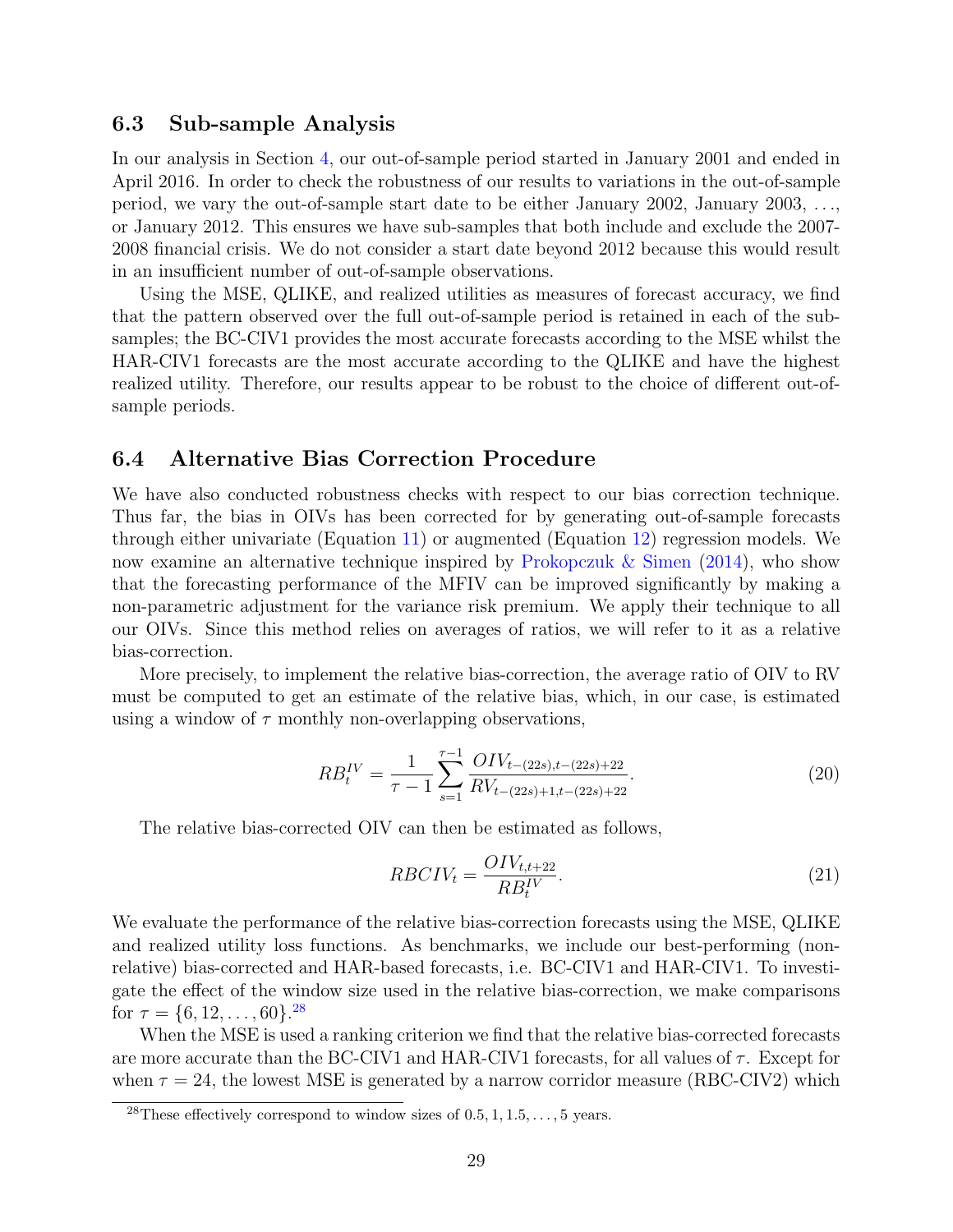## 6.3 Sub-sample Analysis

In our analysis in Section 4, our out-of-sample period started in January 2001 and ended in April 2016. In order to check the robustness of our results to variations in the out-of-sample period, we vary the out-of-sample start date to be either January 2002, January 2003, . . ., or January 2012. This ensures we have sub-samples that both include and exclude the 2007- 2008 financial crisis. We do not consider a start date beyond 2012 because this would result in an insufficient number of out-of-sample observations.

Using the MSE, QLIKE, and realized utilities as measures of forecast accuracy, we find that the pattern observed over the full out-of-sample period is retained in each of the subsamples; the BC-CIV1 provides the most accurate forecasts according to the MSE whilst the HAR-CIV1 forecasts are the most accurate according to the QLIKE and have the highest realized utility. Therefore, our results appear to be robust to the choice of different out-ofsample periods.

## 6.4 Alternative Bias Correction Procedure

We have also conducted robustness checks with respect to our bias correction technique. Thus far, the bias in OIVs has been corrected for by generating out-of-sample forecasts through either univariate (Equation 11) or augmented (Equation 12) regression models. We now examine an alternative technique inspired by Prokopczuk & Simen (2014), who show that the forecasting performance of the MFIV can be improved significantly by making a non-parametric adjustment for the variance risk premium. We apply their technique to all our OIVs. Since this method relies on averages of ratios, we will refer to it as a relative bias-correction.

More precisely, to implement the relative bias-correction, the average ratio of OIV to RV must be computed to get an estimate of the relative bias, which, in our case, is estimated using a window of  $\tau$  monthly non-overlapping observations,

$$
RB_t^{IV} = \frac{1}{\tau - 1} \sum_{s=1}^{\tau - 1} \frac{OIV_{t-(22s), t-(22s)+22}}{RV_{t-(22s)+1, t-(22s)+22}}.
$$
\n(20)

The relative bias-corrected OIV can then be estimated as follows,

$$
RBCIV_t = \frac{OIV_{t,t+22}}{RB_t^{IV}}.\tag{21}
$$

We evaluate the performance of the relative bias-correction forecasts using the MSE, QLIKE and realized utility loss functions. As benchmarks, we include our best-performing (nonrelative) bias-corrected and HAR-based forecasts, i.e. BC-CIV1 and HAR-CIV1. To investigate the effect of the window size used in the relative bias-correction, we make comparisons for  $\tau = \{6, 12, \ldots, 60\}.^{28}$ 

When the MSE is used a ranking criterion we find that the relative bias-corrected forecasts are more accurate than the BC-CIV1 and HAR-CIV1 forecasts, for all values of  $\tau$ . Except for when  $\tau = 24$ , the lowest MSE is generated by a narrow corridor measure (RBC-CIV2) which

<sup>&</sup>lt;sup>28</sup>These effectively correspond to window sizes of  $0.5, 1, 1.5, \ldots, 5$  years.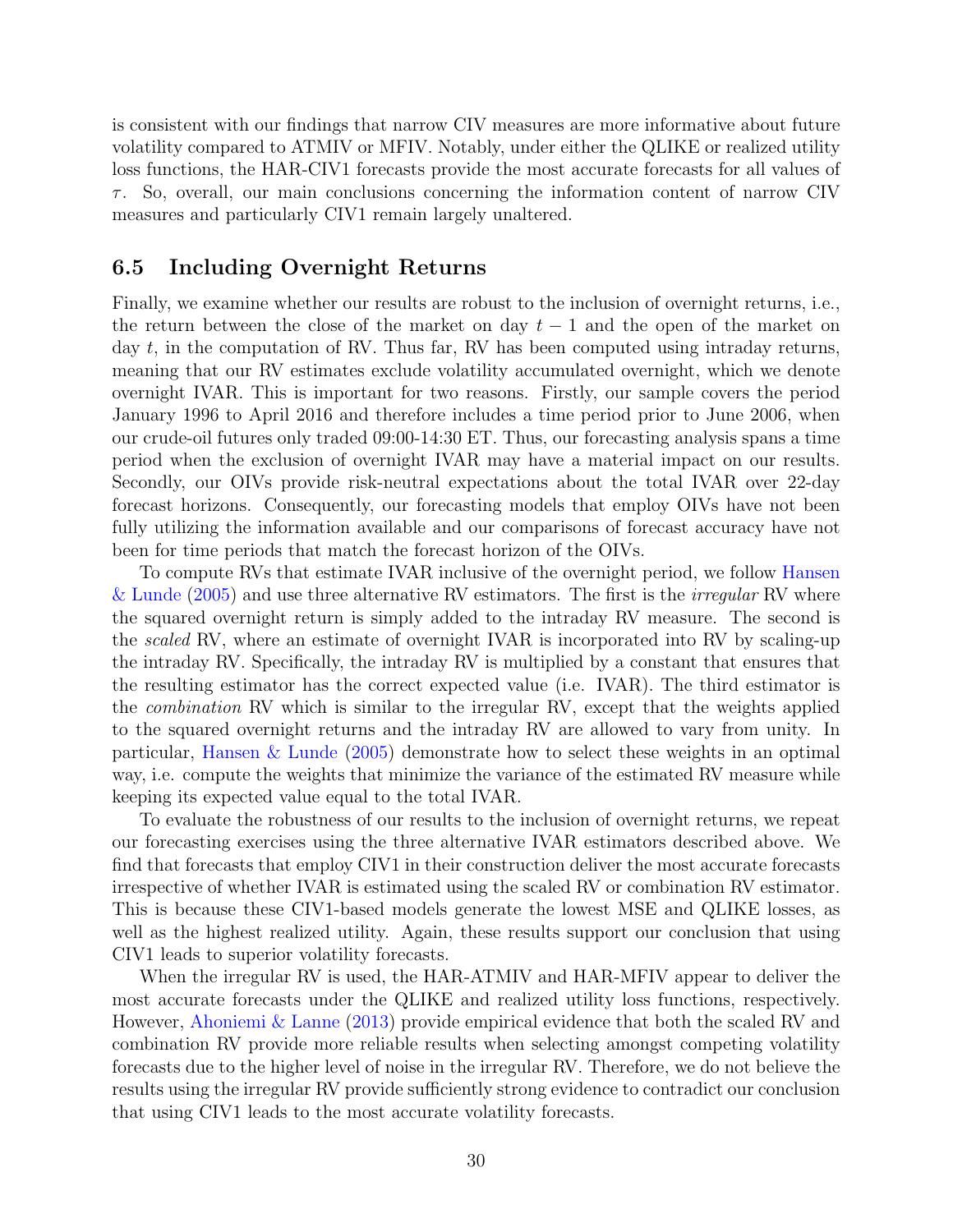is consistent with our findings that narrow CIV measures are more informative about future volatility compared to ATMIV or MFIV. Notably, under either the QLIKE or realized utility loss functions, the HAR-CIV1 forecasts provide the most accurate forecasts for all values of  $\tau$ . So, overall, our main conclusions concerning the information content of narrow CIV measures and particularly CIV1 remain largely unaltered.

## 6.5 Including Overnight Returns

Finally, we examine whether our results are robust to the inclusion of overnight returns, i.e., the return between the close of the market on day  $t-1$  and the open of the market on day  $t$ , in the computation of RV. Thus far, RV has been computed using intraday returns, meaning that our RV estimates exclude volatility accumulated overnight, which we denote overnight IVAR. This is important for two reasons. Firstly, our sample covers the period January 1996 to April 2016 and therefore includes a time period prior to June 2006, when our crude-oil futures only traded 09:00-14:30 ET. Thus, our forecasting analysis spans a time period when the exclusion of overnight IVAR may have a material impact on our results. Secondly, our OIVs provide risk-neutral expectations about the total IVAR over 22-day forecast horizons. Consequently, our forecasting models that employ OIVs have not been fully utilizing the information available and our comparisons of forecast accuracy have not been for time periods that match the forecast horizon of the OIVs.

To compute RVs that estimate IVAR inclusive of the overnight period, we follow Hansen & Lunde  $(2005)$  and use three alternative RV estimators. The first is the *irregular* RV where the squared overnight return is simply added to the intraday RV measure. The second is the *scaled* RV, where an estimate of overnight IVAR is incorporated into RV by scaling-up the intraday RV. Specifically, the intraday RV is multiplied by a constant that ensures that the resulting estimator has the correct expected value (i.e. IVAR). The third estimator is the combination RV which is similar to the irregular RV, except that the weights applied to the squared overnight returns and the intraday RV are allowed to vary from unity. In particular, Hansen & Lunde (2005) demonstrate how to select these weights in an optimal way, i.e. compute the weights that minimize the variance of the estimated RV measure while keeping its expected value equal to the total IVAR.

To evaluate the robustness of our results to the inclusion of overnight returns, we repeat our forecasting exercises using the three alternative IVAR estimators described above. We find that forecasts that employ CIV1 in their construction deliver the most accurate forecasts irrespective of whether IVAR is estimated using the scaled RV or combination RV estimator. This is because these CIV1-based models generate the lowest MSE and QLIKE losses, as well as the highest realized utility. Again, these results support our conclusion that using CIV1 leads to superior volatility forecasts.

When the irregular RV is used, the HAR-ATMIV and HAR-MFIV appear to deliver the most accurate forecasts under the QLIKE and realized utility loss functions, respectively. However, Ahoniemi & Lanne (2013) provide empirical evidence that both the scaled RV and combination RV provide more reliable results when selecting amongst competing volatility forecasts due to the higher level of noise in the irregular RV. Therefore, we do not believe the results using the irregular RV provide sufficiently strong evidence to contradict our conclusion that using CIV1 leads to the most accurate volatility forecasts.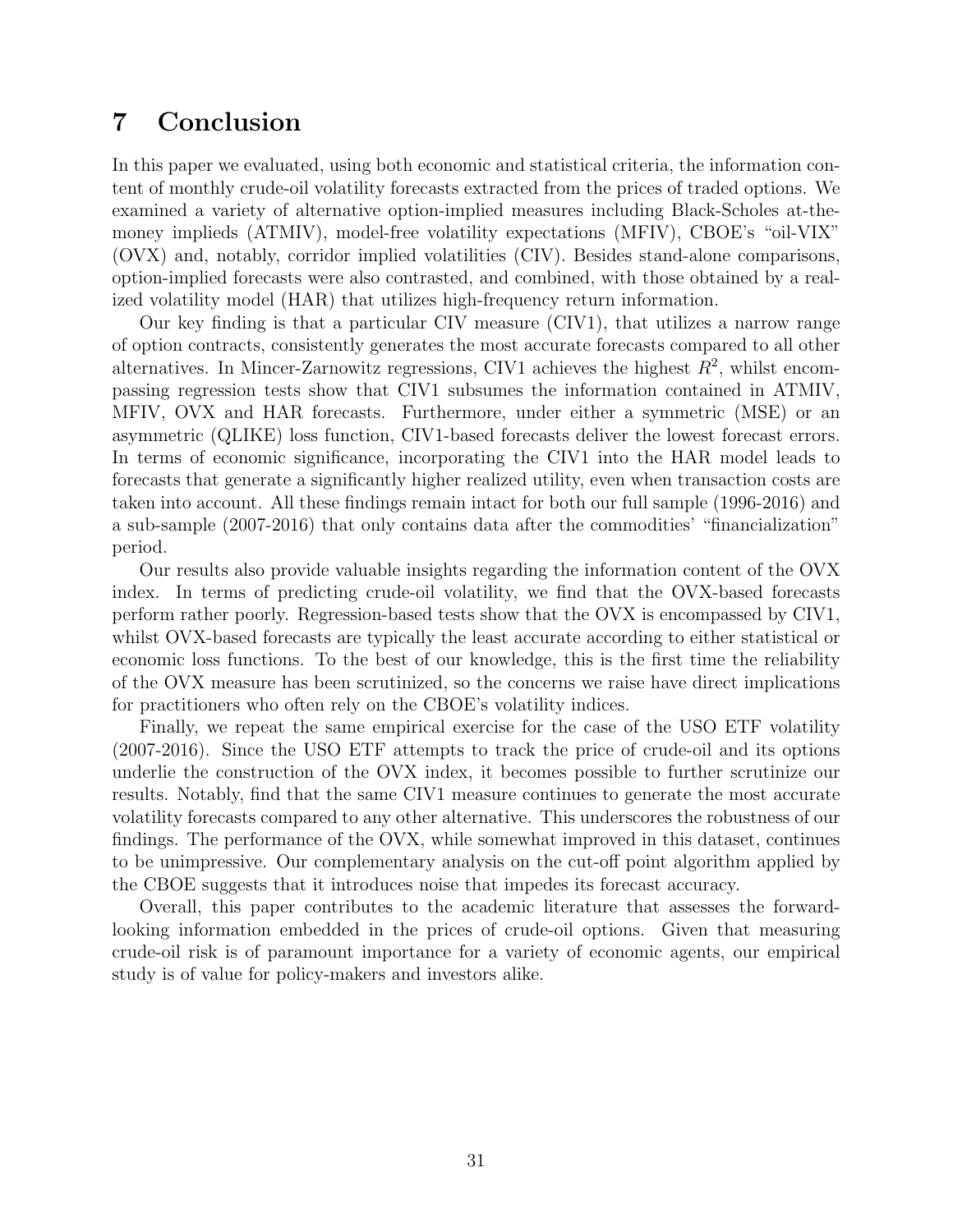# 7 Conclusion

In this paper we evaluated, using both economic and statistical criteria, the information content of monthly crude-oil volatility forecasts extracted from the prices of traded options. We examined a variety of alternative option-implied measures including Black-Scholes at-themoney implieds (ATMIV), model-free volatility expectations (MFIV), CBOE's "oil-VIX" (OVX) and, notably, corridor implied volatilities (CIV). Besides stand-alone comparisons, option-implied forecasts were also contrasted, and combined, with those obtained by a realized volatility model (HAR) that utilizes high-frequency return information.

Our key finding is that a particular CIV measure (CIV1), that utilizes a narrow range of option contracts, consistently generates the most accurate forecasts compared to all other alternatives. In Mincer-Zarnowitz regressions, CIV1 achieves the highest  $R^2$ , whilst encompassing regression tests show that CIV1 subsumes the information contained in ATMIV, MFIV, OVX and HAR forecasts. Furthermore, under either a symmetric (MSE) or an asymmetric (QLIKE) loss function, CIV1-based forecasts deliver the lowest forecast errors. In terms of economic significance, incorporating the CIV1 into the HAR model leads to forecasts that generate a significantly higher realized utility, even when transaction costs are taken into account. All these findings remain intact for both our full sample (1996-2016) and a sub-sample (2007-2016) that only contains data after the commodities' "financialization" period.

Our results also provide valuable insights regarding the information content of the OVX index. In terms of predicting crude-oil volatility, we find that the OVX-based forecasts perform rather poorly. Regression-based tests show that the OVX is encompassed by CIV1, whilst OVX-based forecasts are typically the least accurate according to either statistical or economic loss functions. To the best of our knowledge, this is the first time the reliability of the OVX measure has been scrutinized, so the concerns we raise have direct implications for practitioners who often rely on the CBOE's volatility indices.

Finally, we repeat the same empirical exercise for the case of the USO ETF volatility (2007-2016). Since the USO ETF attempts to track the price of crude-oil and its options underlie the construction of the OVX index, it becomes possible to further scrutinize our results. Notably, find that the same CIV1 measure continues to generate the most accurate volatility forecasts compared to any other alternative. This underscores the robustness of our findings. The performance of the OVX, while somewhat improved in this dataset, continues to be unimpressive. Our complementary analysis on the cut-off point algorithm applied by the CBOE suggests that it introduces noise that impedes its forecast accuracy.

Overall, this paper contributes to the academic literature that assesses the forwardlooking information embedded in the prices of crude-oil options. Given that measuring crude-oil risk is of paramount importance for a variety of economic agents, our empirical study is of value for policy-makers and investors alike.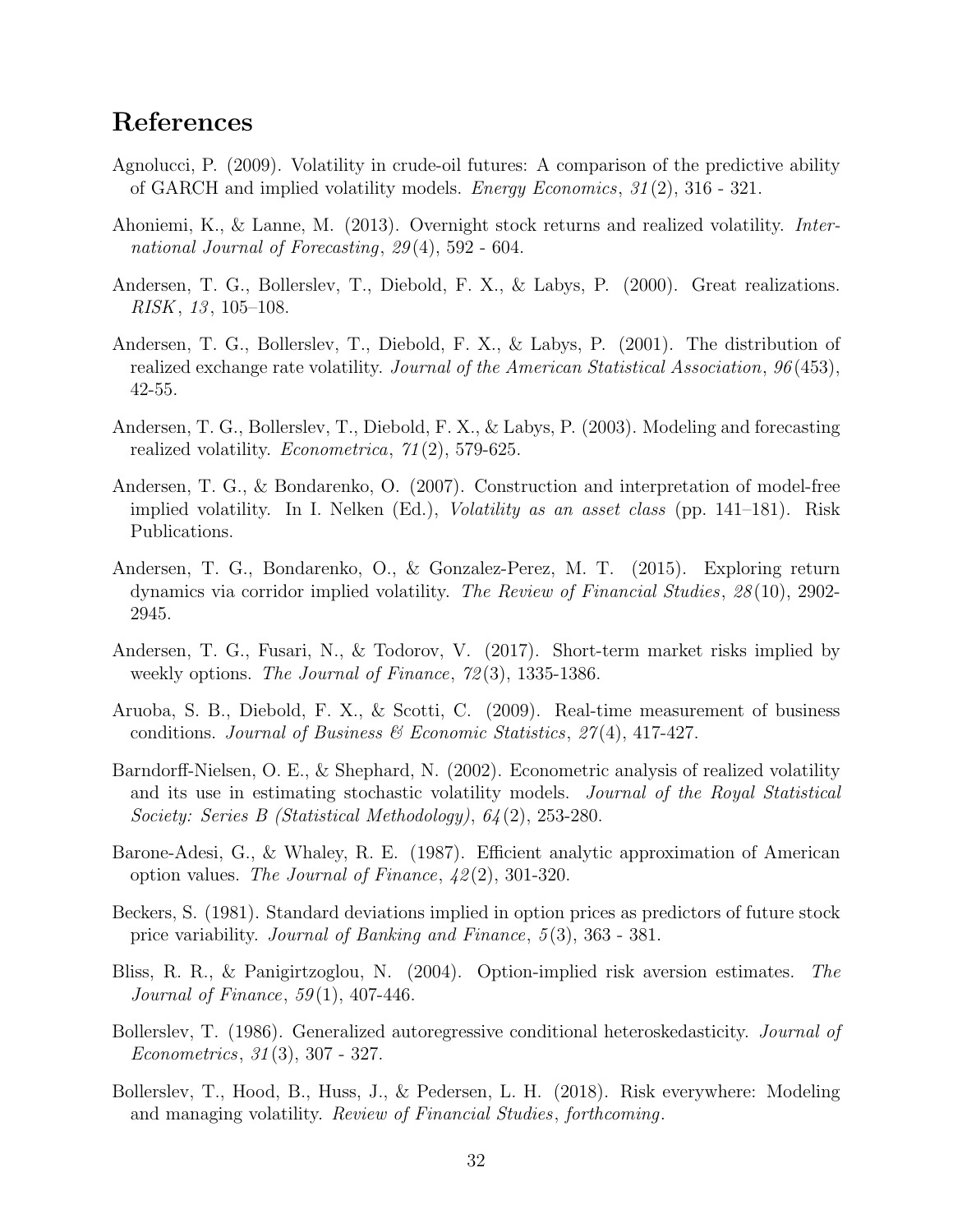# References

- Agnolucci, P. (2009). Volatility in crude-oil futures: A comparison of the predictive ability of GARCH and implied volatility models. Energy Economics, 31 (2), 316 - 321.
- Ahoniemi, K., & Lanne, M. (2013). Overnight stock returns and realized volatility. International Journal of Forecasting,  $29(4)$ , 592 - 604.
- Andersen, T. G., Bollerslev, T., Diebold, F. X., & Labys, P. (2000). Great realizations.  $RISK, 13, 105–108.$
- Andersen, T. G., Bollerslev, T., Diebold, F. X., & Labys, P. (2001). The distribution of realized exchange rate volatility. Journal of the American Statistical Association, 96 (453), 42-55.
- Andersen, T. G., Bollerslev, T., Diebold, F. X., & Labys, P. (2003). Modeling and forecasting realized volatility. Econometrica, 71 (2), 579-625.
- Andersen, T. G., & Bondarenko, O. (2007). Construction and interpretation of model-free implied volatility. In I. Nelken (Ed.), Volatility as an asset class (pp. 141–181). Risk Publications.
- Andersen, T. G., Bondarenko, O., & Gonzalez-Perez, M. T. (2015). Exploring return dynamics via corridor implied volatility. The Review of Financial Studies, 28 (10), 2902- 2945.
- Andersen, T. G., Fusari, N., & Todorov, V. (2017). Short-term market risks implied by weekly options. The Journal of Finance,  $72(3)$ , 1335-1386.
- Aruoba, S. B., Diebold, F. X., & Scotti, C. (2009). Real-time measurement of business conditions. Journal of Business & Economic Statistics,  $27(4)$ , 417-427.
- Barndorff-Nielsen, O. E., & Shephard, N. (2002). Econometric analysis of realized volatility and its use in estimating stochastic volatility models. Journal of the Royal Statistical Society: Series B (Statistical Methodology), 64 (2), 253-280.
- Barone-Adesi, G., & Whaley, R. E. (1987). Efficient analytic approximation of American option values. The Journal of Finance,  $\frac{1}{2}(2)$ , 301-320.
- Beckers, S. (1981). Standard deviations implied in option prices as predictors of future stock price variability. Journal of Banking and Finance, 5 (3), 363 - 381.
- Bliss, R. R., & Panigirtzoglou, N. (2004). Option-implied risk aversion estimates. The *Journal of Finance*,  $59(1)$ ,  $407-446$ .
- Bollerslev, T. (1986). Generalized autoregressive conditional heteroskedasticity. *Journal of* Econometrics, 31 (3), 307 - 327.
- Bollerslev, T., Hood, B., Huss, J., & Pedersen, L. H. (2018). Risk everywhere: Modeling and managing volatility. Review of Financial Studies, forthcoming.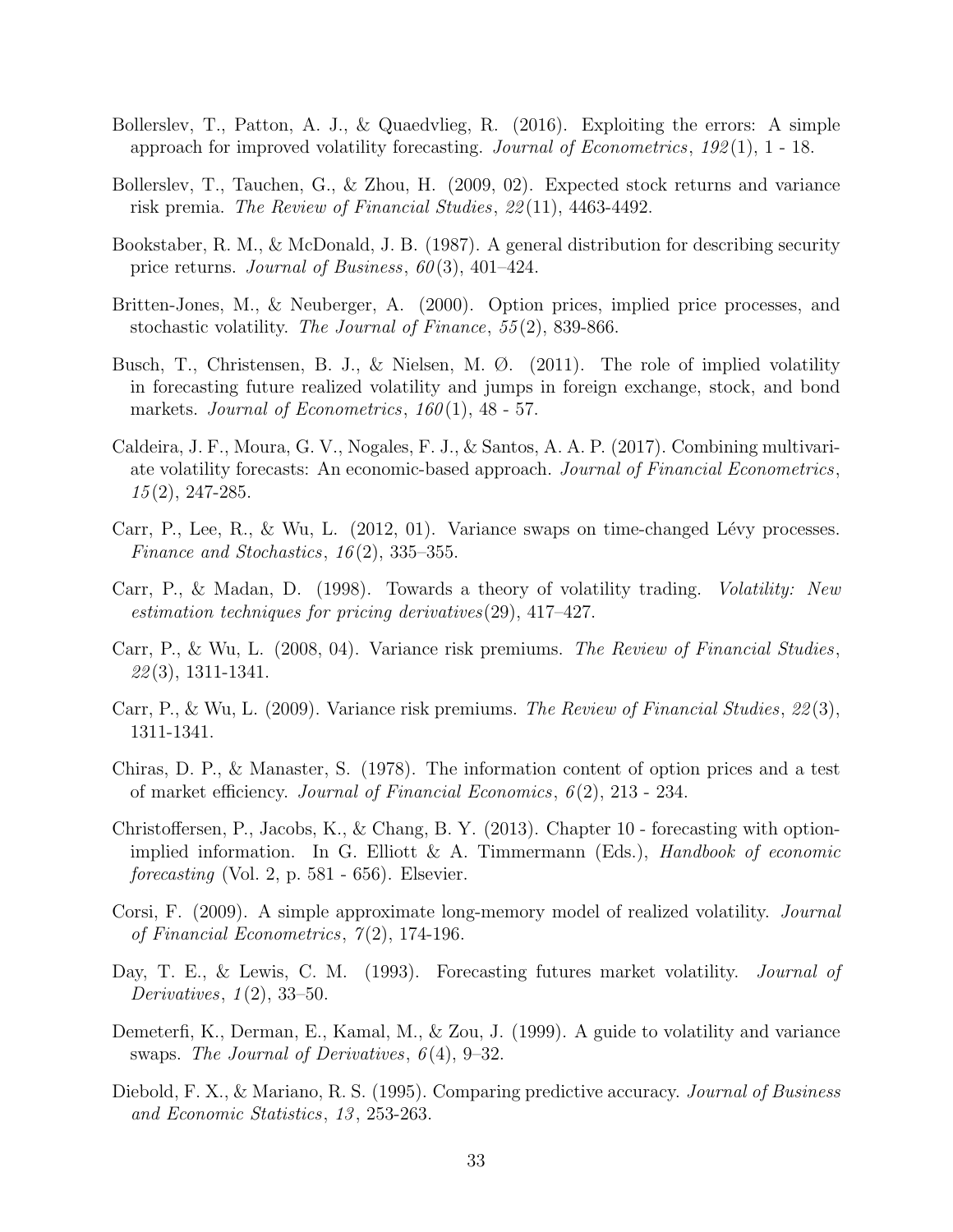- Bollerslev, T., Patton, A. J., & Quaedvlieg, R. (2016). Exploiting the errors: A simple approach for improved volatility forecasting. Journal of Econometrics,  $192(1)$ , 1 - 18.
- Bollerslev, T., Tauchen, G., & Zhou, H. (2009, 02). Expected stock returns and variance risk premia. The Review of Financial Studies, 22 (11), 4463-4492.
- Bookstaber, R. M., & McDonald, J. B. (1987). A general distribution for describing security price returns. Journal of Business,  $60(3)$ ,  $401-424$ .
- Britten-Jones, M., & Neuberger, A. (2000). Option prices, implied price processes, and stochastic volatility. The Journal of Finance, 55 (2), 839-866.
- Busch, T., Christensen, B. J., & Nielsen, M. Ø. (2011). The role of implied volatility in forecasting future realized volatility and jumps in foreign exchange, stock, and bond markets. Journal of Econometrics,  $160(1)$ ,  $48 - 57$ .
- Caldeira, J. F., Moura, G. V., Nogales, F. J., & Santos, A. A. P. (2017). Combining multivariate volatility forecasts: An economic-based approach. Journal of Financial Econometrics,  $15(2)$ , 247-285.
- Carr, P., Lee, R., & Wu, L.  $(2012, 01)$ . Variance swaps on time-changed Lévy processes. Finance and Stochastics, 16 (2), 335–355.
- Carr, P., & Madan, D. (1998). Towards a theory of volatility trading. Volatility: New estimation techniques for pricing derivatives(29), 417–427.
- Carr, P., & Wu, L. (2008, 04). Variance risk premiums. The Review of Financial Studies,  $22(3)$ , 1311-1341.
- Carr, P., & Wu, L. (2009). Variance risk premiums. The Review of Financial Studies, 22 (3), 1311-1341.
- Chiras, D. P., & Manaster, S. (1978). The information content of option prices and a test of market efficiency. Journal of Financial Economics, 6 (2), 213 - 234.
- Christoffersen, P., Jacobs, K., & Chang, B. Y. (2013). Chapter 10 forecasting with optionimplied information. In G. Elliott & A. Timmermann (Eds.), Handbook of economic  $forecasting$  (Vol. 2, p. 581 - 656). Elsevier.
- Corsi, F. (2009). A simple approximate long-memory model of realized volatility. Journal of Financial Econometrics,  $7(2)$ , 174-196.
- Day, T. E., & Lewis, C. M. (1993). Forecasting futures market volatility. *Journal of* Derivatives,  $1(2)$ , 33–50.
- Demeterfi, K., Derman, E., Kamal, M., & Zou, J. (1999). A guide to volatility and variance swaps. The Journal of Derivatives,  $6(4)$ , 9–32.
- Diebold, F. X., & Mariano, R. S. (1995). Comparing predictive accuracy. *Journal of Business* and Economic Statistics, 13 , 253-263.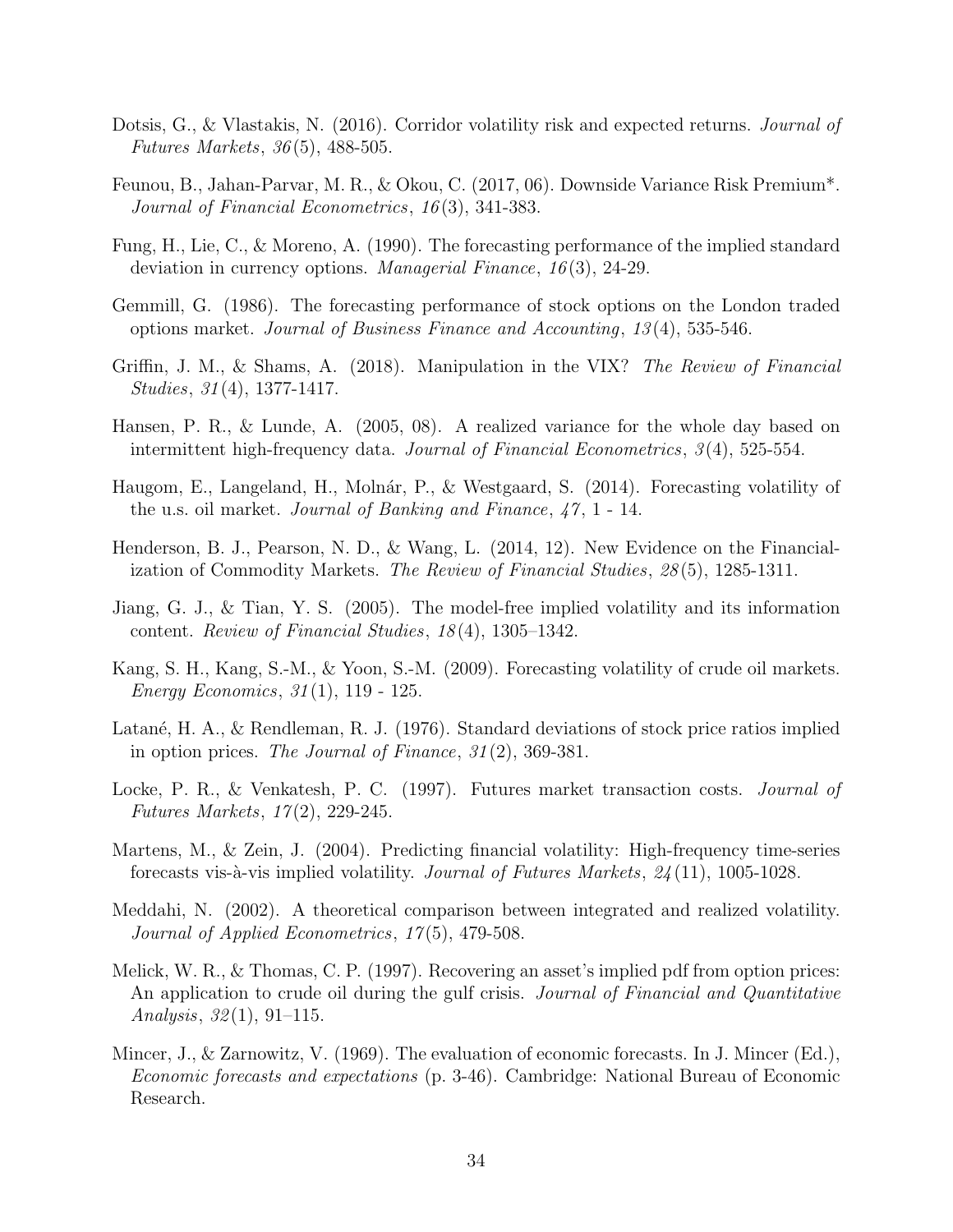- Dotsis, G., & Vlastakis, N. (2016). Corridor volatility risk and expected returns. *Journal of* Futures Markets, 36 (5), 488-505.
- Feunou, B., Jahan-Parvar, M. R., & Okou, C. (2017, 06). Downside Variance Risk Premium\*. Journal of Financial Econometrics, 16 (3), 341-383.
- Fung, H., Lie, C., & Moreno, A. (1990). The forecasting performance of the implied standard deviation in currency options. Managerial Finance, 16(3), 24-29.
- Gemmill, G. (1986). The forecasting performance of stock options on the London traded options market. Journal of Business Finance and Accounting, 13 (4), 535-546.
- Griffin, J. M., & Shams, A. (2018). Manipulation in the VIX? The Review of Financial Studies, 31 (4), 1377-1417.
- Hansen, P. R., & Lunde, A. (2005, 08). A realized variance for the whole day based on intermittent high-frequency data. Journal of Financial Econometrics, 3 (4), 525-554.
- Haugom, E., Langeland, H., Molnár, P., & Westgaard, S. (2014). Forecasting volatility of the u.s. oil market. *Journal of Banking and Finance*,  $47, 1$  - 14.
- Henderson, B. J., Pearson, N. D., & Wang, L. (2014, 12). New Evidence on the Financialization of Commodity Markets. The Review of Financial Studies, 28(5), 1285-1311.
- Jiang, G. J., & Tian, Y. S. (2005). The model-free implied volatility and its information content. Review of Financial Studies, 18 (4), 1305–1342.
- Kang, S. H., Kang, S.-M., & Yoon, S.-M. (2009). Forecasting volatility of crude oil markets. Energy Economics, 31 (1), 119 - 125.
- Latané, H. A., & Rendleman, R. J. (1976). Standard deviations of stock price ratios implied in option prices. The Journal of Finance,  $31(2)$ , 369-381.
- Locke, P. R., & Venkatesh, P. C. (1997). Futures market transaction costs. *Journal of* Futures Markets, 17 (2), 229-245.
- Martens, M., & Zein, J. (2004). Predicting financial volatility: High-frequency time-series forecasts vis-à-vis implied volatility. Journal of Futures Markets,  $24(11)$ , 1005-1028.
- Meddahi, N. (2002). A theoretical comparison between integrated and realized volatility. Journal of Applied Econometrics, 17(5), 479-508.
- Melick, W. R., & Thomas, C. P. (1997). Recovering an asset's implied pdf from option prices: An application to crude oil during the gulf crisis. *Journal of Financial and Quantitative* Analysis,  $32(1)$ ,  $91-115$ .
- Mincer, J., & Zarnowitz, V. (1969). The evaluation of economic forecasts. In J. Mincer (Ed.), Economic forecasts and expectations (p. 3-46). Cambridge: National Bureau of Economic Research.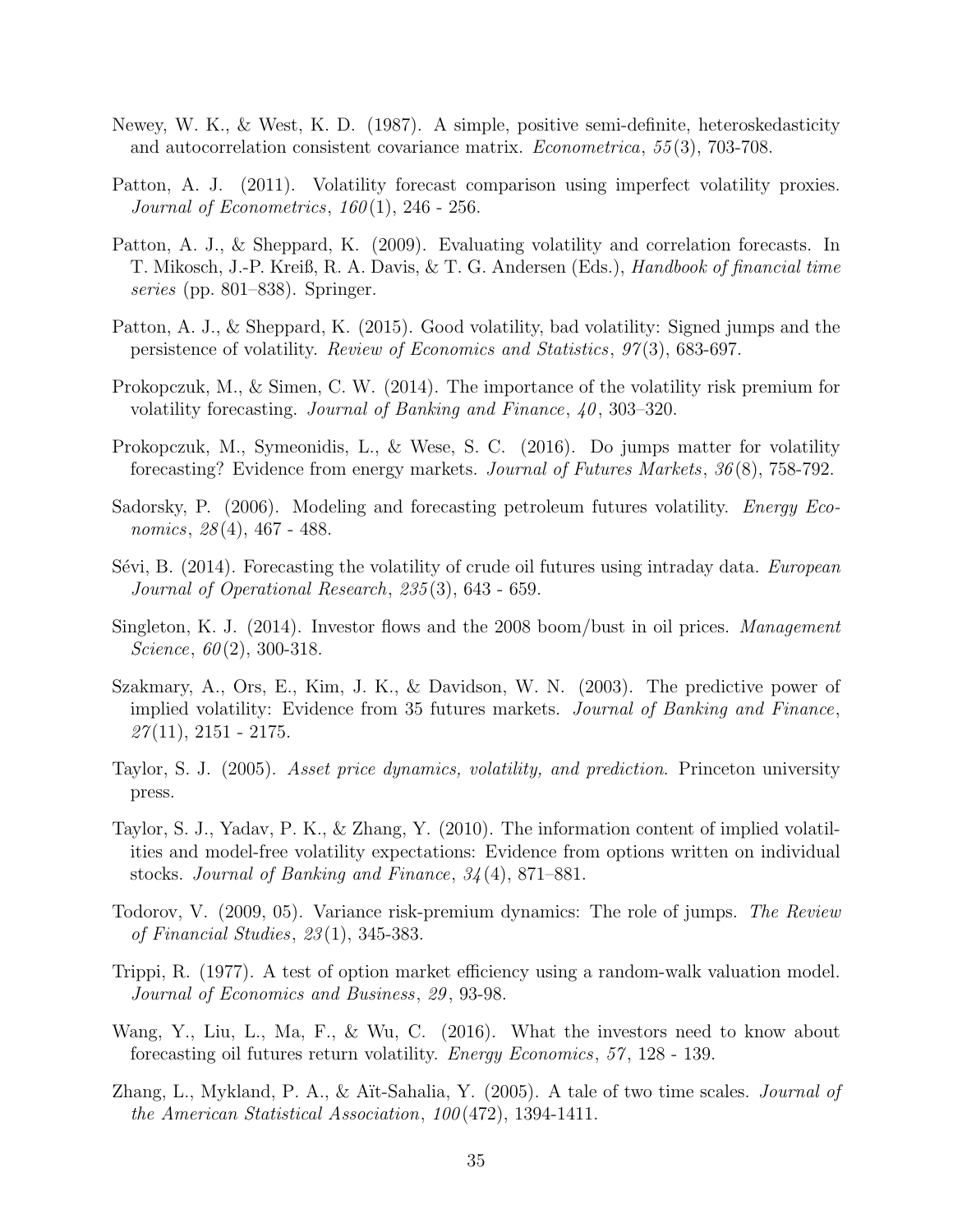- Newey, W. K., & West, K. D. (1987). A simple, positive semi-definite, heteroskedasticity and autocorrelation consistent covariance matrix. Econometrica, 55 (3), 703-708.
- Patton, A. J. (2011). Volatility forecast comparison using imperfect volatility proxies. Journal of Econometrics,  $160(1)$ , 246 - 256.
- Patton, A. J., & Sheppard, K. (2009). Evaluating volatility and correlation forecasts. In T. Mikosch, J.-P. Kreiß, R. A. Davis, & T. G. Andersen (Eds.), Handbook of financial time series (pp. 801–838). Springer.
- Patton, A. J., & Sheppard, K. (2015). Good volatility, bad volatility: Signed jumps and the persistence of volatility. Review of Economics and Statistics, 97 (3), 683-697.
- Prokopczuk, M., & Simen, C. W. (2014). The importance of the volatility risk premium for volatility forecasting. Journal of Banking and Finance,  $40, 303-320$ .
- Prokopczuk, M., Symeonidis, L., & Wese, S. C. (2016). Do jumps matter for volatility forecasting? Evidence from energy markets. Journal of Futures Markets, 36 (8), 758-792.
- Sadorsky, P. (2006). Modeling and forecasting petroleum futures volatility. Energy Economics, 28(4), 467 - 488.
- Sévi, B.  $(2014)$ . Forecasting the volatility of crude oil futures using intraday data. European Journal of Operational Research, 235 (3), 643 - 659.
- Singleton, K. J. (2014). Investor flows and the 2008 boom/bust in oil prices. Management Science,  $60(2)$ , 300-318.
- Szakmary, A., Ors, E., Kim, J. K., & Davidson, W. N. (2003). The predictive power of implied volatility: Evidence from 35 futures markets. Journal of Banking and Finance,  $27(11), 2151 - 2175.$
- Taylor, S. J. (2005). Asset price dynamics, volatility, and prediction. Princeton university press.
- Taylor, S. J., Yadav, P. K., & Zhang, Y. (2010). The information content of implied volatilities and model-free volatility expectations: Evidence from options written on individual stocks. Journal of Banking and Finance, 34 (4), 871–881.
- Todorov, V. (2009, 05). Variance risk-premium dynamics: The role of jumps. The Review of Financial Studies, 23 (1), 345-383.
- Trippi, R. (1977). A test of option market efficiency using a random-walk valuation model. Journal of Economics and Business, 29 , 93-98.
- Wang, Y., Liu, L., Ma, F., & Wu, C. (2016). What the investors need to know about forecasting oil futures return volatility. Energy Economics, 57 , 128 - 139.
- Zhang, L., Mykland, P. A., & Aït-Sahalia, Y. (2005). A tale of two time scales. *Journal of* the American Statistical Association, 100 (472), 1394-1411.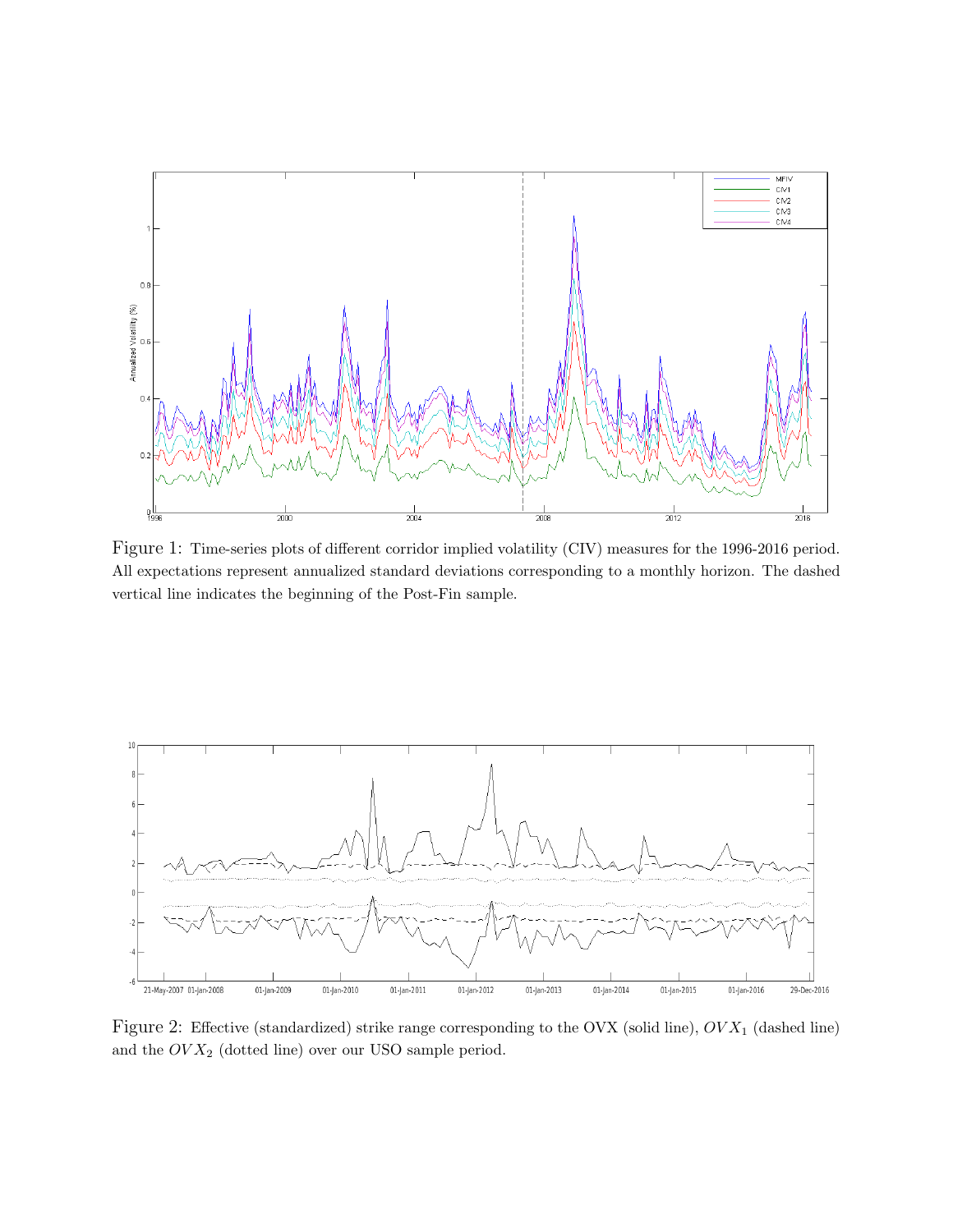

Figure 1: Time-series plots of different corridor implied volatility (CIV) measures for the 1996-2016 period. All expectations represent annualized standard deviations corresponding to a monthly horizon. The dashed vertical line indicates the beginning of the Post-Fin sample.



Figure 2: Effective (standardized) strike range corresponding to the OVX (solid line),  $OV X_1$  (dashed line) and the  $OVX_{2}$  (dotted line) over our USO sample period.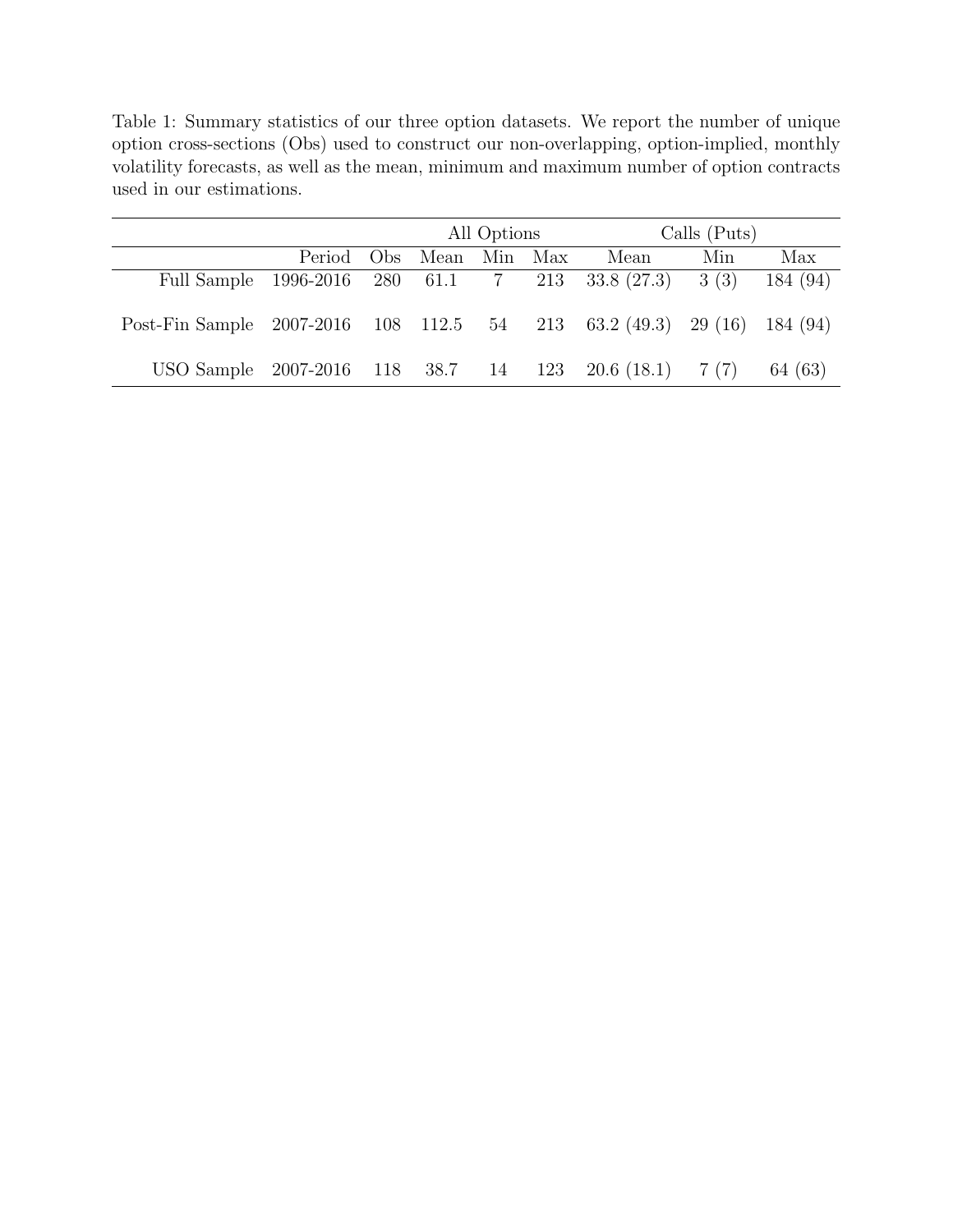Table 1: Summary statistics of our three option datasets. We report the number of unique option cross-sections (Obs) used to construct our non-overlapping, option-implied, monthly volatility forecasts, as well as the mean, minimum and maximum number of option contracts used in our estimations.

|                                                                         |        |     |      | All Options |         | Calls (Puts) |     |          |  |
|-------------------------------------------------------------------------|--------|-----|------|-------------|---------|--------------|-----|----------|--|
|                                                                         | Period | Obs | Mean |             | Min Max | Mean         | Min | Max      |  |
| Full Sample 1996-2016 280 61.1 7 213 33.8 (27.3) 3 (3)                  |        |     |      |             |         |              |     | 184 (94) |  |
| Post-Fin Sample 2007-2016 108 112.5 54 213 63.2 (49.3) 29 (16) 184 (94) |        |     |      |             |         |              |     |          |  |
| USO Sample 2007-2016 118 38.7 14 123 20.6 (18.1) 7 (7)                  |        |     |      |             |         |              |     | 64 (63)  |  |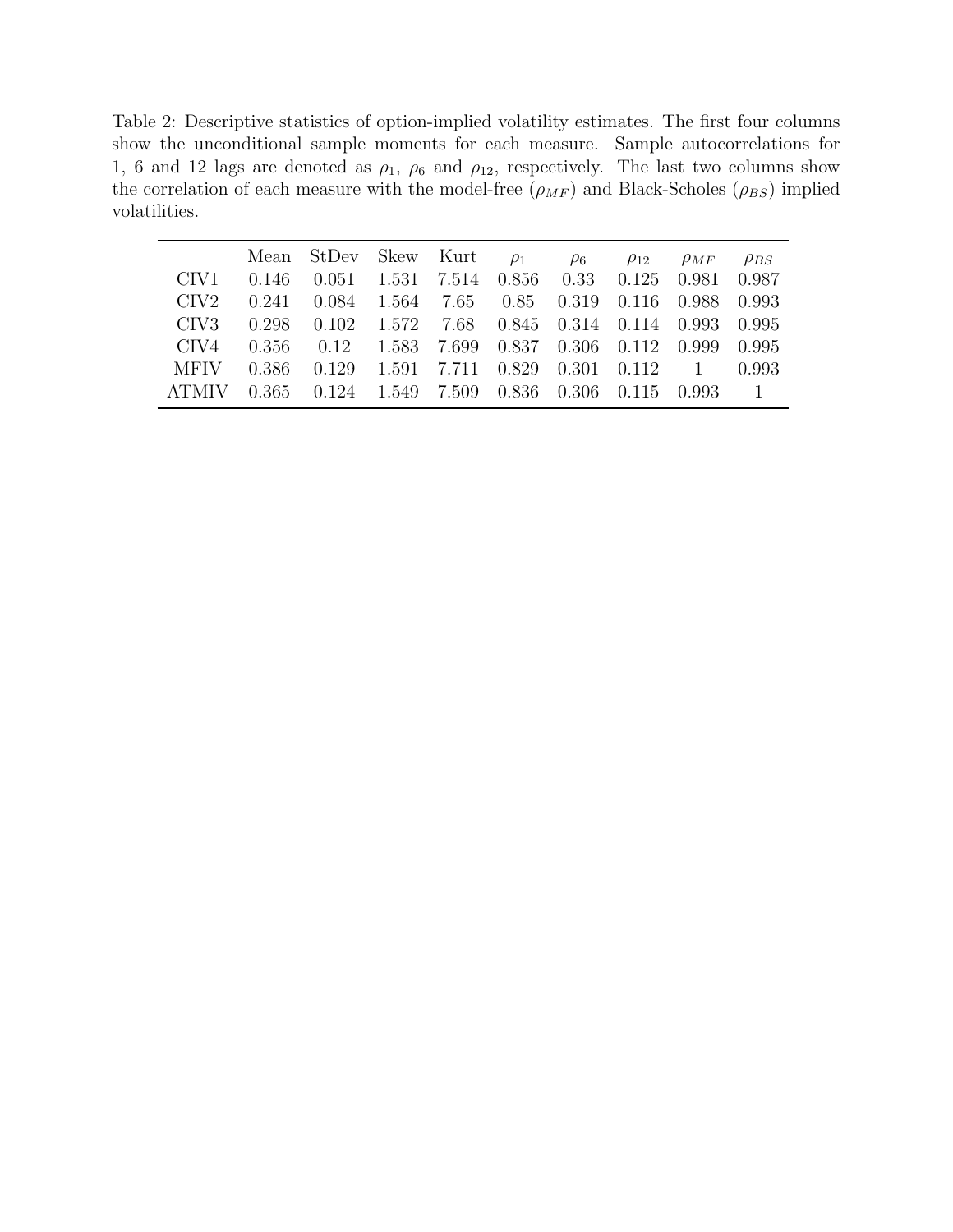Table 2: Descriptive statistics of option-implied volatility estimates. The first four columns show the unconditional sample moments for each measure. Sample autocorrelations for 1, 6 and 12 lags are denoted as  $\rho_1$ ,  $\rho_6$  and  $\rho_{12}$ , respectively. The last two columns show the correlation of each measure with the model-free  $(\rho_{MF})$  and Black-Scholes ( $\rho_{BS}$ ) implied volatilities.

|                  |       | Mean StDev Skew Kurt                     |                                                           | $\rho_1$ | $\rho_6$ | $\rho_{12}$ | $\rho_{MF}$ | $\rho_{BS}$ |
|------------------|-------|------------------------------------------|-----------------------------------------------------------|----------|----------|-------------|-------------|-------------|
| CIV1             | 0.146 | 0.051 1.531 7.514 0.856 0.33 0.125 0.981 |                                                           |          |          |             |             | 0.987       |
| CIV <sub>2</sub> | 0.241 | 0.084                                    | 1.564 7.65 0.85 0.319 0.116 0.988                         |          |          |             |             | 0.993       |
| CIV <sub>3</sub> | 0.298 |                                          | $0.102$ $1.572$ $7.68$ $0.845$ $0.314$ $0.114$ $0.993$    |          |          |             |             | 0.995       |
| CIV4             | 0.356 | 0.12                                     | 1.583 7.699 0.837 0.306 0.112 0.999                       |          |          |             |             | 0.995       |
| MFIV             | 0.386 | 0.129                                    | 1.591 7.711 0.829 0.301 0.112 1                           |          |          |             |             | 0.993       |
|                  | 0.365 |                                          | $0.124$ $1.549$ $7.509$ $0.836$ $0.306$ $0.115$ $0.993$ 1 |          |          |             |             |             |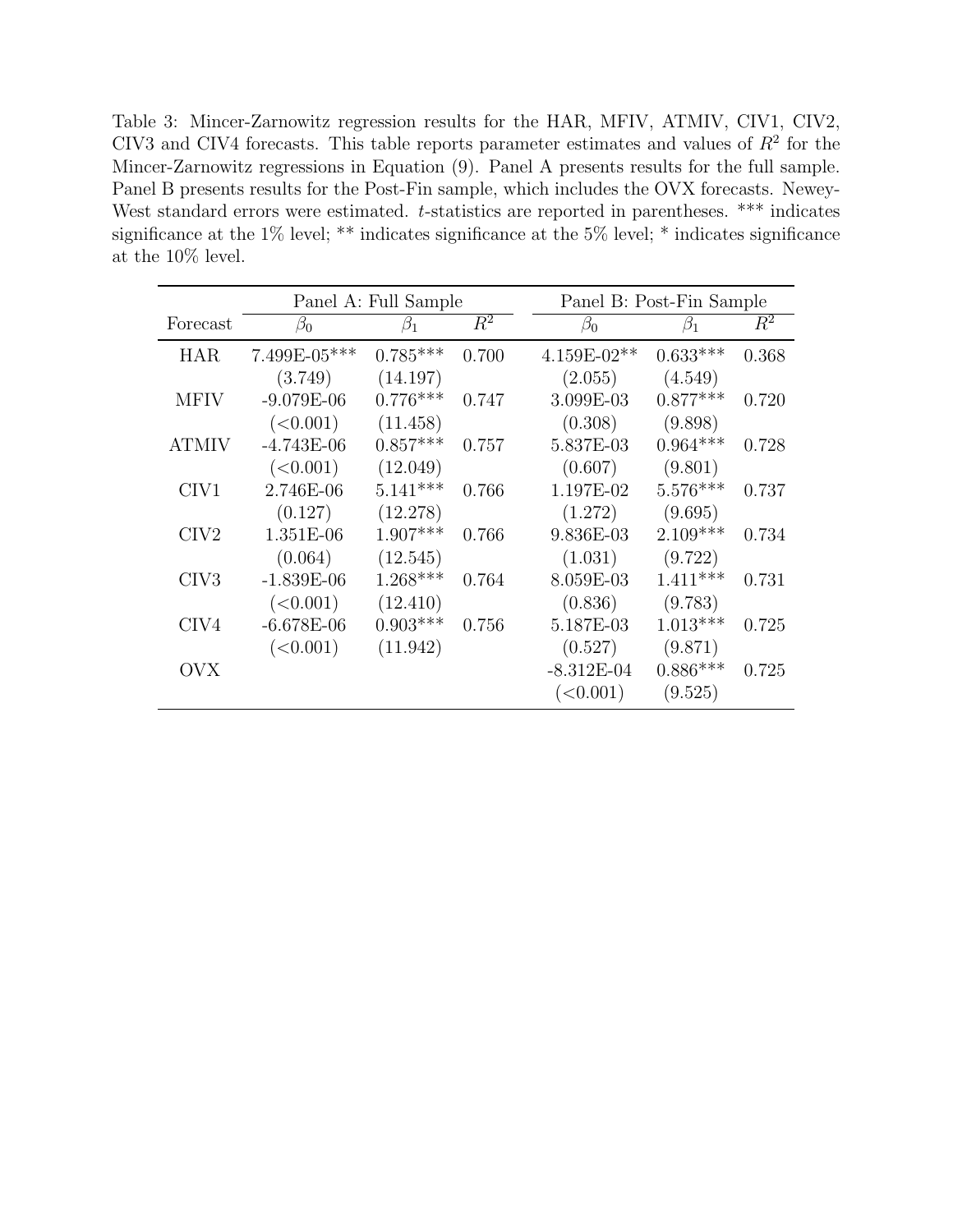Table 3: Mincer-Zarnowitz regression results for the HAR, MFIV, ATMIV, CIV1, CIV2, CIV3 and CIV4 forecasts. This table reports parameter estimates and values of  $R<sup>2</sup>$  for the Mincer-Zarnowitz regressions in Equation (9). Panel A presents results for the full sample. Panel B presents results for the Post-Fin sample, which includes the OVX forecasts. Newey-West standard errors were estimated. t-statistics are reported in parentheses. \*\*\* indicates significance at the 1% level; \*\* indicates significance at the 5% level; \* indicates significance at the 10% level.

|                  |                | Panel A: Full Sample |       |              | Panel B: Post-Fin Sample |       |  |  |
|------------------|----------------|----------------------|-------|--------------|--------------------------|-------|--|--|
| Forecast         | $\beta_0$      | $\beta_1$            | $R^2$ | $\beta_0$    | $\beta_1$                | $R^2$ |  |  |
| <b>HAR</b>       | $7.499E-05***$ | $0.785***$           | 0.700 | 4.159E-02**  | $0.633***$               | 0.368 |  |  |
|                  | (3.749)        | (14.197)             |       | (2.055)      | (4.549)                  |       |  |  |
| <b>MFIV</b>      | $-9.079E-06$   | $0.776***$           | 0.747 | 3.099E-03    | $0.877***$               | 0.720 |  |  |
|                  | (<0.001)       | (11.458)             |       | (0.308)      | (9.898)                  |       |  |  |
| <b>ATMIV</b>     | $-4.743E-06$   | $0.857***$           | 0.757 | 5.837E-03    | $0.964***$               | 0.728 |  |  |
|                  | (<0.001)       | (12.049)             |       | (0.607)      | (9.801)                  |       |  |  |
| CIV1             | 2.746E-06      | $5.141***$           | 0.766 | 1.197E-02    | $5.576***$               | 0.737 |  |  |
|                  | (0.127)        | (12.278)             |       | (1.272)      | (9.695)                  |       |  |  |
| CIV <sub>2</sub> | 1.351E-06      | $1.907***$           | 0.766 | 9.836E-03    | $2.109***$               | 0.734 |  |  |
|                  | (0.064)        | (12.545)             |       | (1.031)      | (9.722)                  |       |  |  |
| CIV3             | $-1.839E-06$   | $1.268***$           | 0.764 | 8.059E-03    | $1.411***$               | 0.731 |  |  |
|                  | (<0.001)       | (12.410)             |       | (0.836)      | (9.783)                  |       |  |  |
| CIV4             | $-6.678E-06$   | $0.903***$           | 0.756 | 5.187E-03    | $1.013***$               | 0.725 |  |  |
|                  | (<0.001)       | (11.942)             |       | (0.527)      | (9.871)                  |       |  |  |
| OVX              |                |                      |       | $-8.312E-04$ | $0.886***$               | 0.725 |  |  |
|                  |                |                      |       | (<0.001)     | (9.525)                  |       |  |  |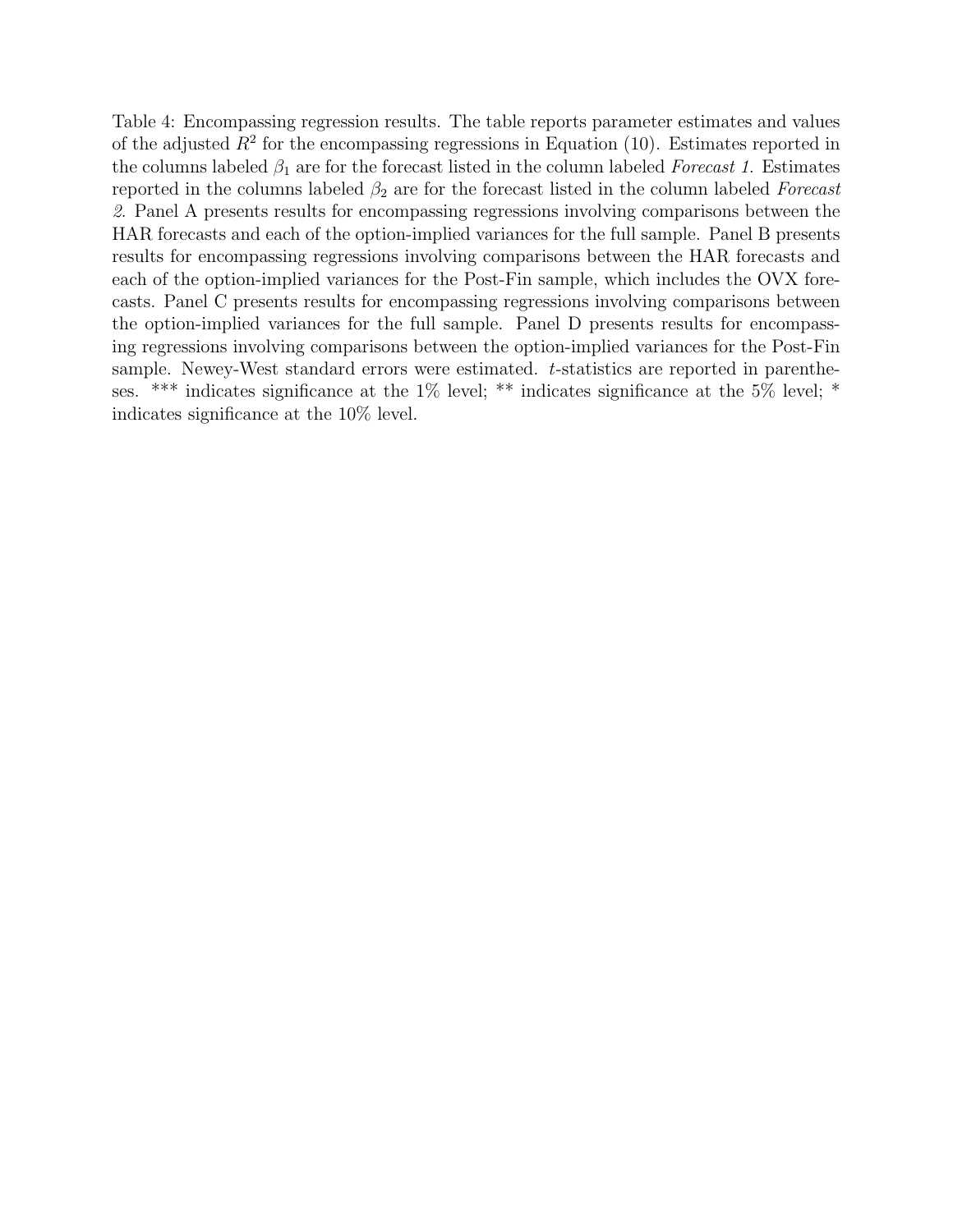Table 4: Encompassing regression results. The table reports parameter estimates and values of the adjusted  $R^2$  for the encompassing regressions in Equation (10). Estimates reported in the columns labeled  $\beta_1$  are for the forecast listed in the column labeled Forecast 1. Estimates reported in the columns labeled  $\beta_2$  are for the forecast listed in the column labeled Forecast 2. Panel A presents results for encompassing regressions involving comparisons between the HAR forecasts and each of the option-implied variances for the full sample. Panel B presents results for encompassing regressions involving comparisons between the HAR forecasts and each of the option-implied variances for the Post-Fin sample, which includes the OVX forecasts. Panel C presents results for encompassing regressions involving comparisons between the option-implied variances for the full sample. Panel D presents results for encompassing regressions involving comparisons between the option-implied variances for the Post-Fin sample. Newey-West standard errors were estimated. t-statistics are reported in parentheses. \*\*\* indicates significance at the 1% level; \*\* indicates significance at the 5% level; \* indicates significance at the 10% level.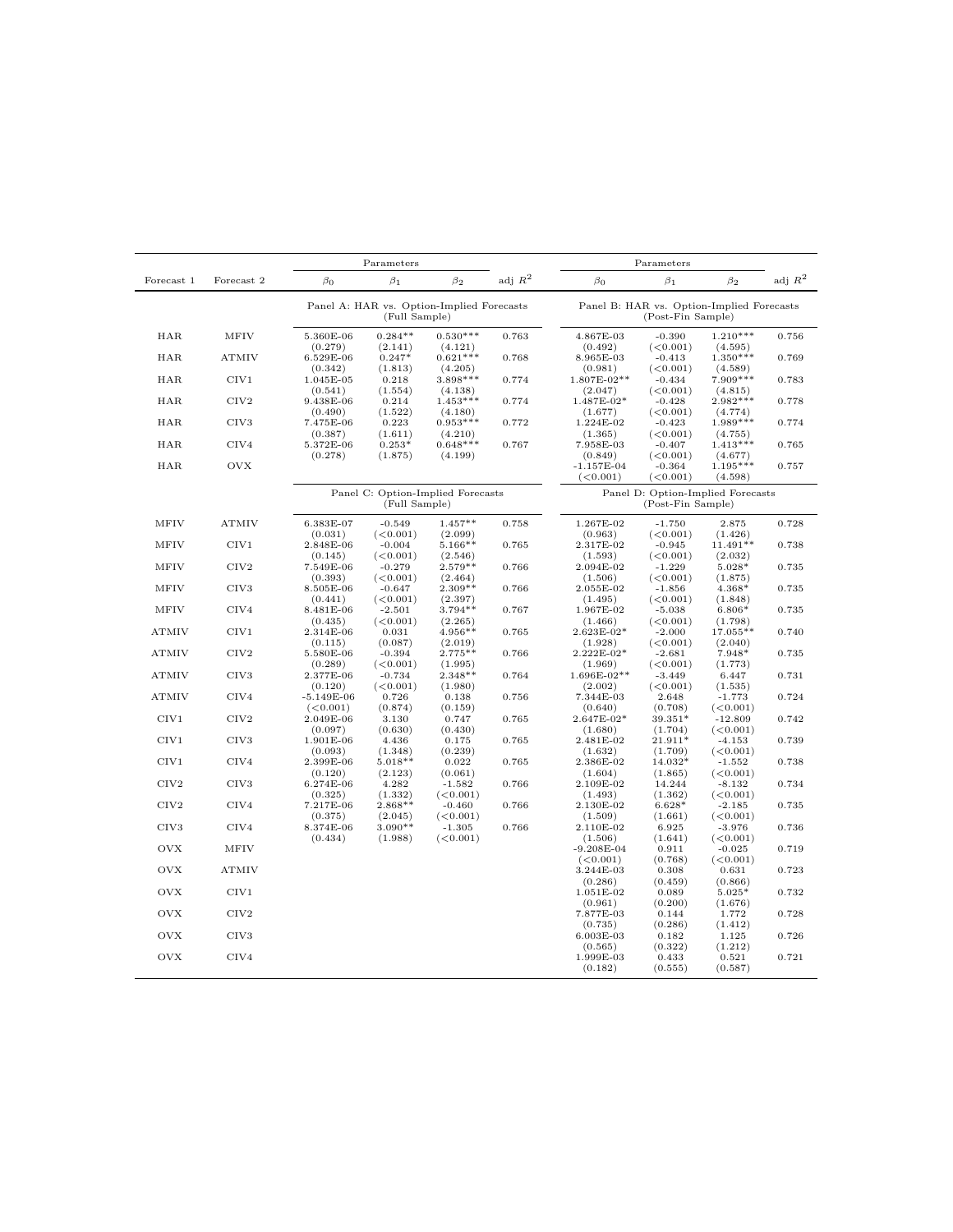|                  |                  |                                 | Parameters                                                 |                                  |           |                                  | Parameters                                                     |                                  |           |
|------------------|------------------|---------------------------------|------------------------------------------------------------|----------------------------------|-----------|----------------------------------|----------------------------------------------------------------|----------------------------------|-----------|
| Forecast 1       | Forecast 2       | $\beta_0$                       | $\beta_1$                                                  | $\beta_2$                        | adj $R^2$ | $\beta_0$                        | $\beta_1$                                                      | $\beta_2$                        | adj $R^2$ |
|                  |                  |                                 | Panel A: HAR vs. Option-Implied Forecasts<br>(Full Sample) |                                  |           |                                  | Panel B: HAR vs. Option-Implied Forecasts<br>(Post-Fin Sample) |                                  |           |
| <b>HAR</b>       | <b>MFIV</b>      | 5.360E-06                       | $0.284**$                                                  | $0.530***$                       | 0.763     | 4.867E-03                        | $-0.390$                                                       | $1.210***$                       | 0.756     |
| <b>HAR</b>       | <b>ATMIV</b>     | (0.279)<br>6.529E-06<br>(0.342) | (2.141)<br>$0.247*$<br>(1.813)                             | (4.121)<br>$0.621***$<br>(4.205) | 0.768     | (0.492)<br>8.965E-03<br>(0.981)  | (<0.001)<br>$-0.413$<br>(<0.001)                               | (4.595)<br>$1.350***$<br>(4.589) | 0.769     |
| <b>HAR</b>       | CIV1             | 1.045E-05                       | 0.218                                                      | 3.898***                         | 0.774     | 1.807E-02**                      | $-0.434$                                                       | $7.909***$                       | 0.783     |
| <b>HAR</b>       | CIV2             | (0.541)<br>9.438E-06<br>(0.490) | (1.554)<br>0.214<br>(1.522)                                | (4.138)<br>$1.453***$<br>(4.180) | 0.774     | (2.047)<br>1.487E-02*<br>(1.677) | (<0.001)<br>$-0.428$<br>(<0.001)                               | (4.815)<br>$2.982***$<br>(4.774) | 0.778     |
| HAR              | CIV <sub>3</sub> | 7.475E-06                       | 0.223                                                      | $0.953***$                       | 0.772     | 1.224E-02                        | $-0.423$                                                       | $1.989***$                       | 0.774     |
| HAR              | CIV4             | (0.387)<br>5.372E-06            | (1.611)<br>$0.253*$                                        | (4.210)<br>$0.648***$            | 0.767     | (1.365)<br>7.958E-03             | (<0.001)<br>$-0.407$                                           | (4.755)<br>$1.413***$            | 0.765     |
| HAR              | <b>OVX</b>       | (0.278)                         | (1.875)                                                    | (4.199)                          |           | (0.849)<br>$-1.157E-04$          | (<0.001)<br>$-0.364$                                           | (4.677)<br>$1.195***$            | 0.757     |
|                  |                  |                                 |                                                            |                                  |           | (<0.001)                         | (<0.001)                                                       | (4.598)                          |           |
|                  |                  |                                 | Panel C: Option-Implied Forecasts<br>(Full Sample)         |                                  |           |                                  | Panel D: Option-Implied Forecasts<br>(Post-Fin Sample)         |                                  |           |
| <b>MFIV</b>      | <b>ATMIV</b>     | 6.383E-07<br>(0.031)            | $-0.549$<br>(<0.001)                                       | $1.457**$<br>(2.099)             | 0.758     | 1.267E-02<br>(0.963)             | $-1.750$<br>(<0.001)                                           | 2.875<br>(1.426)                 | 0.728     |
| MFIV             | CIV1             | 2.848E-06                       | $-0.004$                                                   | $5.166**$                        | 0.765     | 2.317E-02                        | $-0.945$                                                       | $11.491**$                       | 0.738     |
| <b>MFIV</b>      | CIV2             | (0.145)<br>7.549E-06            | (<0.001)<br>$-0.279$                                       | (2.546)<br>$2.579**$             | 0.766     | (1.593)<br>2.094E-02             | (<0.001)<br>$-1.229$                                           | (2.032)<br>$5.028*$              | 0.735     |
|                  |                  | (0.393)                         | (<0.001)                                                   | (2.464)                          |           | (1.506)                          | (<0.001)                                                       | (1.875)                          |           |
| <b>MFIV</b>      | CIV <sub>3</sub> | 8.505E-06<br>(0.441)            | $-0.647$<br>(<0.001)                                       | $2.309**$<br>(2.397)             | 0.766     | 2.055E-02<br>(1.495)             | $-1.856$<br>(<0.001)                                           | $4.368*$<br>(1.848)              | 0.735     |
| MFIV             | CIV4             | 8.481E-06                       | $-2.501$                                                   | $3.794**$                        | 0.767     | 1.967E-02                        | $-5.038$                                                       | $6.806*$                         | 0.735     |
|                  |                  | (0.435)                         | (<0.001)                                                   | (2.265)                          |           | (1.466)                          | (<0.001)                                                       | (1.798)                          |           |
| <b>ATMIV</b>     | CIV1             | 2.314E-06<br>(0.115)            | 0.031<br>(0.087)                                           | 4.956**<br>(2.019)               | 0.765     | 2.623E-02*<br>(1.928)            | $-2.000$<br>(<0.001)                                           | 17.055**<br>(2.040)              | 0.740     |
| <b>ATMIV</b>     | CIV2             | 5.580E-06                       | $-0.394$                                                   | $2.775**$                        | 0.766     | 2.222E-02*                       | $-2.681$                                                       | 7.948*                           | 0.735     |
| <b>ATMIV</b>     | CIV <sub>3</sub> | (0.289)<br>2.377E-06            | (<0.001)<br>$-0.734$                                       | (1.995)<br>$2.348**$             | 0.764     | (1.969)<br>$1.696E-02**$         | (<0.001)<br>$-3.449$                                           | (1.773)<br>6.447                 | 0.731     |
|                  |                  | (0.120)                         | (<0.001)                                                   | (1.980)                          |           | (2.002)                          | (<0.001)                                                       | (1.535)                          |           |
| <b>ATMIV</b>     | CIV4             | $-5.149E-06$                    | 0.726                                                      | 0.138                            | 0.756     | 7.344E-03                        | 2.648                                                          | $-1.773$                         | 0.724     |
| CIV1             | CIV <sub>2</sub> | (<0.001)<br>2.049E-06           | (0.874)<br>3.130                                           | (0.159)<br>0.747                 | 0.765     | (0.640)<br>$2.647E - 02*$        | (0.708)<br>39.351*                                             | (<0.001)<br>$-12.809$            | 0.742     |
|                  |                  | (0.097)                         | (0.630)                                                    | (0.430)                          |           | (1.680)                          | (1.704)                                                        | (<0.001)                         |           |
| CIV1             | CIV <sub>3</sub> | 1.901E-06                       | 4.436<br>(1.348)                                           | 0.175<br>(0.239)                 | 0.765     | 2.481E-02                        | 21.911*<br>(1.709)                                             | $-4.153$                         | 0.739     |
| CIV1             | CIV4             | (0.093)<br>2.399E-06            | $5.018**$                                                  | 0.022                            | 0.765     | (1.632)<br>2.386E-02             | 14.032*                                                        | (<0.001)<br>$-1.552$             | 0.738     |
|                  |                  | (0.120)                         | (2.123)                                                    | (0.061)                          |           | (1.604)                          | (1.865)                                                        | (<0.001)                         |           |
| CIV2             | CIV <sub>3</sub> | 6.274E-06<br>(0.325)            | 4.282<br>(1.332)                                           | $-1.582$<br>(<0.001)             | 0.766     | 2.109E-02<br>(1.493)             | 14.244<br>(1.362)                                              | $-8.132$<br>(<0.001)             | 0.734     |
| CIV2             | CIV4             | 7.217E-06                       | $2.868**$                                                  | $-0.460$                         | 0.766     | 2.130E-02                        | $6.628*$                                                       | $-2.185$                         | 0.735     |
| CIV <sub>3</sub> | CIV4             | (0.375)<br>8.374E-06            | (2.045)<br>$3.090**$                                       | (<0.001)<br>$-1.305$             | 0.766     | (1.509)<br>2.110E-02             | (1.661)<br>6.925                                               | (<0.001)<br>$-3.976$             | 0.736     |
|                  |                  | (0.434)                         | (1.988)                                                    | (<0.001)                         |           | (1.506)                          | (1.641)                                                        | (<0.001)                         |           |
| <b>OVX</b>       | MFIV             |                                 |                                                            |                                  |           | $-9.208E-04$<br>(<0.001)         | 0.911<br>(0.768)                                               | $-0.025$<br>(<0.001)             | 0.719     |
| <b>OVX</b>       | <b>ATMIV</b>     |                                 |                                                            |                                  |           | 3.244E-03                        | 0.308                                                          | 0.631                            | 0.723     |
| <b>OVX</b>       | CIV1             |                                 |                                                            |                                  |           | (0.286)<br>1.051E-02             | (0.459)<br>0.089                                               | (0.866)<br>$5.025*$              | 0.732     |
| <b>OVX</b>       | CIV2             |                                 |                                                            |                                  |           | (0.961)<br>7.877E-03             | (0.200)<br>0.144                                               | (1.676)<br>1.772                 | 0.728     |
|                  |                  |                                 |                                                            |                                  |           | (0.735)                          | (0.286)                                                        | (1.412)                          |           |
| <b>OVX</b>       | CIV <sub>3</sub> |                                 |                                                            |                                  |           | 6.003E-03<br>(0.565)             | 0.182<br>(0.322)                                               | 1.125<br>(1.212)                 | 0.726     |
| <b>OVX</b>       | CIV4             |                                 |                                                            |                                  |           | 1.999E-03                        | 0.433                                                          | 0.521                            | 0.721     |
|                  |                  |                                 |                                                            |                                  |           | (0.182)                          | (0.555)                                                        | (0.587)                          |           |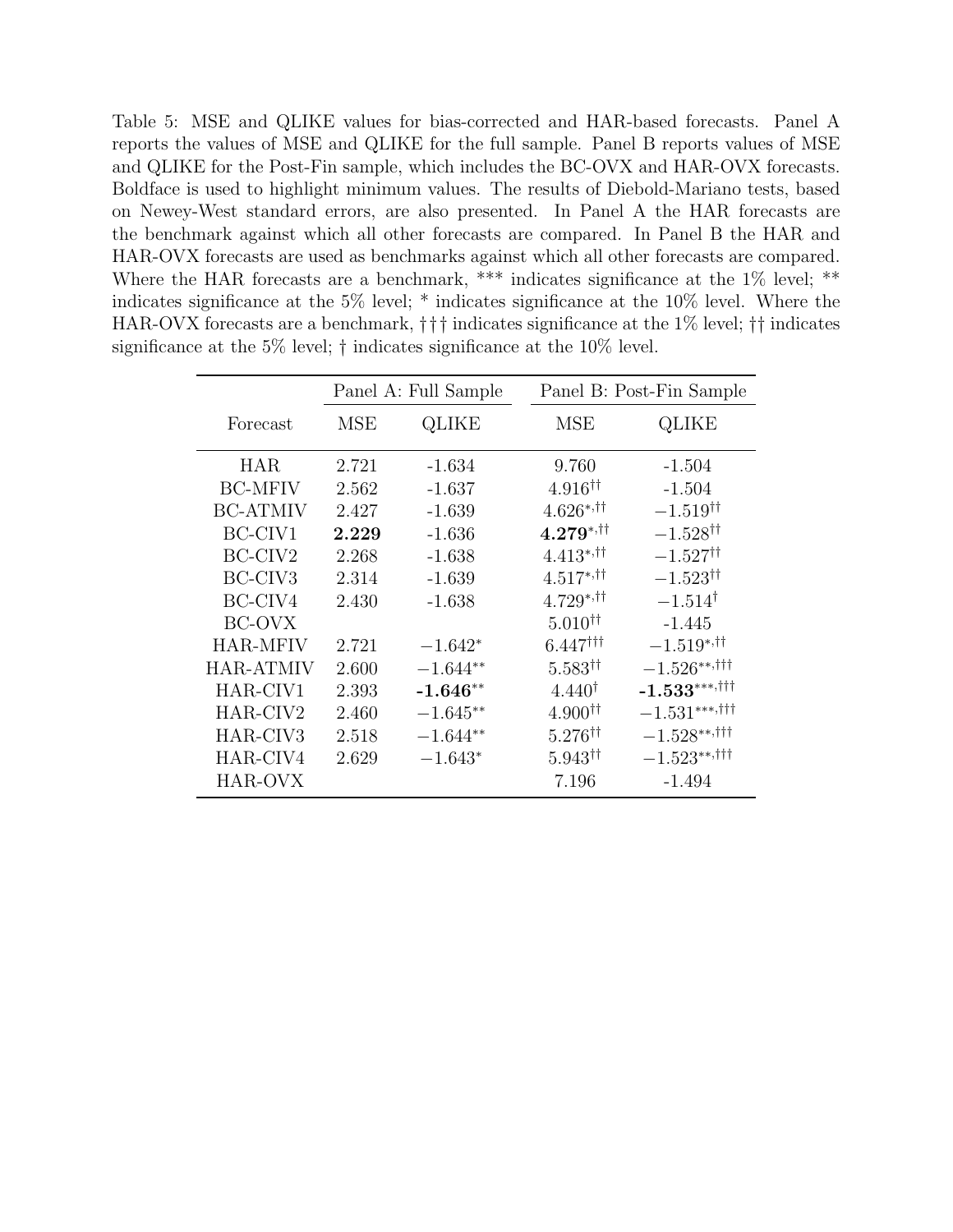Table 5: MSE and QLIKE values for bias-corrected and HAR-based forecasts. Panel A reports the values of MSE and QLIKE for the full sample. Panel B reports values of MSE and QLIKE for the Post-Fin sample, which includes the BC-OVX and HAR-OVX forecasts. Boldface is used to highlight minimum values. The results of Diebold-Mariano tests, based on Newey-West standard errors, are also presented. In Panel A the HAR forecasts are the benchmark against which all other forecasts are compared. In Panel B the HAR and HAR-OVX forecasts are used as benchmarks against which all other forecasts are compared. Where the HAR forecasts are a benchmark, \*\*\* indicates significance at the 1% level; \*\* indicates significance at the 5% level; \* indicates significance at the 10% level. Where the HAR-OVX forecasts are a benchmark, ††† indicates significance at the 1% level; †† indicates significance at the 5% level; † indicates significance at the 10% level.

|                     |       | Panel A: Full Sample |                            | Panel B: Post-Fin Sample  |
|---------------------|-------|----------------------|----------------------------|---------------------------|
| Forecast            | MSE   | QLIKE                | MSE                        | QLIKE                     |
| <b>HAR</b>          | 2.721 | $-1.634$             | 9.760                      | $-1.504$                  |
| <b>BC-MFIV</b>      | 2.562 | $-1.637$             | $4.916$ <sup>††</sup>      | $-1.504$                  |
| <b>BC-ATMIV</b>     | 2.427 | $-1.639$             | $4.626^{*,+1}$             | $-1.519^{\dagger\dagger}$ |
| BC-CIV1             | 2.229 | $-1.636$             | $4.279^{*,+}$              | $-1.528^{\dagger\dagger}$ |
| BC-CIV <sub>2</sub> | 2.268 | $-1.638$             | $4.413^{*,\dagger\dagger}$ | $-1.527$ <sup>††</sup>    |
| BC-CIV <sub>3</sub> | 2.314 | $-1.639$             | $4.517^{*,\dagger\dagger}$ | $-1.523^{\dagger\dagger}$ |
| BC-CIV4             | 2.430 | $-1.638$             | $4.729^{*, +}$             | $-1.514^{\dagger}$        |
| BC-OVX              |       |                      | $5.010^{\dagger\dagger}$   | $-1.445$                  |
| <b>HAR-MFIV</b>     | 2.721 | $-1.642*$            | $6.447$ <sup>†††</sup>     | $-1.519^{*,+}$            |
| <b>HAR-ATMIV</b>    | 2.600 | $-1.644**$           | $5.583$ <sup>††</sup>      | $-1.526***$               |
| HAR-CIV1            | 2.393 | $-1.646**$           | $4.440^{\dagger}$          | $-1.533***$               |
| HAR-CIV2            | 2.460 | $-1.645**$           | 4.900 <sup>††</sup>        | $-1.531***$               |
| HAR-CIV3            | 2.518 | $-1.644**$           | $5.276^{\dagger\dagger}$   | $-1.528***$               |
| HAR-CIV4            | 2.629 | $-1.643*$            | $5.943^{\dagger\dagger}$   | $-1.523***$               |
| HAR-OVX             |       |                      | 7.196                      | $-1.494$                  |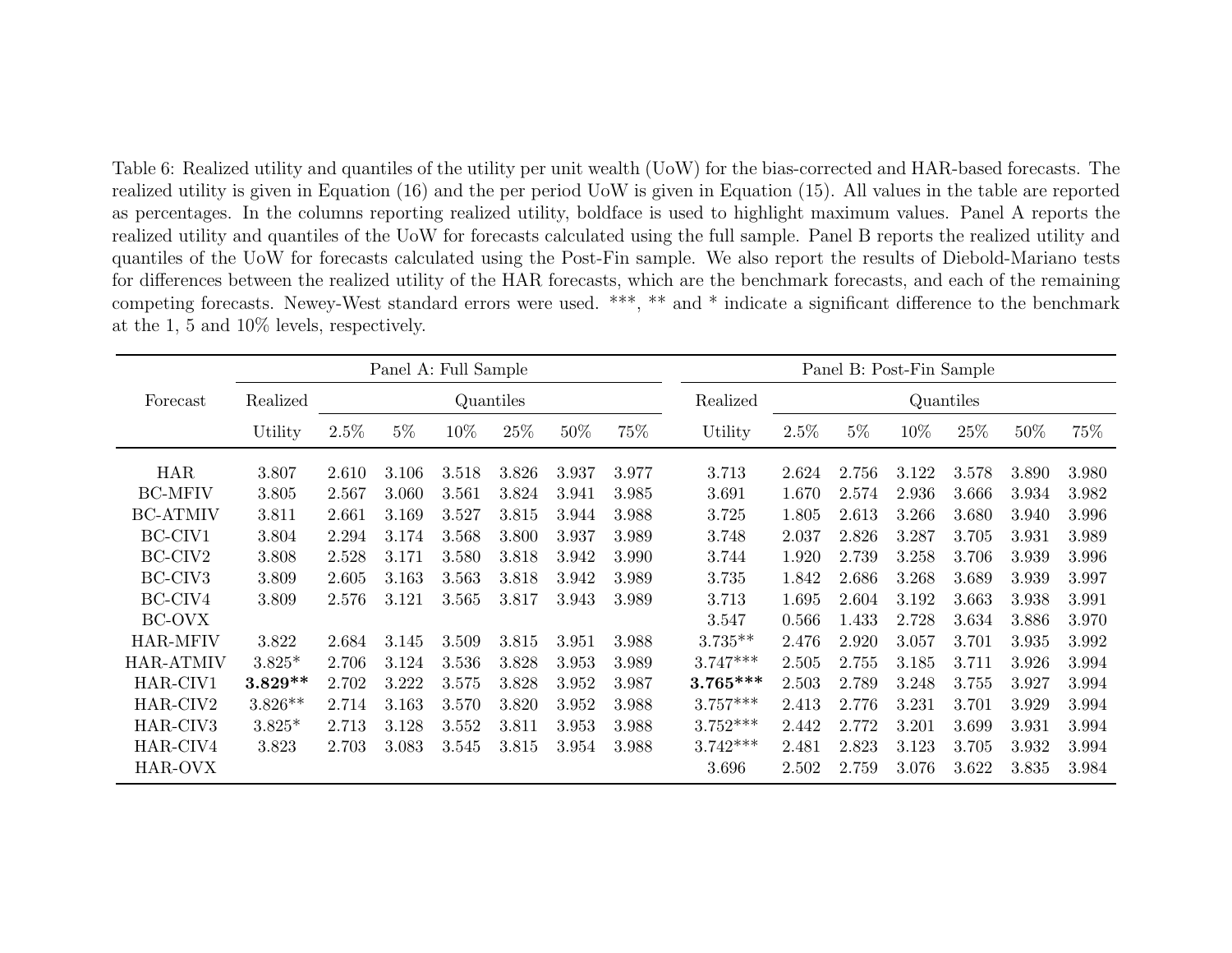Table 6: Realized utility and quantiles of the utility per unit wealth (UoW) for the bias-corrected and HAR-based forecasts. The realized utility is <sup>g</sup>iven in Equation (16) and the per period UoW is <sup>g</sup>iven in Equation (15). All values in the table are reported as percentages. In the columns reporting realized utility, boldface is used to highlight maximum values. Panel <sup>A</sup> reports the realized utility and quantiles of the UoW for forecasts calculated using the full sample. Panel <sup>B</sup> reports the realized utility and quantiles of the UoW for forecasts calculated using the Post-Fin sample. We also report the results of Diebold-Mariano tests for differences between the realized utility of the HAR forecasts, which are the benchmark forecasts, and each of the remaining competing forecasts. Newey-West standard errors were used. \*\*\*, \*\* and \* indicate <sup>a</sup> significant difference to the benchmar kat the 1, <sup>5</sup> and 10% levels, respectively.

|                      |           | Panel A: Full Sample |       |       |           | Panel B: Post-Fin Sample |       |            |           |       |       |       |       |       |
|----------------------|-----------|----------------------|-------|-------|-----------|--------------------------|-------|------------|-----------|-------|-------|-------|-------|-------|
| Forecast             | Realized  |                      |       |       | Quantiles |                          |       | Realized   | Quantiles |       |       |       |       |       |
|                      | Utility   | 2.5%                 | $5\%$ | 10%   | 25\%      | 50%                      | 75%   | Utility    | 2.5%      | $5\%$ | 10%   | 25\%  | 50%   | 75%   |
| <b>HAR</b>           | 3.807     | 2.610                | 3.106 | 3.518 | 3.826     | 3.937                    | 3.977 | 3.713      | 2.624     | 2.756 | 3.122 | 3.578 | 3.890 | 3.980 |
| <b>BC-MFIV</b>       | 3.805     | 2.567                | 3.060 | 3.561 | 3.824     | 3.941                    | 3.985 | 3.691      | 1.670     | 2.574 | 2.936 | 3.666 | 3.934 | 3.982 |
| <b>BC-ATMIV</b>      | 3.811     | 2.661                | 3.169 | 3.527 | 3.815     | 3.944                    | 3.988 | 3.725      | 1.805     | 2.613 | 3.266 | 3.680 | 3.940 | 3.996 |
| BC-CIV1              | 3.804     | 2.294                | 3.174 | 3.568 | 3.800     | 3.937                    | 3.989 | 3.748      | 2.037     | 2.826 | 3.287 | 3.705 | 3.931 | 3.989 |
| BC-CIV2              | 3.808     | 2.528                | 3.171 | 3.580 | 3.818     | 3.942                    | 3.990 | 3.744      | 1.920     | 2.739 | 3.258 | 3.706 | 3.939 | 3.996 |
| BC-CIV <sub>3</sub>  | 3.809     | 2.605                | 3.163 | 3.563 | 3.818     | 3.942                    | 3.989 | 3.735      | 1.842     | 2.686 | 3.268 | 3.689 | 3.939 | 3.997 |
| BC-CIV4              | 3.809     | 2.576                | 3.121 | 3.565 | 3.817     | 3.943                    | 3.989 | 3.713      | 1.695     | 2.604 | 3.192 | 3.663 | 3.938 | 3.991 |
| BC-OVX               |           |                      |       |       |           |                          |       | 3.547      | 0.566     | 1.433 | 2.728 | 3.634 | 3.886 | 3.970 |
| <b>HAR-MFIV</b>      | 3.822     | 2.684                | 3.145 | 3.509 | 3.815     | 3.951                    | 3.988 | $3.735**$  | 2.476     | 2.920 | 3.057 | 3.701 | 3.935 | 3.992 |
| <b>HAR-ATMIV</b>     | $3.825*$  | 2.706                | 3.124 | 3.536 | 3.828     | 3.953                    | 3.989 | $3.747***$ | 2.505     | 2.755 | 3.185 | 3.711 | 3.926 | 3.994 |
| HAR-CIV1             | $3.829**$ | 2.702                | 3.222 | 3.575 | 3.828     | 3.952                    | 3.987 | $3.765***$ | 2.503     | 2.789 | 3.248 | 3.755 | 3.927 | 3.994 |
| HAR-CIV2             | $3.826**$ | 2.714                | 3.163 | 3.570 | 3.820     | 3.952                    | 3.988 | $3.757***$ | 2.413     | 2.776 | 3.231 | 3.701 | 3.929 | 3.994 |
| HAR-CIV <sub>3</sub> | $3.825*$  | 2.713                | 3.128 | 3.552 | 3.811     | 3.953                    | 3.988 | $3.752***$ | 2.442     | 2.772 | 3.201 | 3.699 | 3.931 | 3.994 |
| HAR-CIV4             | 3.823     | 2.703                | 3.083 | 3.545 | 3.815     | 3.954                    | 3.988 | $3.742***$ | 2.481     | 2.823 | 3.123 | 3.705 | 3.932 | 3.994 |
| HAR-OVX              |           |                      |       |       |           |                          |       | 3.696      | 2.502     | 2.759 | 3.076 | 3.622 | 3.835 | 3.984 |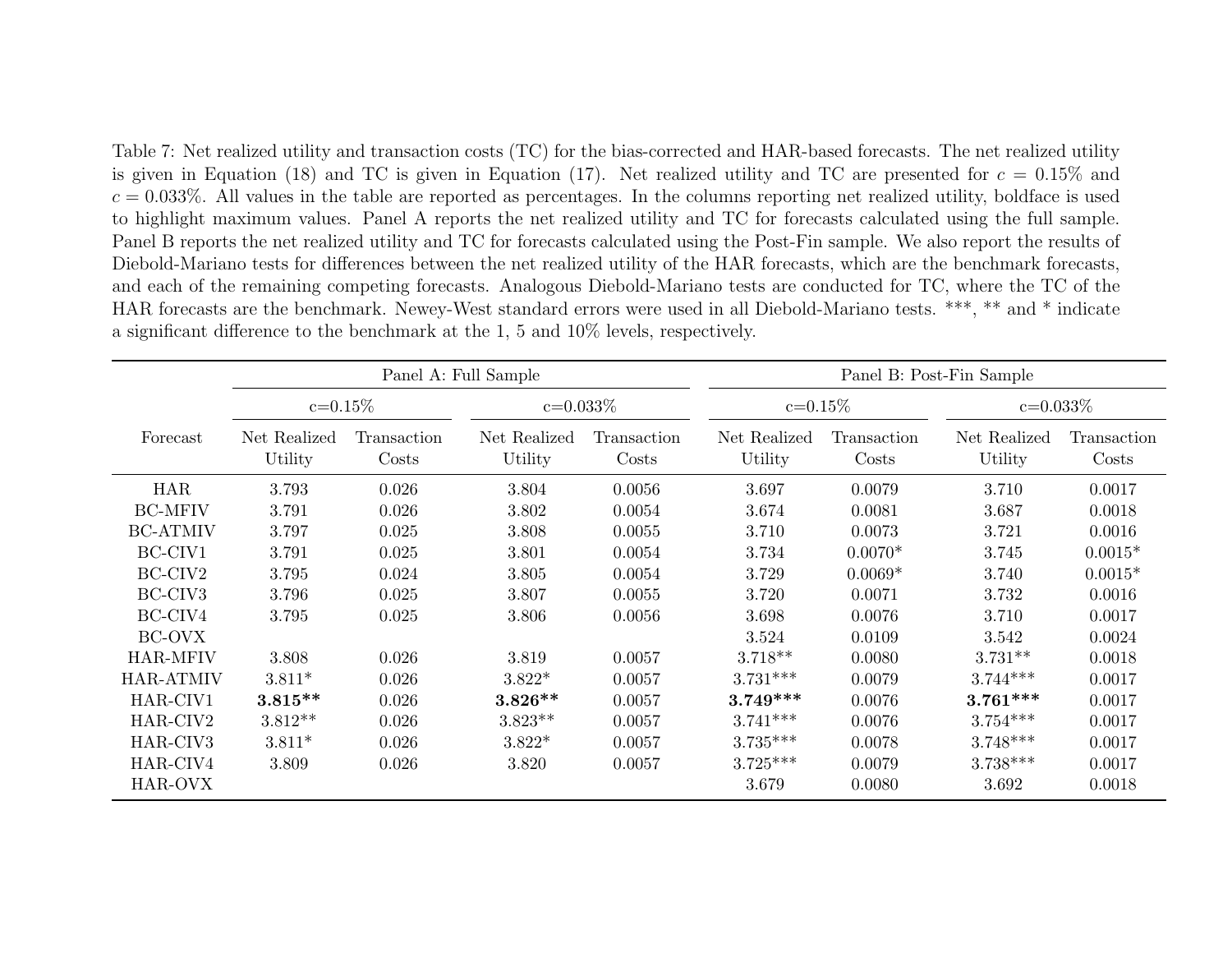Table 7: Net realized utility and transaction costs (TC) for the bias-corrected and HAR-based forecasts. The net realized utilityis given in Equation (18) and TC is given in Equation (17). Net realized utility and TC are presented for  $c = 0.15\%$  and  $c = 0.033\%$ . All values in the table are reported as percentages. In the columns reporting net realized utility, boldface is used to highlight maximum values. Panel <sup>A</sup> reports the net realized utility and TC for forecasts calculated using the full sample. Panel <sup>B</sup> reports the net realized utility and TC for forecasts calculated using the Post-Fin sample. We also report the results of Diebold-Mariano tests for differences between the net realized utility of the HAR forecasts, which are the benchmark forecasts, and each of the remaining competing forecasts. Analogous Diebold-Mariano tests are conducted for TC, where the TC of the HAR forecasts are the benchmark. Newey-West standard errors were used in all Diebold-Mariano tests. \*\*\*, \*\* and \* indicate <sup>a</sup> significant difference to the benchmark at the 1, <sup>5</sup> and 10% levels, respectively.

|                              |                               |                      | Panel A: Full Sample    |                      | Panel B: Post-Fin Sample |                      |                         |                      |  |
|------------------------------|-------------------------------|----------------------|-------------------------|----------------------|--------------------------|----------------------|-------------------------|----------------------|--|
|                              | $c = 0.15\%$<br>$c = 0.033\%$ |                      |                         |                      | $c = 0.15\%$             |                      |                         | $c = 0.033\%$        |  |
| Forecast                     | Net Realized<br>Utility       | Transaction<br>Costs | Net Realized<br>Utility | Transaction<br>Costs | Net Realized<br>Utility  | Transaction<br>Costs | Net Realized<br>Utility | Transaction<br>Costs |  |
| <b>HAR</b><br><b>BC-MFIV</b> | 3.793<br>3.791                | 0.026<br>0.026       | 3.804<br>3.802          | 0.0056<br>0.0054     | 3.697<br>3.674           | 0.0079<br>0.0081     | 3.710<br>3.687          | 0.0017<br>0.0018     |  |
| <b>BC-ATMIV</b>              | 3.797                         | 0.025                | 3.808                   | 0.0055               | 3.710                    | 0.0073               | 3.721                   | 0.0016               |  |
| BC-CIV1                      | 3.791                         | 0.025                | 3.801                   | 0.0054               | 3.734                    | $0.0070*$            | 3.745                   | $0.0015*$            |  |
| BC-CIV2                      | 3.795                         | 0.024                | 3.805                   | 0.0054               | 3.729                    | $0.0069*$            | 3.740                   | $0.0015*$            |  |
| BC-CIV <sub>3</sub>          | 3.796                         | 0.025                | 3.807                   | 0.0055               | 3.720                    | 0.0071               | 3.732                   | 0.0016               |  |
| BC-CIV4                      | 3.795                         | 0.025                | 3.806                   | 0.0056               | 3.698                    | 0.0076               | 3.710                   | 0.0017               |  |
| BC-OVX                       |                               |                      |                         |                      | 3.524                    | 0.0109               | 3.542                   | 0.0024               |  |
| HAR-MFIV                     | 3.808                         | 0.026                | 3.819                   | 0.0057               | $3.718**$                | 0.0080               | $3.731**$               | 0.0018               |  |
| <b>HAR-ATMIV</b>             | $3.811*$                      | 0.026                | $3.822*$                | 0.0057               | $3.731***$               | 0.0079               | $3.744***$              | 0.0017               |  |
| HAR-CIV1                     | $3.815**$                     | 0.026                | $3.826**$               | 0.0057               | $3.749***$               | 0.0076               | $3.761***$              | 0.0017               |  |
| HAR-CIV2                     | $3.812**$                     | 0.026                | $3.823**$               | 0.0057               | $3.741***$               | 0.0076               | $3.754***$              | 0.0017               |  |
| HAR-CIV <sub>3</sub>         | $3.811*$                      | 0.026                | $3.822*$                | 0.0057               | $3.735***$               | 0.0078               | $3.748***$              | 0.0017               |  |
| HAR-CIV4                     | 3.809                         | 0.026                | 3.820                   | 0.0057               | $3.725***$               | 0.0079               | $3.738***$              | 0.0017               |  |
| HAR-OVX                      |                               |                      |                         |                      | 3.679                    | 0.0080               | 3.692                   | 0.0018               |  |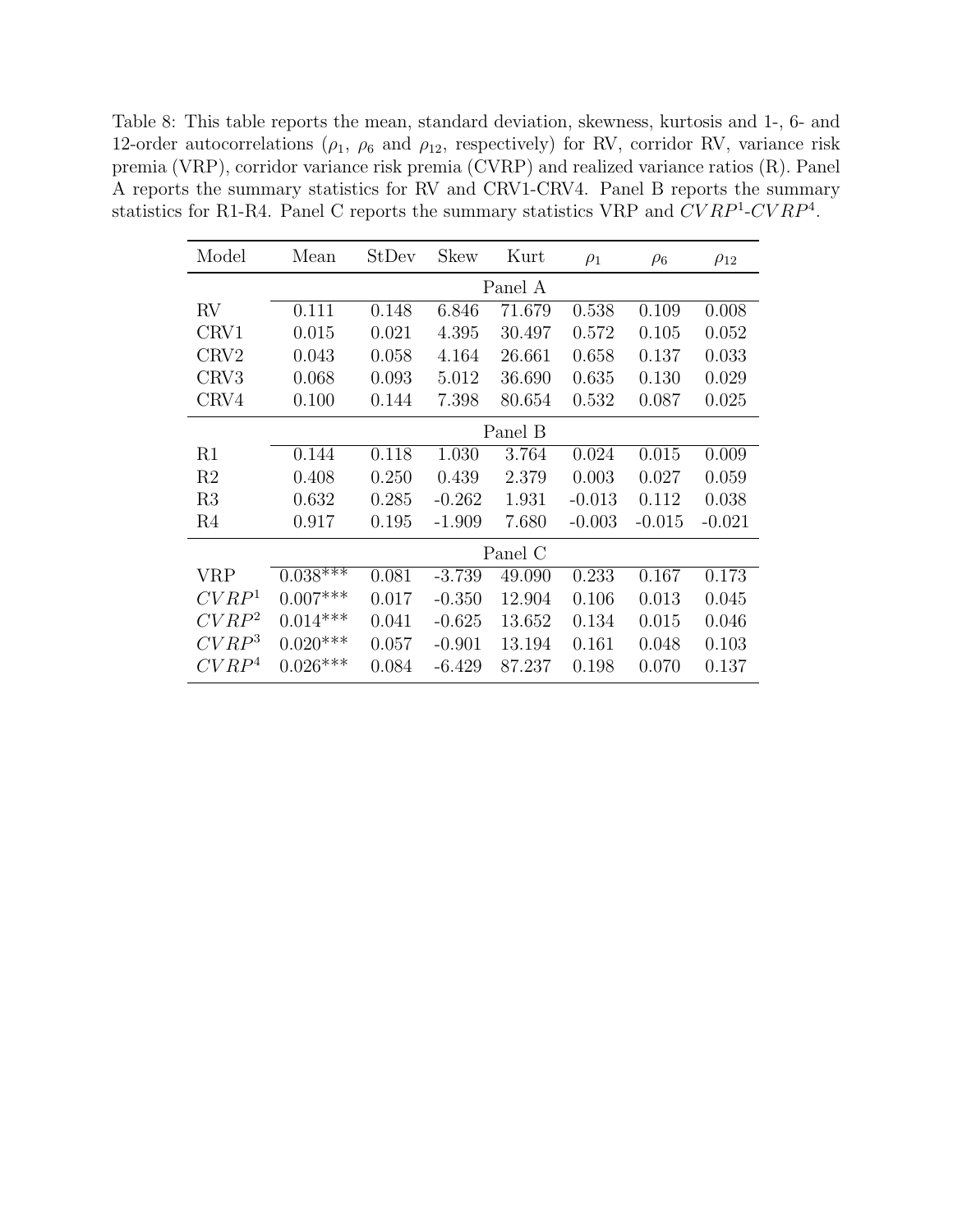Table 8: This table reports the mean, standard deviation, skewness, kurtosis and 1-, 6- and 12-order autocorrelations ( $\rho_1$ ,  $\rho_6$  and  $\rho_{12}$ , respectively) for RV, corridor RV, variance risk premia (VRP), corridor variance risk premia (CVRP) and realized variance ratios (R). Panel A reports the summary statistics for RV and CRV1-CRV4. Panel B reports the summary statistics for R1-R4. Panel C reports the summary statistics VRP and  $CVRP<sup>1</sup>-CVRP<sup>4</sup>$ .

| Model             | Mean       | StDev | Skew     | Kurt    | $\rho_1$ | $\rho_6$ | $\rho_{12}$ |  |  |  |
|-------------------|------------|-------|----------|---------|----------|----------|-------------|--|--|--|
|                   |            |       |          | Panel A |          |          |             |  |  |  |
| $\rm RV$          | 0.111      | 0.148 | 6.846    | 71.679  | 0.538    | 0.109    | 0.008       |  |  |  |
| CRV1              | 0.015      | 0.021 | 4.395    | 30.497  | 0.572    | 0.105    | 0.052       |  |  |  |
| CRV <sub>2</sub>  | 0.043      | 0.058 | 4.164    | 26.661  | 0.658    | 0.137    | 0.033       |  |  |  |
| CRV3              | 0.068      | 0.093 | 5.012    | 36.690  | 0.635    | 0.130    | 0.029       |  |  |  |
| CRV4              | 0.100      | 0.144 | 7.398    | 80.654  | 0.532    | 0.087    | 0.025       |  |  |  |
|                   | Panel B    |       |          |         |          |          |             |  |  |  |
| R1                | 0.144      | 0.118 | 1.030    | 3.764   | 0.024    | 0.015    | 0.009       |  |  |  |
| R <sub>2</sub>    | 0.408      | 0.250 | 0.439    | 2.379   | 0.003    | 0.027    | 0.059       |  |  |  |
| R3                | 0.632      | 0.285 | $-0.262$ | 1.931   | $-0.013$ | 0.112    | 0.038       |  |  |  |
| R <sub>4</sub>    | 0.917      | 0.195 | $-1.909$ | 7.680   | $-0.003$ | $-0.015$ | $-0.021$    |  |  |  |
|                   |            |       |          | Panel C |          |          |             |  |  |  |
| <b>VRP</b>        | $0.038***$ | 0.081 | $-3.739$ | 49.090  | 0.233    | 0.167    | 0.173       |  |  |  |
| CVRP <sup>1</sup> | $0.007***$ | 0.017 | $-0.350$ | 12.904  | 0.106    | 0.013    | 0.045       |  |  |  |
| $CVRP^2$          | $0.014***$ | 0.041 | $-0.625$ | 13.652  | 0.134    | 0.015    | 0.046       |  |  |  |
| $CVRP^3$          | $0.020***$ | 0.057 | $-0.901$ | 13.194  | 0.161    | 0.048    | 0.103       |  |  |  |
| CVRP <sup>4</sup> | $0.026***$ | 0.084 | $-6.429$ | 87.237  | 0.198    | 0.070    | 0.137       |  |  |  |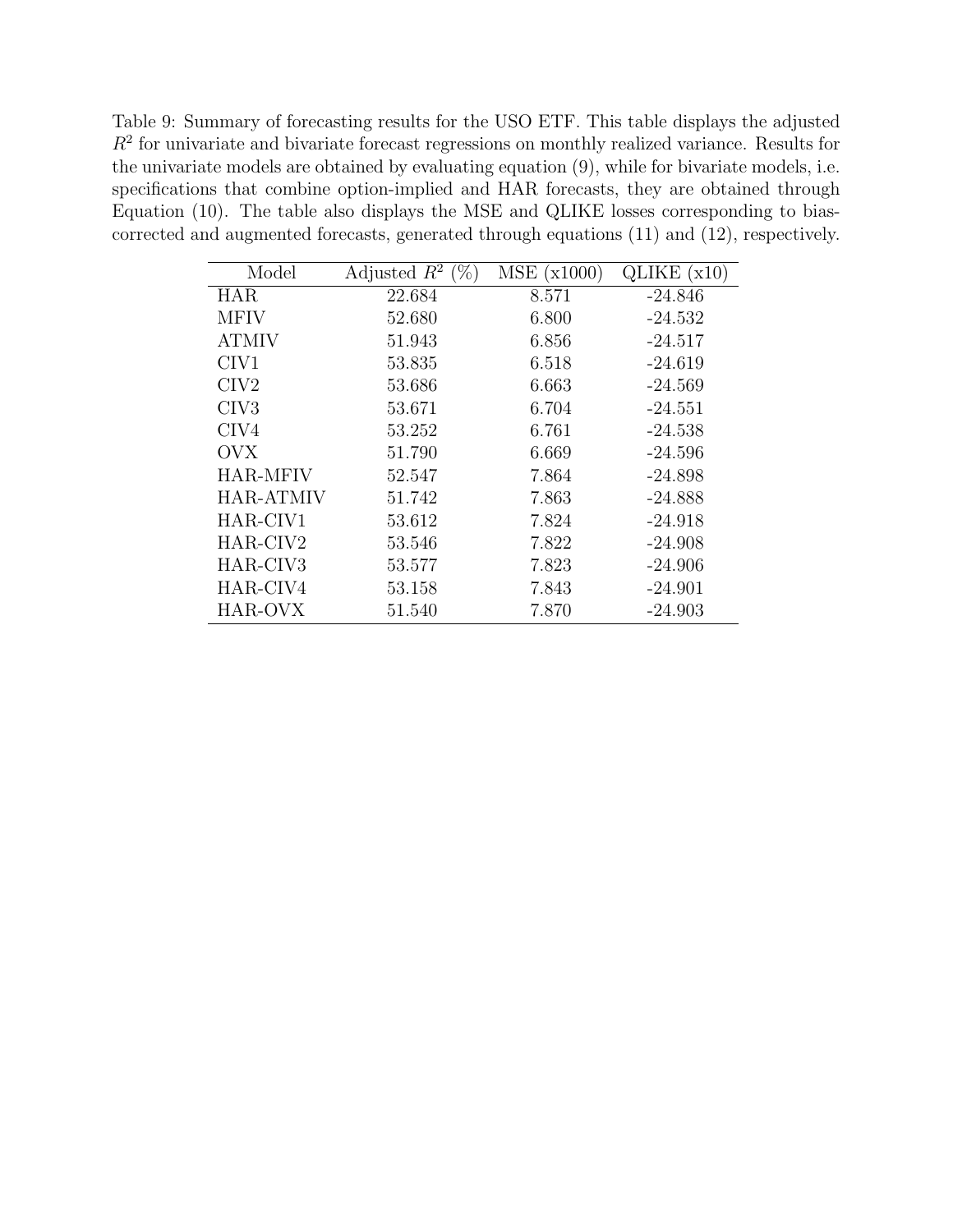Table 9: Summary of forecasting results for the USO ETF. This table displays the adjusted  $R<sup>2</sup>$  for univariate and bivariate forecast regressions on monthly realized variance. Results for the univariate models are obtained by evaluating equation (9), while for bivariate models, i.e. specifications that combine option-implied and HAR forecasts, they are obtained through Equation (10). The table also displays the MSE and QLIKE losses corresponding to biascorrected and augmented forecasts, generated through equations (11) and (12), respectively.

| Model                | $(\%)$<br>Adjusted $R^2$ | MSE<br>(x1000) | QLIKE $(x10)$ |
|----------------------|--------------------------|----------------|---------------|
| <b>HAR</b>           | 22.684                   | 8.571          | -24.846       |
|                      |                          |                |               |
| <b>MFIV</b>          | 52.680                   | 6.800          | $-24.532$     |
| <b>ATMIV</b>         | 51.943                   | 6.856          | $-24.517$     |
| CIV <sub>1</sub>     | 53.835                   | 6.518          | $-24.619$     |
| CIV2                 | 53.686                   | 6.663          | $-24.569$     |
| CIV <sub>3</sub>     | 53.671                   | 6.704          | $-24.551$     |
| CIV4                 | 53.252                   | 6.761          | $-24.538$     |
| <b>OVX</b>           | 51.790                   | 6.669          | $-24.596$     |
| <b>HAR-MFIV</b>      | 52.547                   | 7.864          | $-24.898$     |
| <b>HAR-ATMIV</b>     | 51.742                   | 7.863          | $-24.888$     |
| HAR-CIV1             | 53.612                   | 7.824          | $-24.918$     |
| HAR-CIV2             | 53.546                   | 7.822          | $-24.908$     |
| HAR-CIV <sub>3</sub> | 53.577                   | 7.823          | $-24.906$     |
| HAR-CIV4             | 53.158                   | 7.843          | $-24.901$     |
| HAR-OVX              | 51.540                   | 7.870          | $-24.903$     |